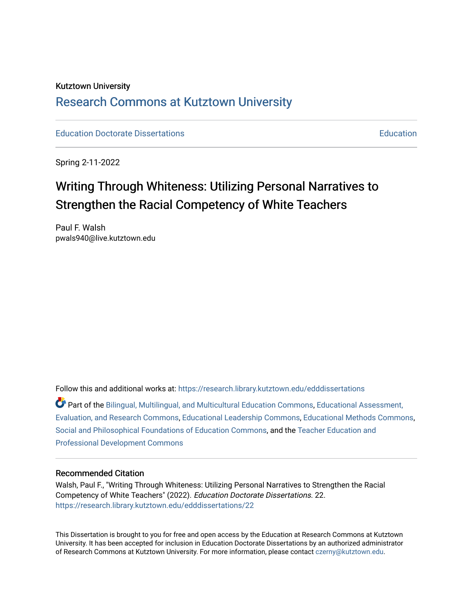# Kutztown University [Research Commons at Kutztown University](https://research.library.kutztown.edu/)

**[Education](https://research.library.kutztown.edu/education) Doctorate Dissertations** Education **Education** 

Spring 2-11-2022

# Writing Through Whiteness: Utilizing Personal Narratives to Strengthen the Racial Competency of White Teachers

Paul F. Walsh pwals940@live.kutztown.edu

Follow this and additional works at: [https://research.library.kutztown.edu/edddissertations](https://research.library.kutztown.edu/edddissertations?utm_source=research.library.kutztown.edu%2Fedddissertations%2F22&utm_medium=PDF&utm_campaign=PDFCoverPages)

Part of the [Bilingual, Multilingual, and Multicultural Education Commons,](http://network.bepress.com/hgg/discipline/785?utm_source=research.library.kutztown.edu%2Fedddissertations%2F22&utm_medium=PDF&utm_campaign=PDFCoverPages) [Educational Assessment,](http://network.bepress.com/hgg/discipline/796?utm_source=research.library.kutztown.edu%2Fedddissertations%2F22&utm_medium=PDF&utm_campaign=PDFCoverPages)  [Evaluation, and Research Commons,](http://network.bepress.com/hgg/discipline/796?utm_source=research.library.kutztown.edu%2Fedddissertations%2F22&utm_medium=PDF&utm_campaign=PDFCoverPages) [Educational Leadership Commons](http://network.bepress.com/hgg/discipline/1230?utm_source=research.library.kutztown.edu%2Fedddissertations%2F22&utm_medium=PDF&utm_campaign=PDFCoverPages), [Educational Methods Commons](http://network.bepress.com/hgg/discipline/1227?utm_source=research.library.kutztown.edu%2Fedddissertations%2F22&utm_medium=PDF&utm_campaign=PDFCoverPages), [Social and Philosophical Foundations of Education Commons](http://network.bepress.com/hgg/discipline/799?utm_source=research.library.kutztown.edu%2Fedddissertations%2F22&utm_medium=PDF&utm_campaign=PDFCoverPages), and the [Teacher Education and](http://network.bepress.com/hgg/discipline/803?utm_source=research.library.kutztown.edu%2Fedddissertations%2F22&utm_medium=PDF&utm_campaign=PDFCoverPages)  [Professional Development Commons](http://network.bepress.com/hgg/discipline/803?utm_source=research.library.kutztown.edu%2Fedddissertations%2F22&utm_medium=PDF&utm_campaign=PDFCoverPages)

#### Recommended Citation

Walsh, Paul F., "Writing Through Whiteness: Utilizing Personal Narratives to Strengthen the Racial Competency of White Teachers" (2022). Education Doctorate Dissertations. 22. [https://research.library.kutztown.edu/edddissertations/22](https://research.library.kutztown.edu/edddissertations/22?utm_source=research.library.kutztown.edu%2Fedddissertations%2F22&utm_medium=PDF&utm_campaign=PDFCoverPages) 

This Dissertation is brought to you for free and open access by the Education at Research Commons at Kutztown University. It has been accepted for inclusion in Education Doctorate Dissertations by an authorized administrator of Research Commons at Kutztown University. For more information, please contact [czerny@kutztown.edu.](mailto:czerny@kutztown.edu)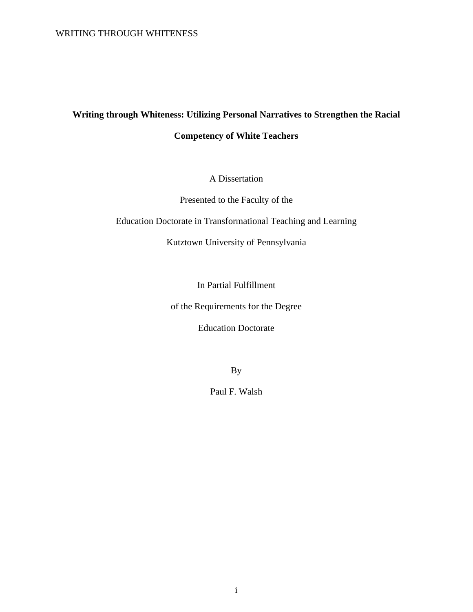# **Writing through Whiteness: Utilizing Personal Narratives to Strengthen the Racial Competency of White Teachers**

A Dissertation

Presented to the Faculty of the

Education Doctorate in Transformational Teaching and Learning

Kutztown University of Pennsylvania

In Partial Fulfillment

of the Requirements for the Degree

Education Doctorate

By

Paul F. Walsh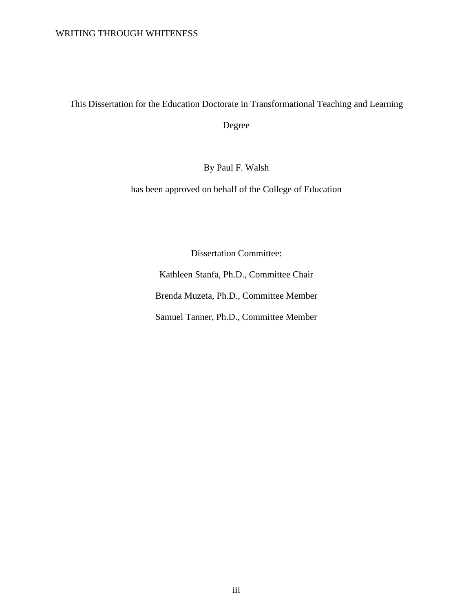This Dissertation for the Education Doctorate in Transformational Teaching and Learning

Degree

By Paul F. Walsh

has been approved on behalf of the College of Education

Dissertation Committee:

Kathleen Stanfa, Ph.D., Committee Chair Brenda Muzeta, Ph.D., Committee Member Samuel Tanner, Ph.D., Committee Member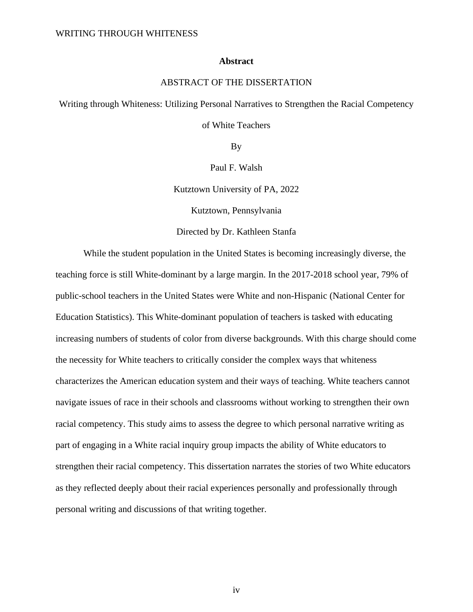#### **Abstract**

### ABSTRACT OF THE DISSERTATION

Writing through Whiteness: Utilizing Personal Narratives to Strengthen the Racial Competency

of White Teachers

By

Paul F. Walsh

Kutztown University of PA, 2022

Kutztown, Pennsylvania

Directed by Dr. Kathleen Stanfa

While the student population in the United States is becoming increasingly diverse, the teaching force is still White-dominant by a large margin. In the 2017-2018 school year, 79% of public-school teachers in the United States were White and non-Hispanic (National Center for Education Statistics). This White-dominant population of teachers is tasked with educating increasing numbers of students of color from diverse backgrounds. With this charge should come the necessity for White teachers to critically consider the complex ways that whiteness characterizes the American education system and their ways of teaching. White teachers cannot navigate issues of race in their schools and classrooms without working to strengthen their own racial competency. This study aims to assess the degree to which personal narrative writing as part of engaging in a White racial inquiry group impacts the ability of White educators to strengthen their racial competency. This dissertation narrates the stories of two White educators as they reflected deeply about their racial experiences personally and professionally through personal writing and discussions of that writing together.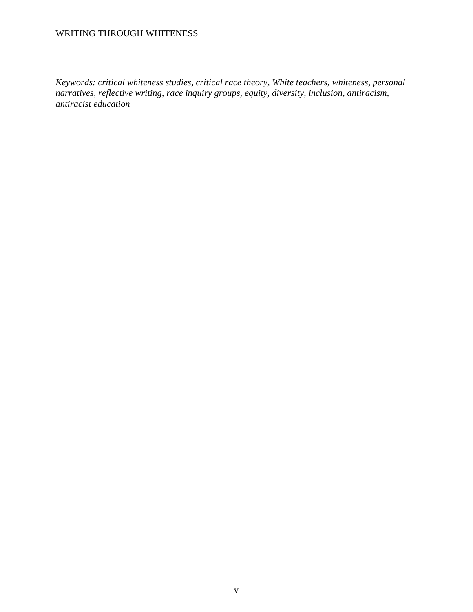*Keywords: critical whiteness studies, critical race theory, White teachers, whiteness, personal narratives, reflective writing, race inquiry groups, equity, diversity, inclusion, antiracism, antiracist education*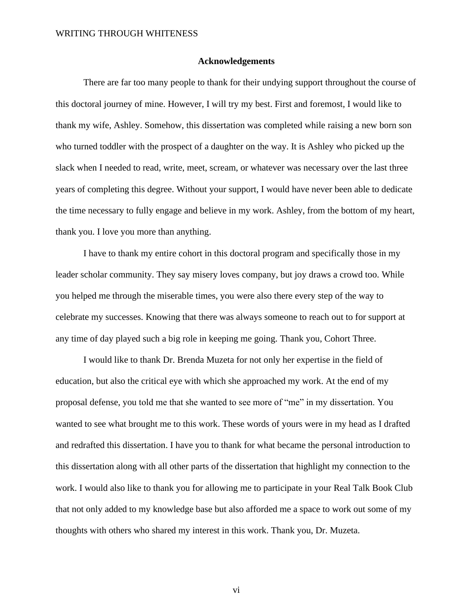#### **Acknowledgements**

There are far too many people to thank for their undying support throughout the course of this doctoral journey of mine. However, I will try my best. First and foremost, I would like to thank my wife, Ashley. Somehow, this dissertation was completed while raising a new born son who turned toddler with the prospect of a daughter on the way. It is Ashley who picked up the slack when I needed to read, write, meet, scream, or whatever was necessary over the last three years of completing this degree. Without your support, I would have never been able to dedicate the time necessary to fully engage and believe in my work. Ashley, from the bottom of my heart, thank you. I love you more than anything.

I have to thank my entire cohort in this doctoral program and specifically those in my leader scholar community. They say misery loves company, but joy draws a crowd too. While you helped me through the miserable times, you were also there every step of the way to celebrate my successes. Knowing that there was always someone to reach out to for support at any time of day played such a big role in keeping me going. Thank you, Cohort Three.

I would like to thank Dr. Brenda Muzeta for not only her expertise in the field of education, but also the critical eye with which she approached my work. At the end of my proposal defense, you told me that she wanted to see more of "me" in my dissertation. You wanted to see what brought me to this work. These words of yours were in my head as I drafted and redrafted this dissertation. I have you to thank for what became the personal introduction to this dissertation along with all other parts of the dissertation that highlight my connection to the work. I would also like to thank you for allowing me to participate in your Real Talk Book Club that not only added to my knowledge base but also afforded me a space to work out some of my thoughts with others who shared my interest in this work. Thank you, Dr. Muzeta.

vi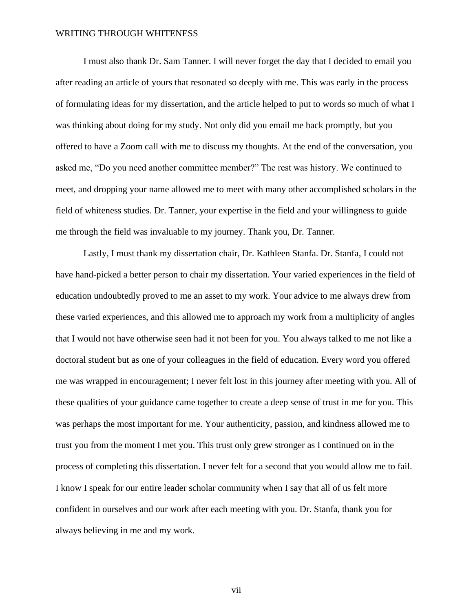I must also thank Dr. Sam Tanner. I will never forget the day that I decided to email you after reading an article of yours that resonated so deeply with me. This was early in the process of formulating ideas for my dissertation, and the article helped to put to words so much of what I was thinking about doing for my study. Not only did you email me back promptly, but you offered to have a Zoom call with me to discuss my thoughts. At the end of the conversation, you asked me, "Do you need another committee member?" The rest was history. We continued to meet, and dropping your name allowed me to meet with many other accomplished scholars in the field of whiteness studies. Dr. Tanner, your expertise in the field and your willingness to guide me through the field was invaluable to my journey. Thank you, Dr. Tanner.

Lastly, I must thank my dissertation chair, Dr. Kathleen Stanfa. Dr. Stanfa, I could not have hand-picked a better person to chair my dissertation. Your varied experiences in the field of education undoubtedly proved to me an asset to my work. Your advice to me always drew from these varied experiences, and this allowed me to approach my work from a multiplicity of angles that I would not have otherwise seen had it not been for you. You always talked to me not like a doctoral student but as one of your colleagues in the field of education. Every word you offered me was wrapped in encouragement; I never felt lost in this journey after meeting with you. All of these qualities of your guidance came together to create a deep sense of trust in me for you. This was perhaps the most important for me. Your authenticity, passion, and kindness allowed me to trust you from the moment I met you. This trust only grew stronger as I continued on in the process of completing this dissertation. I never felt for a second that you would allow me to fail. I know I speak for our entire leader scholar community when I say that all of us felt more confident in ourselves and our work after each meeting with you. Dr. Stanfa, thank you for always believing in me and my work.

vii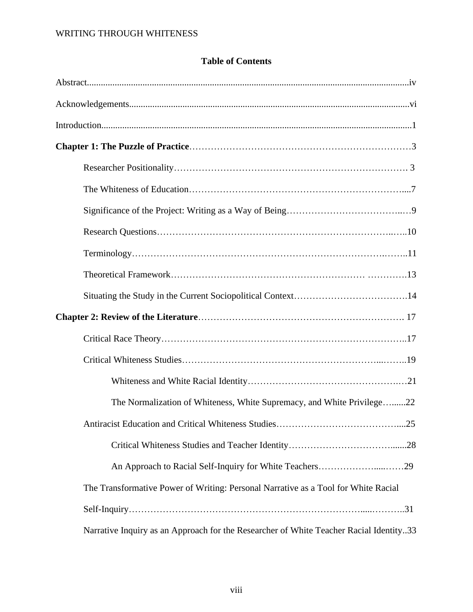|  |  | <b>Table of Contents</b> |
|--|--|--------------------------|
|--|--|--------------------------|

| The Normalization of Whiteness, White Supremacy, and White Privilege22                 |
|----------------------------------------------------------------------------------------|
| Antiracist Education and Critical Whiteness Studies<br>25                              |
|                                                                                        |
|                                                                                        |
| The Transformative Power of Writing: Personal Narrative as a Tool for White Racial     |
|                                                                                        |
| Narrative Inquiry as an Approach for the Researcher of White Teacher Racial Identity33 |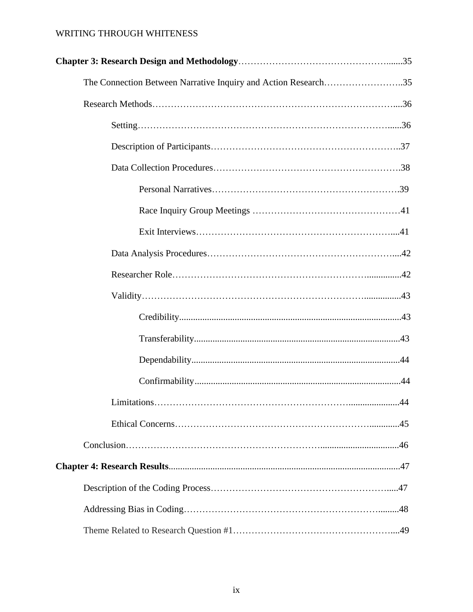| The Connection Between Narrative Inquiry and Action Research35 |  |
|----------------------------------------------------------------|--|
|                                                                |  |
|                                                                |  |
|                                                                |  |
|                                                                |  |
|                                                                |  |
|                                                                |  |
|                                                                |  |
|                                                                |  |
|                                                                |  |
|                                                                |  |
|                                                                |  |
|                                                                |  |
|                                                                |  |
|                                                                |  |
|                                                                |  |
|                                                                |  |
|                                                                |  |
|                                                                |  |
|                                                                |  |
|                                                                |  |
|                                                                |  |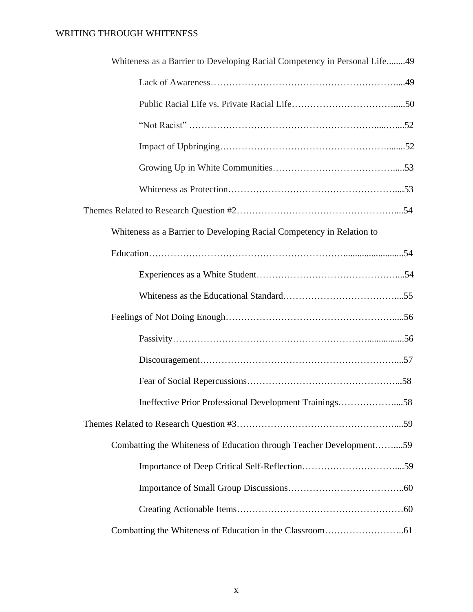| Whiteness as a Barrier to Developing Racial Competency in Personal Life49 |
|---------------------------------------------------------------------------|
|                                                                           |
|                                                                           |
|                                                                           |
|                                                                           |
|                                                                           |
|                                                                           |
|                                                                           |
| Whiteness as a Barrier to Developing Racial Competency in Relation to     |
|                                                                           |
|                                                                           |
|                                                                           |
|                                                                           |
|                                                                           |
|                                                                           |
|                                                                           |
| Ineffective Prior Professional Development Trainings58                    |
|                                                                           |
| Combatting the Whiteness of Education through Teacher Development59       |
|                                                                           |
|                                                                           |
|                                                                           |
|                                                                           |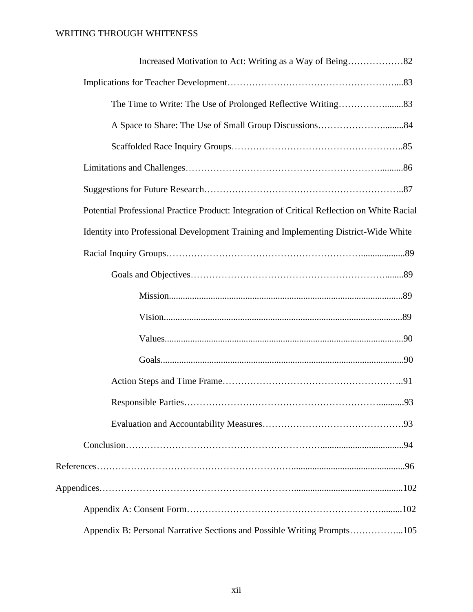| Potential Professional Practice Product: Integration of Critical Reflection on White Racial |
|---------------------------------------------------------------------------------------------|
| Identity into Professional Development Training and Implementing District-Wide White        |
|                                                                                             |
|                                                                                             |
|                                                                                             |
|                                                                                             |
|                                                                                             |
|                                                                                             |
|                                                                                             |
|                                                                                             |
|                                                                                             |
|                                                                                             |
|                                                                                             |
|                                                                                             |
|                                                                                             |
| Appendix B: Personal Narrative Sections and Possible Writing Prompts105                     |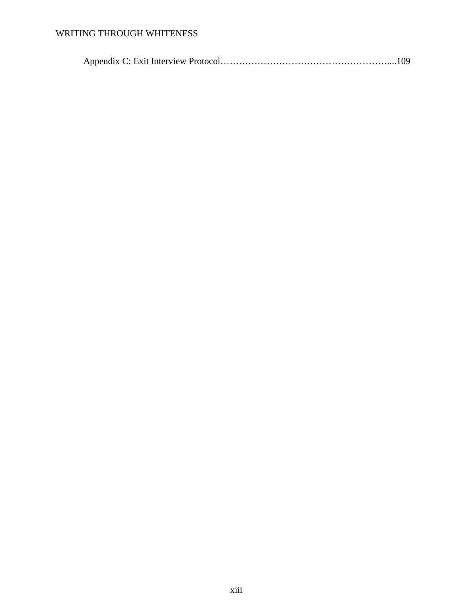Appendix C: Exit Interview Protocol………………………………………………....109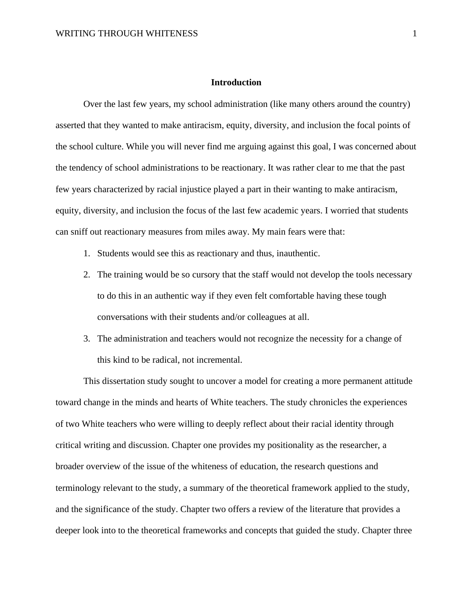### **Introduction**

Over the last few years, my school administration (like many others around the country) asserted that they wanted to make antiracism, equity, diversity, and inclusion the focal points of the school culture. While you will never find me arguing against this goal, I was concerned about the tendency of school administrations to be reactionary. It was rather clear to me that the past few years characterized by racial injustice played a part in their wanting to make antiracism, equity, diversity, and inclusion the focus of the last few academic years. I worried that students can sniff out reactionary measures from miles away. My main fears were that:

- 1. Students would see this as reactionary and thus, inauthentic.
- 2. The training would be so cursory that the staff would not develop the tools necessary to do this in an authentic way if they even felt comfortable having these tough conversations with their students and/or colleagues at all.
- 3. The administration and teachers would not recognize the necessity for a change of this kind to be radical, not incremental.

This dissertation study sought to uncover a model for creating a more permanent attitude toward change in the minds and hearts of White teachers. The study chronicles the experiences of two White teachers who were willing to deeply reflect about their racial identity through critical writing and discussion. Chapter one provides my positionality as the researcher, a broader overview of the issue of the whiteness of education, the research questions and terminology relevant to the study, a summary of the theoretical framework applied to the study, and the significance of the study. Chapter two offers a review of the literature that provides a deeper look into to the theoretical frameworks and concepts that guided the study. Chapter three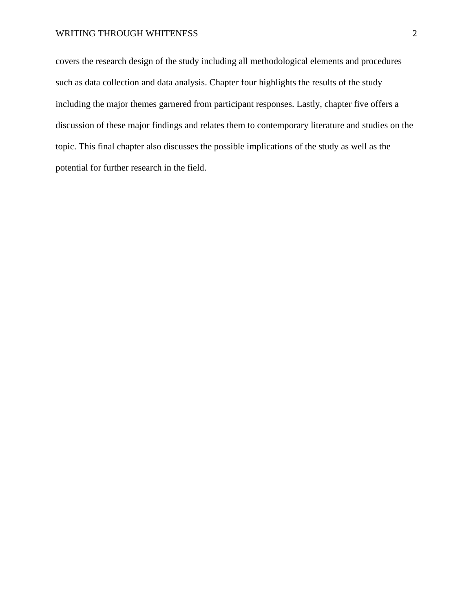covers the research design of the study including all methodological elements and procedures such as data collection and data analysis. Chapter four highlights the results of the study including the major themes garnered from participant responses. Lastly, chapter five offers a discussion of these major findings and relates them to contemporary literature and studies on the topic. This final chapter also discusses the possible implications of the study as well as the potential for further research in the field.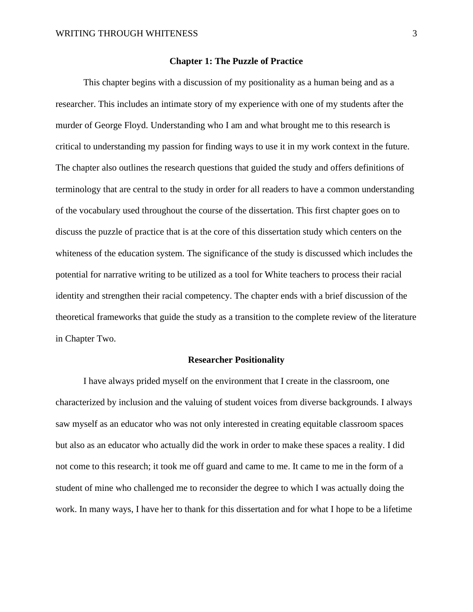#### **Chapter 1: The Puzzle of Practice**

This chapter begins with a discussion of my positionality as a human being and as a researcher. This includes an intimate story of my experience with one of my students after the murder of George Floyd. Understanding who I am and what brought me to this research is critical to understanding my passion for finding ways to use it in my work context in the future. The chapter also outlines the research questions that guided the study and offers definitions of terminology that are central to the study in order for all readers to have a common understanding of the vocabulary used throughout the course of the dissertation. This first chapter goes on to discuss the puzzle of practice that is at the core of this dissertation study which centers on the whiteness of the education system. The significance of the study is discussed which includes the potential for narrative writing to be utilized as a tool for White teachers to process their racial identity and strengthen their racial competency. The chapter ends with a brief discussion of the theoretical frameworks that guide the study as a transition to the complete review of the literature in Chapter Two.

#### **Researcher Positionality**

I have always prided myself on the environment that I create in the classroom, one characterized by inclusion and the valuing of student voices from diverse backgrounds. I always saw myself as an educator who was not only interested in creating equitable classroom spaces but also as an educator who actually did the work in order to make these spaces a reality. I did not come to this research; it took me off guard and came to me. It came to me in the form of a student of mine who challenged me to reconsider the degree to which I was actually doing the work. In many ways, I have her to thank for this dissertation and for what I hope to be a lifetime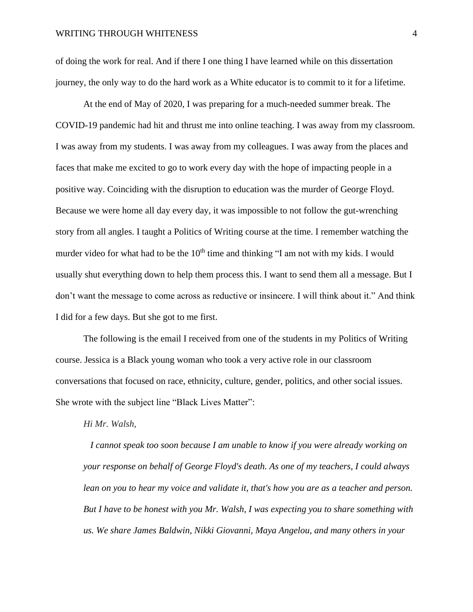of doing the work for real. And if there I one thing I have learned while on this dissertation journey, the only way to do the hard work as a White educator is to commit to it for a lifetime.

At the end of May of 2020, I was preparing for a much-needed summer break. The COVID-19 pandemic had hit and thrust me into online teaching. I was away from my classroom. I was away from my students. I was away from my colleagues. I was away from the places and faces that make me excited to go to work every day with the hope of impacting people in a positive way. Coinciding with the disruption to education was the murder of George Floyd. Because we were home all day every day, it was impossible to not follow the gut-wrenching story from all angles. I taught a Politics of Writing course at the time. I remember watching the murder video for what had to be the  $10<sup>th</sup>$  time and thinking "I am not with my kids. I would usually shut everything down to help them process this. I want to send them all a message. But I don't want the message to come across as reductive or insincere. I will think about it." And think I did for a few days. But she got to me first.

The following is the email I received from one of the students in my Politics of Writing course. Jessica is a Black young woman who took a very active role in our classroom conversations that focused on race, ethnicity, culture, gender, politics, and other social issues. She wrote with the subject line "Black Lives Matter":

*Hi Mr. Walsh,*

*I cannot speak too soon because I am unable to know if you were already working on your response on behalf of George Floyd's death. As one of my teachers, I could always lean on you to hear my voice and validate it, that's how you are as a teacher and person. But I have to be honest with you Mr. Walsh, I was expecting you to share something with us. We share James Baldwin, Nikki Giovanni, Maya Angelou, and many others in your*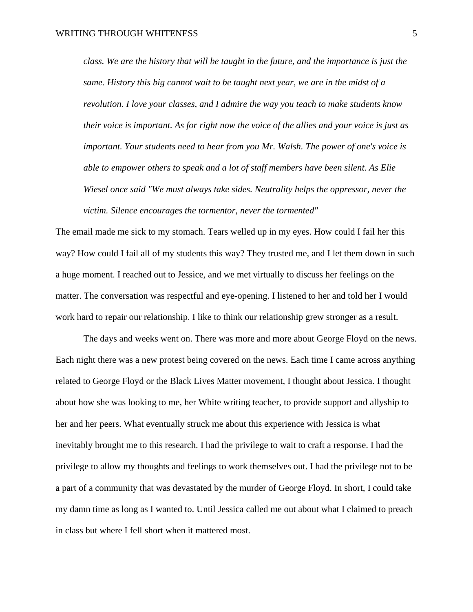*class. We are the history that will be taught in the future, and the importance is just the same. History this big cannot wait to be taught next year, we are in the midst of a revolution. I love your classes, and I admire the way you teach to make students know their voice is important. As for right now the voice of the allies and your voice is just as important. Your students need to hear from you Mr. Walsh. The power of one's voice is able to empower others to speak and a lot of staff members have been silent. As Elie Wiesel once said "We must always take sides. Neutrality helps the oppressor, never the victim. Silence encourages the tormentor, never the tormented"*

The email made me sick to my stomach. Tears welled up in my eyes. How could I fail her this way? How could I fail all of my students this way? They trusted me, and I let them down in such a huge moment. I reached out to Jessice, and we met virtually to discuss her feelings on the matter. The conversation was respectful and eye-opening. I listened to her and told her I would work hard to repair our relationship. I like to think our relationship grew stronger as a result.

The days and weeks went on. There was more and more about George Floyd on the news. Each night there was a new protest being covered on the news. Each time I came across anything related to George Floyd or the Black Lives Matter movement, I thought about Jessica. I thought about how she was looking to me, her White writing teacher, to provide support and allyship to her and her peers. What eventually struck me about this experience with Jessica is what inevitably brought me to this research. I had the privilege to wait to craft a response. I had the privilege to allow my thoughts and feelings to work themselves out. I had the privilege not to be a part of a community that was devastated by the murder of George Floyd. In short, I could take my damn time as long as I wanted to. Until Jessica called me out about what I claimed to preach in class but where I fell short when it mattered most.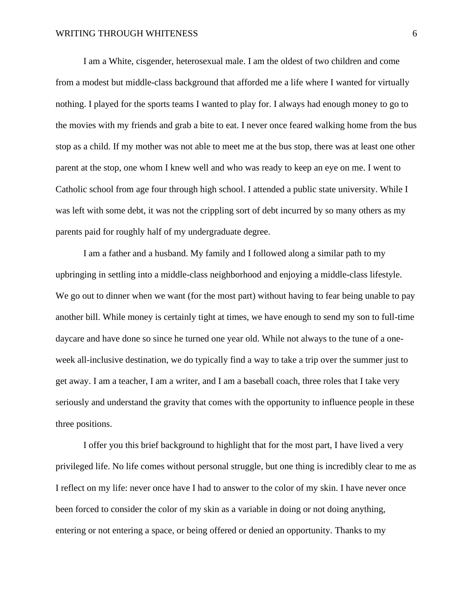I am a White, cisgender, heterosexual male. I am the oldest of two children and come from a modest but middle-class background that afforded me a life where I wanted for virtually nothing. I played for the sports teams I wanted to play for. I always had enough money to go to the movies with my friends and grab a bite to eat. I never once feared walking home from the bus stop as a child. If my mother was not able to meet me at the bus stop, there was at least one other parent at the stop, one whom I knew well and who was ready to keep an eye on me. I went to Catholic school from age four through high school. I attended a public state university. While I was left with some debt, it was not the crippling sort of debt incurred by so many others as my parents paid for roughly half of my undergraduate degree.

I am a father and a husband. My family and I followed along a similar path to my upbringing in settling into a middle-class neighborhood and enjoying a middle-class lifestyle. We go out to dinner when we want (for the most part) without having to fear being unable to pay another bill. While money is certainly tight at times, we have enough to send my son to full-time daycare and have done so since he turned one year old. While not always to the tune of a oneweek all-inclusive destination, we do typically find a way to take a trip over the summer just to get away. I am a teacher, I am a writer, and I am a baseball coach, three roles that I take very seriously and understand the gravity that comes with the opportunity to influence people in these three positions.

I offer you this brief background to highlight that for the most part, I have lived a very privileged life. No life comes without personal struggle, but one thing is incredibly clear to me as I reflect on my life: never once have I had to answer to the color of my skin. I have never once been forced to consider the color of my skin as a variable in doing or not doing anything, entering or not entering a space, or being offered or denied an opportunity. Thanks to my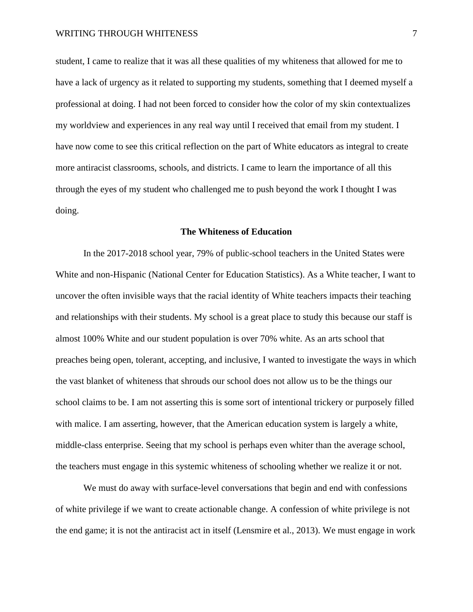student, I came to realize that it was all these qualities of my whiteness that allowed for me to have a lack of urgency as it related to supporting my students, something that I deemed myself a professional at doing. I had not been forced to consider how the color of my skin contextualizes my worldview and experiences in any real way until I received that email from my student. I have now come to see this critical reflection on the part of White educators as integral to create more antiracist classrooms, schools, and districts. I came to learn the importance of all this through the eyes of my student who challenged me to push beyond the work I thought I was doing.

#### **The Whiteness of Education**

In the 2017-2018 school year, 79% of public-school teachers in the United States were White and non-Hispanic (National Center for Education Statistics). As a White teacher, I want to uncover the often invisible ways that the racial identity of White teachers impacts their teaching and relationships with their students. My school is a great place to study this because our staff is almost 100% White and our student population is over 70% white. As an arts school that preaches being open, tolerant, accepting, and inclusive, I wanted to investigate the ways in which the vast blanket of whiteness that shrouds our school does not allow us to be the things our school claims to be. I am not asserting this is some sort of intentional trickery or purposely filled with malice. I am asserting, however, that the American education system is largely a white, middle-class enterprise. Seeing that my school is perhaps even whiter than the average school, the teachers must engage in this systemic whiteness of schooling whether we realize it or not.

We must do away with surface-level conversations that begin and end with confessions of white privilege if we want to create actionable change. A confession of white privilege is not the end game; it is not the antiracist act in itself (Lensmire et al., 2013). We must engage in work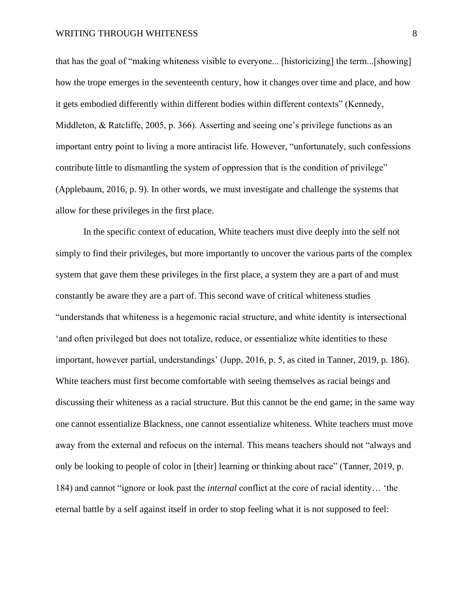that has the goal of "making whiteness visible to everyone... [historicizing] the term...[showing] how the trope emerges in the seventeenth century, how it changes over time and place, and how it gets embodied differently within different bodies within different contexts" (Kennedy, Middleton, & Ratcliffe, 2005, p. 366). Asserting and seeing one's privilege functions as an important entry point to living a more antiracist life. However, "unfortunately, such confessions contribute little to dismantling the system of oppression that is the condition of privilege" (Applebaum, 2016, p. 9). In other words, we must investigate and challenge the systems that allow for these privileges in the first place.

In the specific context of education, White teachers must dive deeply into the self not simply to find their privileges, but more importantly to uncover the various parts of the complex system that gave them these privileges in the first place, a system they are a part of and must constantly be aware they are a part of. This second wave of critical whiteness studies "understands that whiteness is a hegemonic racial structure, and white identity is intersectional 'and often privileged but does not totalize, reduce, or essentialize white identities to these important, however partial, understandings' (Jupp, 2016, p. 5, as cited in Tanner, 2019, p. 186). White teachers must first become comfortable with seeing themselves as racial beings and discussing their whiteness as a racial structure. But this cannot be the end game; in the same way one cannot essentialize Blackness, one cannot essentialize whiteness. White teachers must move away from the external and refocus on the internal. This means teachers should not "always and only be looking to people of color in [their] learning or thinking about race" (Tanner, 2019, p. 184) and cannot "ignore or look past the *internal* conflict at the core of racial identity… 'the eternal battle by a self against itself in order to stop feeling what it is not supposed to feel: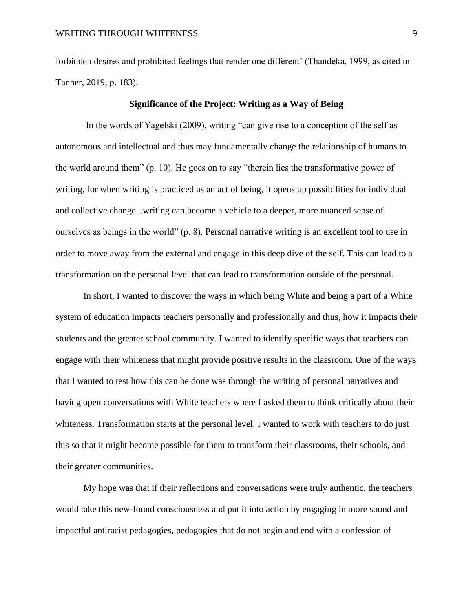forbidden desires and prohibited feelings that render one different' (Thandeka, 1999, as cited in Tanner, 2019, p. 183).

### **Significance of the Project: Writing as a Way of Being**

In the words of Yagelski (2009), writing "can give rise to a conception of the self as autonomous and intellectual and thus may fundamentally change the relationship of humans to the world around them" (p. 10). He goes on to say "therein lies the transformative power of writing, for when writing is practiced as an act of being, it opens up possibilities for individual and collective change...writing can become a vehicle to a deeper, more nuanced sense of ourselves as beings in the world" (p. 8). Personal narrative writing is an excellent tool to use in order to move away from the external and engage in this deep dive of the self. This can lead to a transformation on the personal level that can lead to transformation outside of the personal.

In short, I wanted to discover the ways in which being White and being a part of a White system of education impacts teachers personally and professionally and thus, how it impacts their students and the greater school community. I wanted to identify specific ways that teachers can engage with their whiteness that might provide positive results in the classroom. One of the ways that I wanted to test how this can be done was through the writing of personal narratives and having open conversations with White teachers where I asked them to think critically about their whiteness. Transformation starts at the personal level. I wanted to work with teachers to do just this so that it might become possible for them to transform their classrooms, their schools, and their greater communities.

My hope was that if their reflections and conversations were truly authentic, the teachers would take this new-found consciousness and put it into action by engaging in more sound and impactful antiracist pedagogies, pedagogies that do not begin and end with a confession of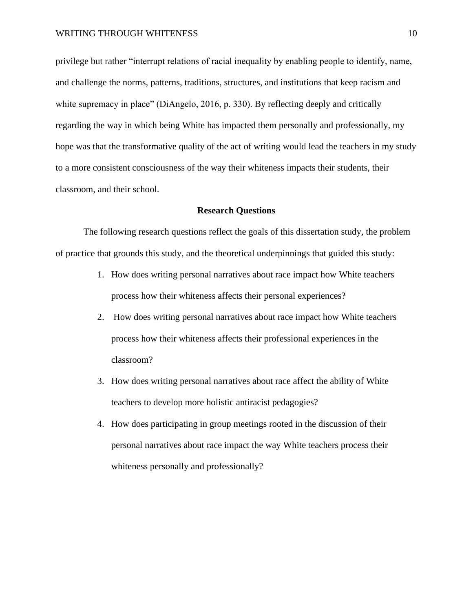privilege but rather "interrupt relations of racial inequality by enabling people to identify, name, and challenge the norms, patterns, traditions, structures, and institutions that keep racism and white supremacy in place" (DiAngelo, 2016, p. 330). By reflecting deeply and critically regarding the way in which being White has impacted them personally and professionally, my hope was that the transformative quality of the act of writing would lead the teachers in my study to a more consistent consciousness of the way their whiteness impacts their students, their classroom, and their school.

#### **Research Questions**

The following research questions reflect the goals of this dissertation study, the problem of practice that grounds this study, and the theoretical underpinnings that guided this study:

- 1. How does writing personal narratives about race impact how White teachers process how their whiteness affects their personal experiences?
- 2. How does writing personal narratives about race impact how White teachers process how their whiteness affects their professional experiences in the classroom?
- 3. How does writing personal narratives about race affect the ability of White teachers to develop more holistic antiracist pedagogies?
- 4. How does participating in group meetings rooted in the discussion of their personal narratives about race impact the way White teachers process their whiteness personally and professionally?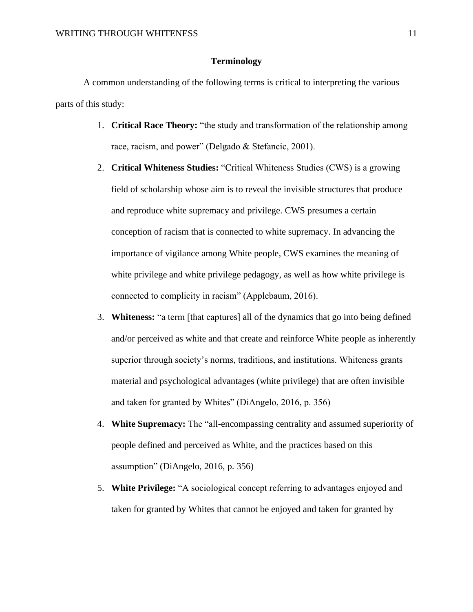### **Terminology**

A common understanding of the following terms is critical to interpreting the various parts of this study:

- 1. **Critical Race Theory:** "the study and transformation of the relationship among race, racism, and power" (Delgado & Stefancic, 2001).
- 2. **Critical Whiteness Studies:** "Critical Whiteness Studies (CWS) is a growing field of scholarship whose aim is to reveal the invisible structures that produce and reproduce white supremacy and privilege. CWS presumes a certain conception of racism that is connected to white supremacy. In advancing the importance of vigilance among White people, CWS examines the meaning of white privilege and white privilege pedagogy, as well as how white privilege is connected to complicity in racism" (Applebaum, 2016).
- 3. **Whiteness:** "a term [that captures] all of the dynamics that go into being defined and/or perceived as white and that create and reinforce White people as inherently superior through society's norms, traditions, and institutions. Whiteness grants material and psychological advantages (white privilege) that are often invisible and taken for granted by Whites" (DiAngelo, 2016, p. 356)
- 4. **White Supremacy:** The "all-encompassing centrality and assumed superiority of people defined and perceived as White, and the practices based on this assumption" (DiAngelo, 2016, p. 356)
- 5. **White Privilege:** "A sociological concept referring to advantages enjoyed and taken for granted by Whites that cannot be enjoyed and taken for granted by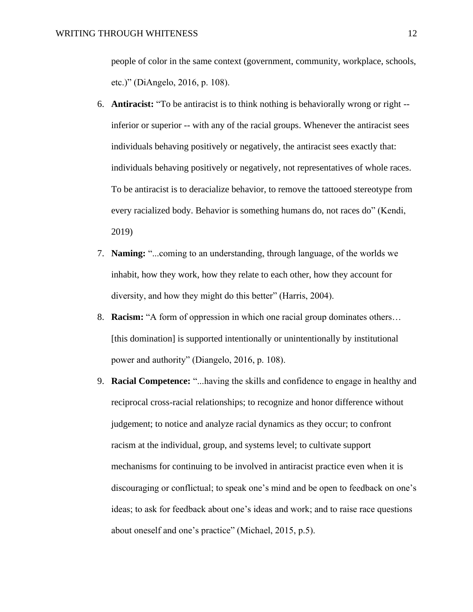people of color in the same context (government, community, workplace, schools, etc.)" (DiAngelo, 2016, p. 108).

- 6. **Antiracist:** "To be antiracist is to think nothing is behaviorally wrong or right inferior or superior -- with any of the racial groups. Whenever the antiracist sees individuals behaving positively or negatively, the antiracist sees exactly that: individuals behaving positively or negatively, not representatives of whole races. To be antiracist is to deracialize behavior, to remove the tattooed stereotype from every racialized body. Behavior is something humans do, not races do" (Kendi, 2019)
- 7. **Naming:** "...coming to an understanding, through language, of the worlds we inhabit, how they work, how they relate to each other, how they account for diversity, and how they might do this better" (Harris, 2004).
- 8. **Racism:** "A form of oppression in which one racial group dominates others… [this domination] is supported intentionally or unintentionally by institutional power and authority" (Diangelo, 2016, p. 108).
- 9. **Racial Competence:** "...having the skills and confidence to engage in healthy and reciprocal cross-racial relationships; to recognize and honor difference without judgement; to notice and analyze racial dynamics as they occur; to confront racism at the individual, group, and systems level; to cultivate support mechanisms for continuing to be involved in antiracist practice even when it is discouraging or conflictual; to speak one's mind and be open to feedback on one's ideas; to ask for feedback about one's ideas and work; and to raise race questions about oneself and one's practice" (Michael, 2015, p.5).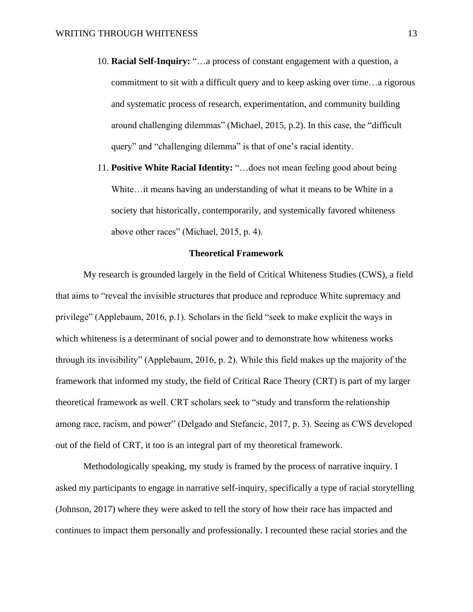- 10. **Racial Self-Inquiry:** "…a process of constant engagement with a question, a commitment to sit with a difficult query and to keep asking over time…a rigorous and systematic process of research, experimentation, and community building around challenging dilemmas" (Michael, 2015, p.2). In this case, the "difficult query" and "challenging dilemma" is that of one's racial identity.
- 11. **Positive White Racial Identity:** "…does not mean feeling good about being White…it means having an understanding of what it means to be White in a society that historically, contemporarily, and systemically favored whiteness above other races" (Michael, 2015, p. 4).

#### **Theoretical Framework**

My research is grounded largely in the field of Critical Whiteness Studies (CWS), a field that aims to "reveal the invisible structures that produce and reproduce White supremacy and privilege" (Applebaum, 2016, p.1). Scholars in the field "seek to make explicit the ways in which whiteness is a determinant of social power and to demonstrate how whiteness works through its invisibility" (Applebaum, 2016, p. 2). While this field makes up the majority of the framework that informed my study, the field of Critical Race Theory (CRT) is part of my larger theoretical framework as well. CRT scholars seek to "study and transform the relationship among race, racism, and power" (Delgado and Stefancic, 2017, p. 3). Seeing as CWS developed out of the field of CRT, it too is an integral part of my theoretical framework.

Methodologically speaking, my study is framed by the process of narrative inquiry. I asked my participants to engage in narrative self-inquiry, specifically a type of racial storytelling (Johnson, 2017) where they were asked to tell the story of how their race has impacted and continues to impact them personally and professionally. I recounted these racial stories and the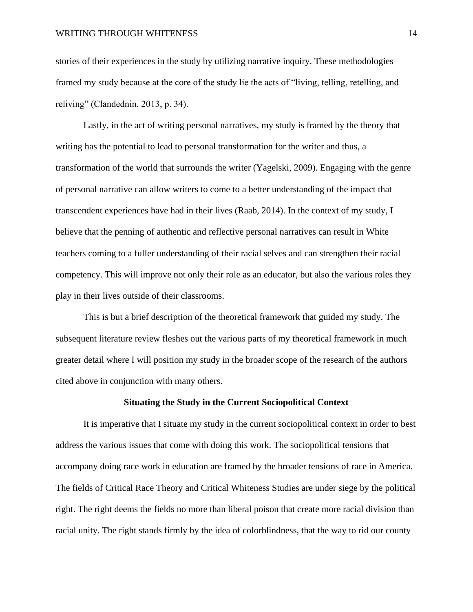stories of their experiences in the study by utilizing narrative inquiry. These methodologies framed my study because at the core of the study lie the acts of "living, telling, retelling, and reliving" (Clandednin, 2013, p. 34).

Lastly, in the act of writing personal narratives, my study is framed by the theory that writing has the potential to lead to personal transformation for the writer and thus, a transformation of the world that surrounds the writer (Yagelski, 2009). Engaging with the genre of personal narrative can allow writers to come to a better understanding of the impact that transcendent experiences have had in their lives (Raab, 2014). In the context of my study, I believe that the penning of authentic and reflective personal narratives can result in White teachers coming to a fuller understanding of their racial selves and can strengthen their racial competency. This will improve not only their role as an educator, but also the various roles they play in their lives outside of their classrooms.

This is but a brief description of the theoretical framework that guided my study. The subsequent literature review fleshes out the various parts of my theoretical framework in much greater detail where I will position my study in the broader scope of the research of the authors cited above in conjunction with many others.

#### **Situating the Study in the Current Sociopolitical Context**

It is imperative that I situate my study in the current sociopolitical context in order to best address the various issues that come with doing this work. The sociopolitical tensions that accompany doing race work in education are framed by the broader tensions of race in America. The fields of Critical Race Theory and Critical Whiteness Studies are under siege by the political right. The right deems the fields no more than liberal poison that create more racial division than racial unity. The right stands firmly by the idea of colorblindness, that the way to rid our county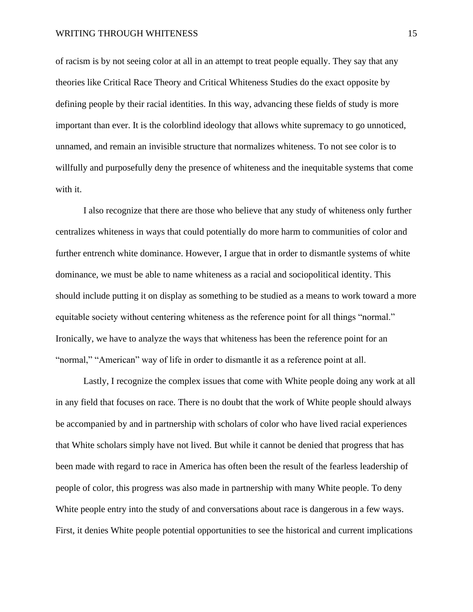of racism is by not seeing color at all in an attempt to treat people equally. They say that any theories like Critical Race Theory and Critical Whiteness Studies do the exact opposite by defining people by their racial identities. In this way, advancing these fields of study is more important than ever. It is the colorblind ideology that allows white supremacy to go unnoticed, unnamed, and remain an invisible structure that normalizes whiteness. To not see color is to willfully and purposefully deny the presence of whiteness and the inequitable systems that come with it.

I also recognize that there are those who believe that any study of whiteness only further centralizes whiteness in ways that could potentially do more harm to communities of color and further entrench white dominance. However, I argue that in order to dismantle systems of white dominance, we must be able to name whiteness as a racial and sociopolitical identity. This should include putting it on display as something to be studied as a means to work toward a more equitable society without centering whiteness as the reference point for all things "normal." Ironically, we have to analyze the ways that whiteness has been the reference point for an "normal," "American" way of life in order to dismantle it as a reference point at all.

Lastly, I recognize the complex issues that come with White people doing any work at all in any field that focuses on race. There is no doubt that the work of White people should always be accompanied by and in partnership with scholars of color who have lived racial experiences that White scholars simply have not lived. But while it cannot be denied that progress that has been made with regard to race in America has often been the result of the fearless leadership of people of color, this progress was also made in partnership with many White people. To deny White people entry into the study of and conversations about race is dangerous in a few ways. First, it denies White people potential opportunities to see the historical and current implications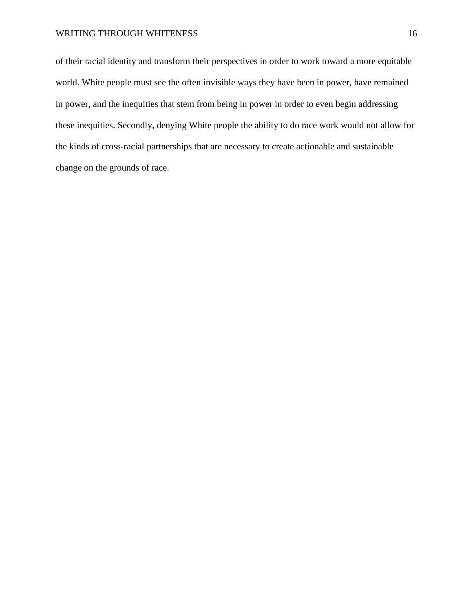of their racial identity and transform their perspectives in order to work toward a more equitable world. White people must see the often invisible ways they have been in power, have remained in power, and the inequities that stem from being in power in order to even begin addressing these inequities. Secondly, denying White people the ability to do race work would not allow for the kinds of cross-racial partnerships that are necessary to create actionable and sustainable change on the grounds of race.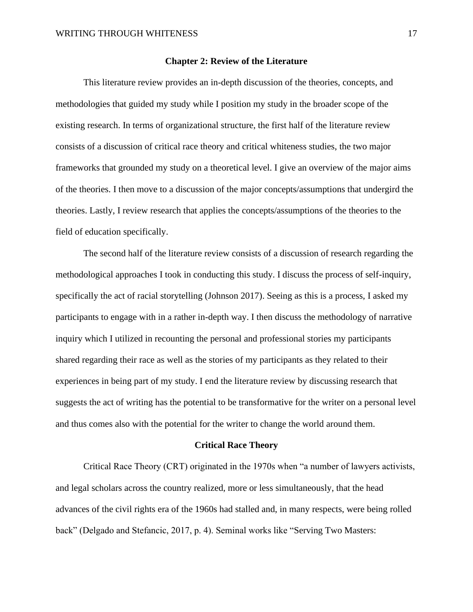#### **Chapter 2: Review of the Literature**

This literature review provides an in-depth discussion of the theories, concepts, and methodologies that guided my study while I position my study in the broader scope of the existing research. In terms of organizational structure, the first half of the literature review consists of a discussion of critical race theory and critical whiteness studies, the two major frameworks that grounded my study on a theoretical level. I give an overview of the major aims of the theories. I then move to a discussion of the major concepts/assumptions that undergird the theories. Lastly, I review research that applies the concepts/assumptions of the theories to the field of education specifically.

The second half of the literature review consists of a discussion of research regarding the methodological approaches I took in conducting this study. I discuss the process of self-inquiry, specifically the act of racial storytelling (Johnson 2017). Seeing as this is a process, I asked my participants to engage with in a rather in-depth way. I then discuss the methodology of narrative inquiry which I utilized in recounting the personal and professional stories my participants shared regarding their race as well as the stories of my participants as they related to their experiences in being part of my study. I end the literature review by discussing research that suggests the act of writing has the potential to be transformative for the writer on a personal level and thus comes also with the potential for the writer to change the world around them.

#### **Critical Race Theory**

Critical Race Theory (CRT) originated in the 1970s when "a number of lawyers activists, and legal scholars across the country realized, more or less simultaneously, that the head advances of the civil rights era of the 1960s had stalled and, in many respects, were being rolled back" (Delgado and Stefancic, 2017, p. 4). Seminal works like "Serving Two Masters: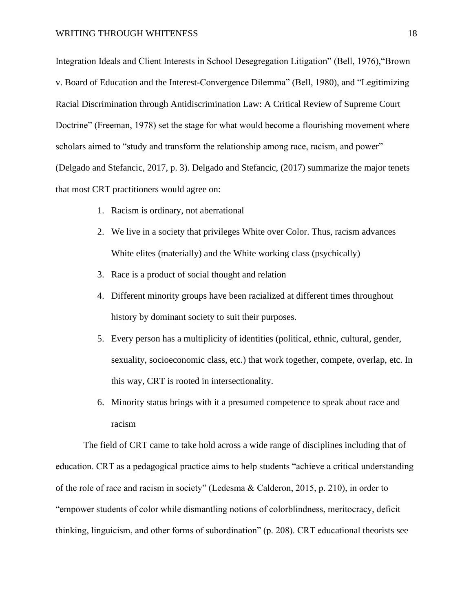Integration Ideals and Client Interests in School Desegregation Litigation" (Bell, 1976),"Brown v. Board of Education and the Interest-Convergence Dilemma" (Bell, 1980), and "Legitimizing Racial Discrimination through Antidiscrimination Law: A Critical Review of Supreme Court Doctrine" (Freeman, 1978) set the stage for what would become a flourishing movement where scholars aimed to "study and transform the relationship among race, racism, and power" (Delgado and Stefancic, 2017, p. 3). Delgado and Stefancic, (2017) summarize the major tenets that most CRT practitioners would agree on:

- 1. Racism is ordinary, not aberrational
- 2. We live in a society that privileges White over Color. Thus, racism advances White elites (materially) and the White working class (psychically)
- 3. Race is a product of social thought and relation
- 4. Different minority groups have been racialized at different times throughout history by dominant society to suit their purposes.
- 5. Every person has a multiplicity of identities (political, ethnic, cultural, gender, sexuality, socioeconomic class, etc.) that work together, compete, overlap, etc. In this way, CRT is rooted in intersectionality.
- 6. Minority status brings with it a presumed competence to speak about race and racism

The field of CRT came to take hold across a wide range of disciplines including that of education. CRT as a pedagogical practice aims to help students "achieve a critical understanding of the role of race and racism in society" (Ledesma & Calderon, 2015, p. 210), in order to "empower students of color while dismantling notions of colorblindness, meritocracy, deficit thinking, linguicism, and other forms of subordination" (p. 208). CRT educational theorists see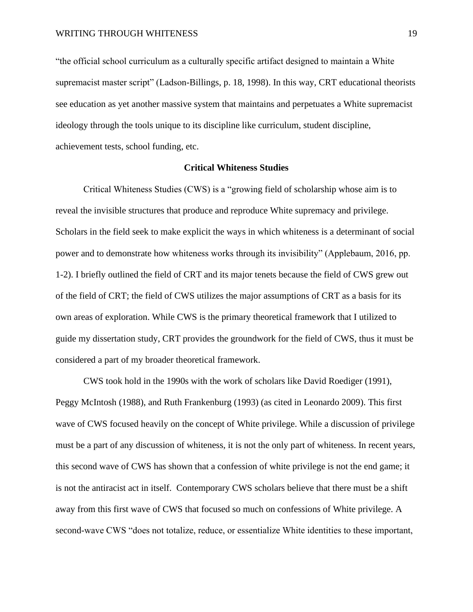"the official school curriculum as a culturally specific artifact designed to maintain a White supremacist master script" (Ladson-Billings, p. 18, 1998). In this way, CRT educational theorists see education as yet another massive system that maintains and perpetuates a White supremacist ideology through the tools unique to its discipline like curriculum, student discipline, achievement tests, school funding, etc.

#### **Critical Whiteness Studies**

Critical Whiteness Studies (CWS) is a "growing field of scholarship whose aim is to reveal the invisible structures that produce and reproduce White supremacy and privilege. Scholars in the field seek to make explicit the ways in which whiteness is a determinant of social power and to demonstrate how whiteness works through its invisibility" (Applebaum, 2016, pp. 1-2). I briefly outlined the field of CRT and its major tenets because the field of CWS grew out of the field of CRT; the field of CWS utilizes the major assumptions of CRT as a basis for its own areas of exploration. While CWS is the primary theoretical framework that I utilized to guide my dissertation study, CRT provides the groundwork for the field of CWS, thus it must be considered a part of my broader theoretical framework.

CWS took hold in the 1990s with the work of scholars like David Roediger (1991), Peggy McIntosh (1988), and Ruth Frankenburg (1993) (as cited in Leonardo 2009). This first wave of CWS focused heavily on the concept of White privilege. While a discussion of privilege must be a part of any discussion of whiteness, it is not the only part of whiteness. In recent years, this second wave of CWS has shown that a confession of white privilege is not the end game; it is not the antiracist act in itself. Contemporary CWS scholars believe that there must be a shift away from this first wave of CWS that focused so much on confessions of White privilege. A second-wave CWS "does not totalize, reduce, or essentialize White identities to these important,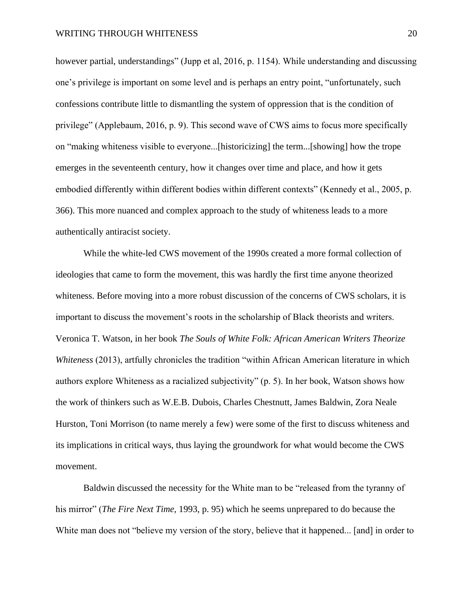however partial, understandings" (Jupp et al, 2016, p. 1154). While understanding and discussing one's privilege is important on some level and is perhaps an entry point, "unfortunately, such confessions contribute little to dismantling the system of oppression that is the condition of privilege" (Applebaum, 2016, p. 9). This second wave of CWS aims to focus more specifically on "making whiteness visible to everyone...[historicizing] the term...[showing] how the trope emerges in the seventeenth century, how it changes over time and place, and how it gets embodied differently within different bodies within different contexts" (Kennedy et al., 2005, p. 366). This more nuanced and complex approach to the study of whiteness leads to a more authentically antiracist society.

While the white-led CWS movement of the 1990s created a more formal collection of ideologies that came to form the movement, this was hardly the first time anyone theorized whiteness. Before moving into a more robust discussion of the concerns of CWS scholars, it is important to discuss the movement's roots in the scholarship of Black theorists and writers. Veronica T. Watson, in her book *The Souls of White Folk: African American Writers Theorize Whiteness* (2013), artfully chronicles the tradition "within African American literature in which authors explore Whiteness as a racialized subjectivity" (p. 5). In her book, Watson shows how the work of thinkers such as W.E.B. Dubois, Charles Chestnutt, James Baldwin, Zora Neale Hurston, Toni Morrison (to name merely a few) were some of the first to discuss whiteness and its implications in critical ways, thus laying the groundwork for what would become the CWS movement.

Baldwin discussed the necessity for the White man to be "released from the tyranny of his mirror" (*The Fire Next Time,* 1993, p. 95) which he seems unprepared to do because the White man does not "believe my version of the story, believe that it happened... [and] in order to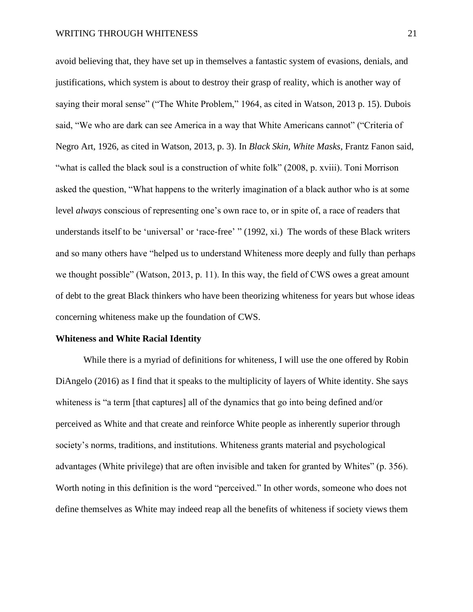avoid believing that, they have set up in themselves a fantastic system of evasions, denials, and justifications, which system is about to destroy their grasp of reality, which is another way of saying their moral sense" ("The White Problem," 1964, as cited in Watson, 2013 p. 15). Dubois said, "We who are dark can see America in a way that White Americans cannot" ("Criteria of Negro Art, 1926, as cited in Watson, 2013, p. 3). In *Black Skin, White Masks,* Frantz Fanon said, "what is called the black soul is a construction of white folk" (2008, p. xviii). Toni Morrison asked the question, "What happens to the writerly imagination of a black author who is at some level *always* conscious of representing one's own race to, or in spite of, a race of readers that understands itself to be 'universal' or 'race-free' " (1992, xi.) The words of these Black writers and so many others have "helped us to understand Whiteness more deeply and fully than perhaps we thought possible" (Watson, 2013, p. 11). In this way, the field of CWS owes a great amount of debt to the great Black thinkers who have been theorizing whiteness for years but whose ideas concerning whiteness make up the foundation of CWS.

#### **Whiteness and White Racial Identity**

While there is a myriad of definitions for whiteness, I will use the one offered by Robin DiAngelo (2016) as I find that it speaks to the multiplicity of layers of White identity. She says whiteness is "a term [that captures] all of the dynamics that go into being defined and/or perceived as White and that create and reinforce White people as inherently superior through society's norms, traditions, and institutions. Whiteness grants material and psychological advantages (White privilege) that are often invisible and taken for granted by Whites" (p. 356). Worth noting in this definition is the word "perceived." In other words, someone who does not define themselves as White may indeed reap all the benefits of whiteness if society views them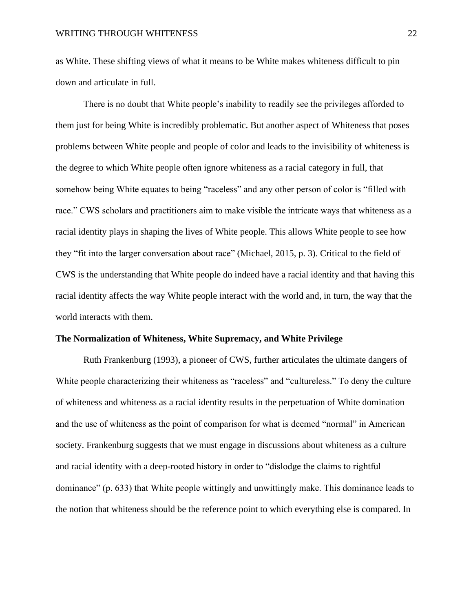as White. These shifting views of what it means to be White makes whiteness difficult to pin down and articulate in full.

There is no doubt that White people's inability to readily see the privileges afforded to them just for being White is incredibly problematic. But another aspect of Whiteness that poses problems between White people and people of color and leads to the invisibility of whiteness is the degree to which White people often ignore whiteness as a racial category in full, that somehow being White equates to being "raceless" and any other person of color is "filled with race." CWS scholars and practitioners aim to make visible the intricate ways that whiteness as a racial identity plays in shaping the lives of White people. This allows White people to see how they "fit into the larger conversation about race" (Michael, 2015, p. 3). Critical to the field of CWS is the understanding that White people do indeed have a racial identity and that having this racial identity affects the way White people interact with the world and, in turn, the way that the world interacts with them.

#### **The Normalization of Whiteness, White Supremacy, and White Privilege**

Ruth Frankenburg (1993), a pioneer of CWS, further articulates the ultimate dangers of White people characterizing their whiteness as "raceless" and "cultureless." To deny the culture of whiteness and whiteness as a racial identity results in the perpetuation of White domination and the use of whiteness as the point of comparison for what is deemed "normal" in American society. Frankenburg suggests that we must engage in discussions about whiteness as a culture and racial identity with a deep-rooted history in order to "dislodge the claims to rightful dominance" (p. 633) that White people wittingly and unwittingly make. This dominance leads to the notion that whiteness should be the reference point to which everything else is compared. In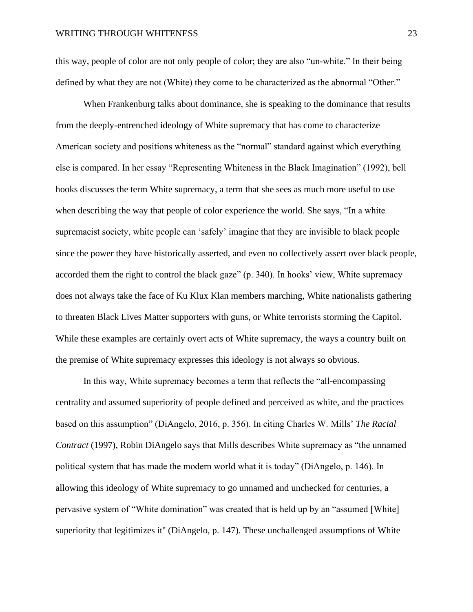this way, people of color are not only people of color; they are also "un-white." In their being defined by what they are not (White) they come to be characterized as the abnormal "Other."

When Frankenburg talks about dominance, she is speaking to the dominance that results from the deeply-entrenched ideology of White supremacy that has come to characterize American society and positions whiteness as the "normal" standard against which everything else is compared. In her essay "Representing Whiteness in the Black Imagination" (1992), bell hooks discusses the term White supremacy, a term that she sees as much more useful to use when describing the way that people of color experience the world. She says, "In a white supremacist society, white people can 'safely' imagine that they are invisible to black people since the power they have historically asserted, and even no collectively assert over black people, accorded them the right to control the black gaze" (p. 340). In hooks' view, White supremacy does not always take the face of Ku Klux Klan members marching, White nationalists gathering to threaten Black Lives Matter supporters with guns, or White terrorists storming the Capitol. While these examples are certainly overt acts of White supremacy, the ways a country built on the premise of White supremacy expresses this ideology is not always so obvious.

In this way, White supremacy becomes a term that reflects the "all-encompassing centrality and assumed superiority of people defined and perceived as white, and the practices based on this assumption" (DiAngelo, 2016, p. 356). In citing Charles W. Mills' *The Racial Contract* (1997), Robin DiAngelo says that Mills describes White supremacy as "the unnamed political system that has made the modern world what it is today" (DiAngelo, p. 146). In allowing this ideology of White supremacy to go unnamed and unchecked for centuries, a pervasive system of "White domination" was created that is held up by an "assumed [White] superiority that legitimizes it" (DiAngelo, p. 147). These unchallenged assumptions of White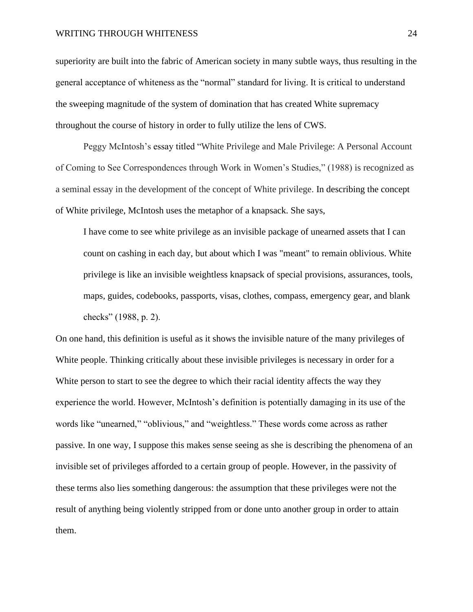superiority are built into the fabric of American society in many subtle ways, thus resulting in the general acceptance of whiteness as the "normal" standard for living. It is critical to understand the sweeping magnitude of the system of domination that has created White supremacy throughout the course of history in order to fully utilize the lens of CWS.

Peggy McIntosh's essay titled "White Privilege and Male Privilege: A Personal Account of Coming to See Correspondences through Work in Women's Studies," (1988) is recognized as a seminal essay in the development of the concept of White privilege. In describing the concept of White privilege, McIntosh uses the metaphor of a knapsack. She says,

I have come to see white privilege as an invisible package of unearned assets that I can count on cashing in each day, but about which I was "meant" to remain oblivious. White privilege is like an invisible weightless knapsack of special provisions, assurances, tools, maps, guides, codebooks, passports, visas, clothes, compass, emergency gear, and blank checks" (1988, p. 2).

On one hand, this definition is useful as it shows the invisible nature of the many privileges of White people. Thinking critically about these invisible privileges is necessary in order for a White person to start to see the degree to which their racial identity affects the way they experience the world. However, McIntosh's definition is potentially damaging in its use of the words like "unearned," "oblivious," and "weightless." These words come across as rather passive. In one way, I suppose this makes sense seeing as she is describing the phenomena of an invisible set of privileges afforded to a certain group of people. However, in the passivity of these terms also lies something dangerous: the assumption that these privileges were not the result of anything being violently stripped from or done unto another group in order to attain them.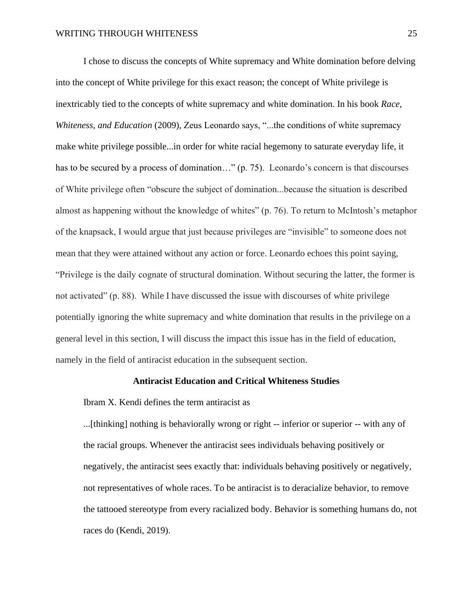I chose to discuss the concepts of White supremacy and White domination before delving into the concept of White privilege for this exact reason; the concept of White privilege is inextricably tied to the concepts of white supremacy and white domination. In his book *Race, Whiteness, and Education (2009), Zeus Leonardo says, "...the conditions of white supremacy* make white privilege possible...in order for white racial hegemony to saturate everyday life, it has to be secured by a process of domination..." (p. 75). Leonardo's concern is that discourses of White privilege often "obscure the subject of domination...because the situation is described almost as happening without the knowledge of whites" (p. 76). To return to McIntosh's metaphor of the knapsack, I would argue that just because privileges are "invisible" to someone does not mean that they were attained without any action or force. Leonardo echoes this point saying, "Privilege is the daily cognate of structural domination. Without securing the latter, the former is not activated" (p. 88). While I have discussed the issue with discourses of white privilege potentially ignoring the white supremacy and white domination that results in the privilege on a general level in this section, I will discuss the impact this issue has in the field of education, namely in the field of antiracist education in the subsequent section.

## **Antiracist Education and Critical Whiteness Studies**

Ibram X. Kendi defines the term antiracist as

...[thinking] nothing is behaviorally wrong or right -- inferior or superior -- with any of the racial groups. Whenever the antiracist sees individuals behaving positively or negatively, the antiracist sees exactly that: individuals behaving positively or negatively, not representatives of whole races. To be antiracist is to deracialize behavior, to remove the tattooed stereotype from every racialized body. Behavior is something humans do, not races do (Kendi, 2019).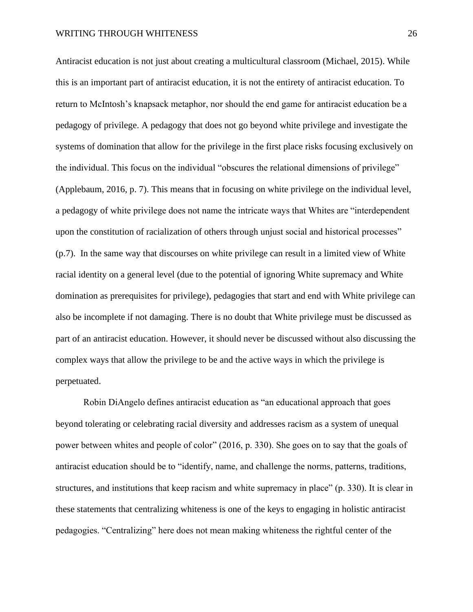Antiracist education is not just about creating a multicultural classroom (Michael, 2015). While this is an important part of antiracist education, it is not the entirety of antiracist education. To return to McIntosh's knapsack metaphor, nor should the end game for antiracist education be a pedagogy of privilege. A pedagogy that does not go beyond white privilege and investigate the systems of domination that allow for the privilege in the first place risks focusing exclusively on the individual. This focus on the individual "obscures the relational dimensions of privilege" (Applebaum, 2016, p. 7). This means that in focusing on white privilege on the individual level, a pedagogy of white privilege does not name the intricate ways that Whites are "interdependent upon the constitution of racialization of others through unjust social and historical processes" (p.7). In the same way that discourses on white privilege can result in a limited view of White racial identity on a general level (due to the potential of ignoring White supremacy and White domination as prerequisites for privilege), pedagogies that start and end with White privilege can also be incomplete if not damaging. There is no doubt that White privilege must be discussed as part of an antiracist education. However, it should never be discussed without also discussing the complex ways that allow the privilege to be and the active ways in which the privilege is perpetuated.

Robin DiAngelo defines antiracist education as "an educational approach that goes beyond tolerating or celebrating racial diversity and addresses racism as a system of unequal power between whites and people of color" (2016, p. 330). She goes on to say that the goals of antiracist education should be to "identify, name, and challenge the norms, patterns, traditions, structures, and institutions that keep racism and white supremacy in place" (p. 330). It is clear in these statements that centralizing whiteness is one of the keys to engaging in holistic antiracist pedagogies. "Centralizing" here does not mean making whiteness the rightful center of the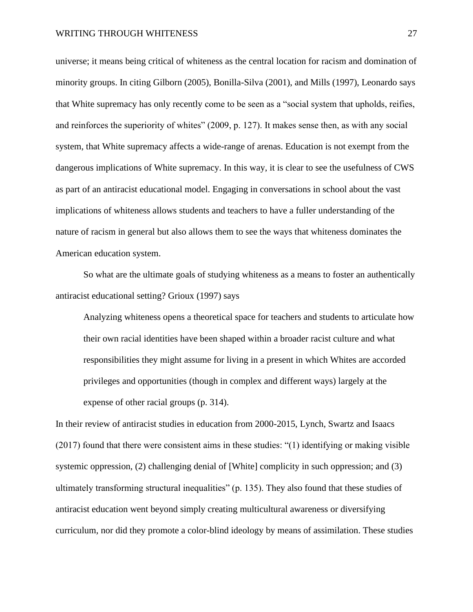universe; it means being critical of whiteness as the central location for racism and domination of minority groups. In citing Gilborn (2005), Bonilla-Silva (2001), and Mills (1997), Leonardo says that White supremacy has only recently come to be seen as a "social system that upholds, reifies, and reinforces the superiority of whites" (2009, p. 127). It makes sense then, as with any social system, that White supremacy affects a wide-range of arenas. Education is not exempt from the dangerous implications of White supremacy. In this way, it is clear to see the usefulness of CWS as part of an antiracist educational model. Engaging in conversations in school about the vast implications of whiteness allows students and teachers to have a fuller understanding of the nature of racism in general but also allows them to see the ways that whiteness dominates the American education system.

So what are the ultimate goals of studying whiteness as a means to foster an authentically antiracist educational setting? Grioux (1997) says

Analyzing whiteness opens a theoretical space for teachers and students to articulate how their own racial identities have been shaped within a broader racist culture and what responsibilities they might assume for living in a present in which Whites are accorded privileges and opportunities (though in complex and different ways) largely at the expense of other racial groups (p. 314).

In their review of antiracist studies in education from 2000-2015, Lynch, Swartz and Isaacs (2017) found that there were consistent aims in these studies: "(1) identifying or making visible systemic oppression, (2) challenging denial of [White] complicity in such oppression; and (3) ultimately transforming structural inequalities" (p. 135). They also found that these studies of antiracist education went beyond simply creating multicultural awareness or diversifying curriculum, nor did they promote a color-blind ideology by means of assimilation. These studies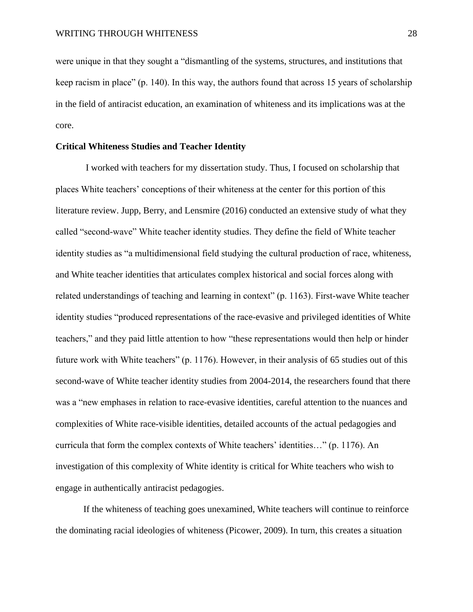were unique in that they sought a "dismantling of the systems, structures, and institutions that keep racism in place" (p. 140). In this way, the authors found that across 15 years of scholarship in the field of antiracist education, an examination of whiteness and its implications was at the core.

## **Critical Whiteness Studies and Teacher Identity**

I worked with teachers for my dissertation study. Thus, I focused on scholarship that places White teachers' conceptions of their whiteness at the center for this portion of this literature review. Jupp, Berry, and Lensmire (2016) conducted an extensive study of what they called "second-wave" White teacher identity studies. They define the field of White teacher identity studies as "a multidimensional field studying the cultural production of race, whiteness, and White teacher identities that articulates complex historical and social forces along with related understandings of teaching and learning in context" (p. 1163). First-wave White teacher identity studies "produced representations of the race-evasive and privileged identities of White teachers," and they paid little attention to how "these representations would then help or hinder future work with White teachers" (p. 1176). However, in their analysis of 65 studies out of this second-wave of White teacher identity studies from 2004-2014, the researchers found that there was a "new emphases in relation to race-evasive identities, careful attention to the nuances and complexities of White race-visible identities, detailed accounts of the actual pedagogies and curricula that form the complex contexts of White teachers' identities…" (p. 1176). An investigation of this complexity of White identity is critical for White teachers who wish to engage in authentically antiracist pedagogies.

If the whiteness of teaching goes unexamined, White teachers will continue to reinforce the dominating racial ideologies of whiteness (Picower, 2009). In turn, this creates a situation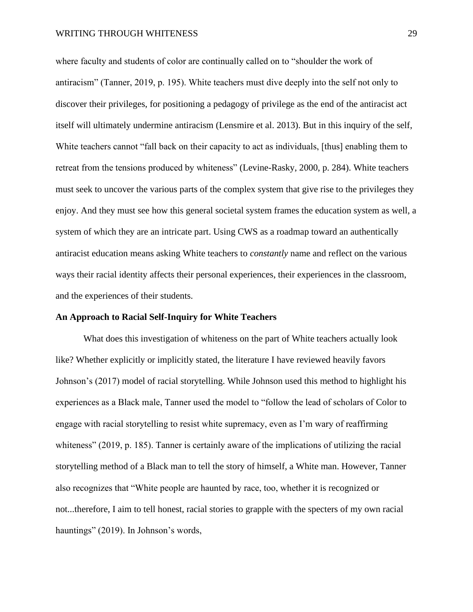where faculty and students of color are continually called on to "shoulder the work of antiracism" (Tanner, 2019, p. 195). White teachers must dive deeply into the self not only to discover their privileges, for positioning a pedagogy of privilege as the end of the antiracist act itself will ultimately undermine antiracism (Lensmire et al. 2013). But in this inquiry of the self, White teachers cannot "fall back on their capacity to act as individuals, [thus] enabling them to retreat from the tensions produced by whiteness" (Levine-Rasky, 2000, p. 284). White teachers must seek to uncover the various parts of the complex system that give rise to the privileges they enjoy. And they must see how this general societal system frames the education system as well, a system of which they are an intricate part. Using CWS as a roadmap toward an authentically antiracist education means asking White teachers to *constantly* name and reflect on the various ways their racial identity affects their personal experiences, their experiences in the classroom, and the experiences of their students.

#### **An Approach to Racial Self-Inquiry for White Teachers**

What does this investigation of whiteness on the part of White teachers actually look like? Whether explicitly or implicitly stated, the literature I have reviewed heavily favors Johnson's (2017) model of racial storytelling. While Johnson used this method to highlight his experiences as a Black male, Tanner used the model to "follow the lead of scholars of Color to engage with racial storytelling to resist white supremacy, even as I'm wary of reaffirming whiteness" (2019, p. 185). Tanner is certainly aware of the implications of utilizing the racial storytelling method of a Black man to tell the story of himself, a White man. However, Tanner also recognizes that "White people are haunted by race, too, whether it is recognized or not...therefore, I aim to tell honest, racial stories to grapple with the specters of my own racial hauntings" (2019). In Johnson's words,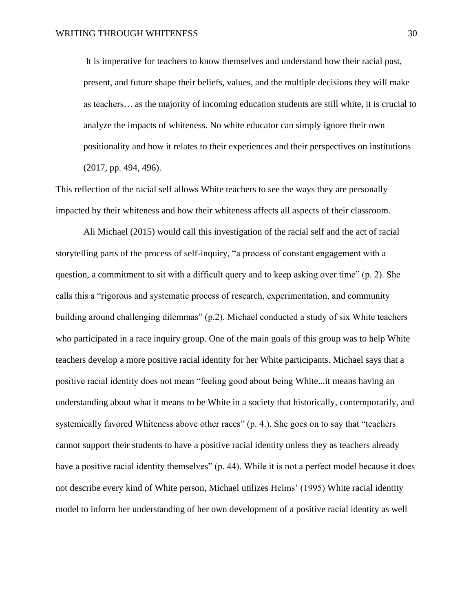It is imperative for teachers to know themselves and understand how their racial past, present, and future shape their beliefs, values, and the multiple decisions they will make as teachers… as the majority of incoming education students are still white, it is crucial to analyze the impacts of whiteness. No white educator can simply ignore their own positionality and how it relates to their experiences and their perspectives on institutions (2017, pp. 494, 496).

This reflection of the racial self allows White teachers to see the ways they are personally impacted by their whiteness and how their whiteness affects all aspects of their classroom.

Ali Michael (2015) would call this investigation of the racial self and the act of racial storytelling parts of the process of self-inquiry, "a process of constant engagement with a question, a commitment to sit with a difficult query and to keep asking over time" (p. 2). She calls this a "rigorous and systematic process of research, experimentation, and community building around challenging dilemmas" (p.2). Michael conducted a study of six White teachers who participated in a race inquiry group. One of the main goals of this group was to help White teachers develop a more positive racial identity for her White participants. Michael says that a positive racial identity does not mean "feeling good about being White...it means having an understanding about what it means to be White in a society that historically, contemporarily, and systemically favored Whiteness above other races" (p. 4.). She goes on to say that "teachers" cannot support their students to have a positive racial identity unless they as teachers already have a positive racial identity themselves" (p. 44). While it is not a perfect model because it does not describe every kind of White person, Michael utilizes Helms' (1995) White racial identity model to inform her understanding of her own development of a positive racial identity as well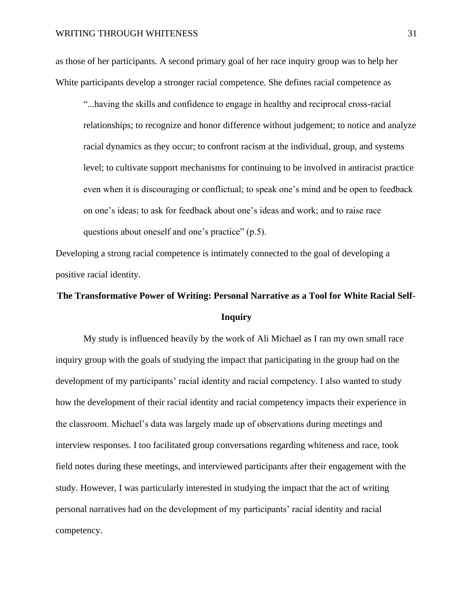as those of her participants. A second primary goal of her race inquiry group was to help her White participants develop a stronger racial competence. She defines racial competence as

"...having the skills and confidence to engage in healthy and reciprocal cross-racial relationships; to recognize and honor difference without judgement; to notice and analyze racial dynamics as they occur; to confront racism at the individual, group, and systems level; to cultivate support mechanisms for continuing to be involved in antiracist practice even when it is discouraging or conflictual; to speak one's mind and be open to feedback on one's ideas; to ask for feedback about one's ideas and work; and to raise race questions about oneself and one's practice" (p.5).

Developing a strong racial competence is intimately connected to the goal of developing a positive racial identity.

# **The Transformative Power of Writing: Personal Narrative as a Tool for White Racial Self-Inquiry**

My study is influenced heavily by the work of Ali Michael as I ran my own small race inquiry group with the goals of studying the impact that participating in the group had on the development of my participants' racial identity and racial competency. I also wanted to study how the development of their racial identity and racial competency impacts their experience in the classroom. Michael's data was largely made up of observations during meetings and interview responses. I too facilitated group conversations regarding whiteness and race, took field notes during these meetings, and interviewed participants after their engagement with the study. However, I was particularly interested in studying the impact that the act of writing personal narratives had on the development of my participants' racial identity and racial competency.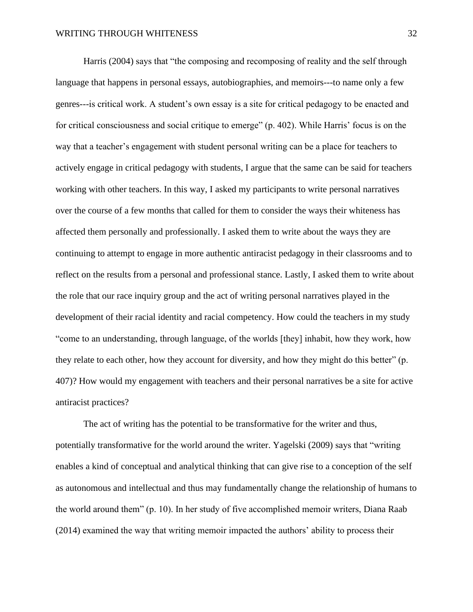Harris (2004) says that "the composing and recomposing of reality and the self through language that happens in personal essays, autobiographies, and memoirs---to name only a few genres---is critical work. A student's own essay is a site for critical pedagogy to be enacted and for critical consciousness and social critique to emerge" (p. 402). While Harris' focus is on the way that a teacher's engagement with student personal writing can be a place for teachers to actively engage in critical pedagogy with students, I argue that the same can be said for teachers working with other teachers. In this way, I asked my participants to write personal narratives over the course of a few months that called for them to consider the ways their whiteness has affected them personally and professionally. I asked them to write about the ways they are continuing to attempt to engage in more authentic antiracist pedagogy in their classrooms and to reflect on the results from a personal and professional stance. Lastly, I asked them to write about the role that our race inquiry group and the act of writing personal narratives played in the development of their racial identity and racial competency. How could the teachers in my study "come to an understanding, through language, of the worlds [they] inhabit, how they work, how they relate to each other, how they account for diversity, and how they might do this better" (p. 407)? How would my engagement with teachers and their personal narratives be a site for active antiracist practices?

The act of writing has the potential to be transformative for the writer and thus, potentially transformative for the world around the writer. Yagelski (2009) says that "writing enables a kind of conceptual and analytical thinking that can give rise to a conception of the self as autonomous and intellectual and thus may fundamentally change the relationship of humans to the world around them" (p. 10). In her study of five accomplished memoir writers, Diana Raab (2014) examined the way that writing memoir impacted the authors' ability to process their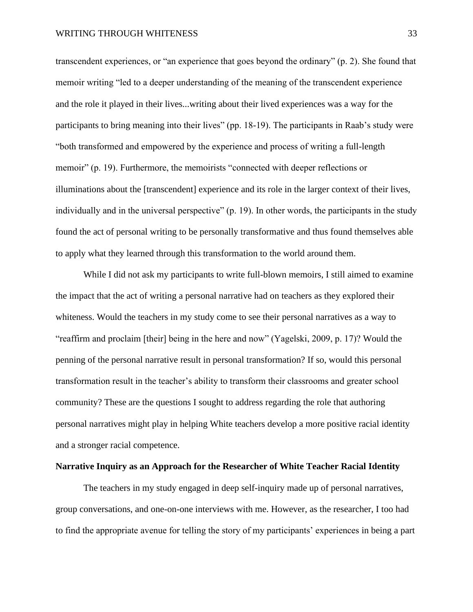transcendent experiences, or "an experience that goes beyond the ordinary" (p. 2). She found that memoir writing "led to a deeper understanding of the meaning of the transcendent experience and the role it played in their lives...writing about their lived experiences was a way for the participants to bring meaning into their lives" (pp. 18-19). The participants in Raab's study were "both transformed and empowered by the experience and process of writing a full-length memoir" (p. 19). Furthermore, the memoirists "connected with deeper reflections or illuminations about the [transcendent] experience and its role in the larger context of their lives, individually and in the universal perspective" (p. 19). In other words, the participants in the study found the act of personal writing to be personally transformative and thus found themselves able to apply what they learned through this transformation to the world around them.

While I did not ask my participants to write full-blown memoirs, I still aimed to examine the impact that the act of writing a personal narrative had on teachers as they explored their whiteness. Would the teachers in my study come to see their personal narratives as a way to "reaffirm and proclaim [their] being in the here and now" (Yagelski, 2009, p. 17)? Would the penning of the personal narrative result in personal transformation? If so, would this personal transformation result in the teacher's ability to transform their classrooms and greater school community? These are the questions I sought to address regarding the role that authoring personal narratives might play in helping White teachers develop a more positive racial identity and a stronger racial competence.

# **Narrative Inquiry as an Approach for the Researcher of White Teacher Racial Identity**

The teachers in my study engaged in deep self-inquiry made up of personal narratives, group conversations, and one-on-one interviews with me. However, as the researcher, I too had to find the appropriate avenue for telling the story of my participants' experiences in being a part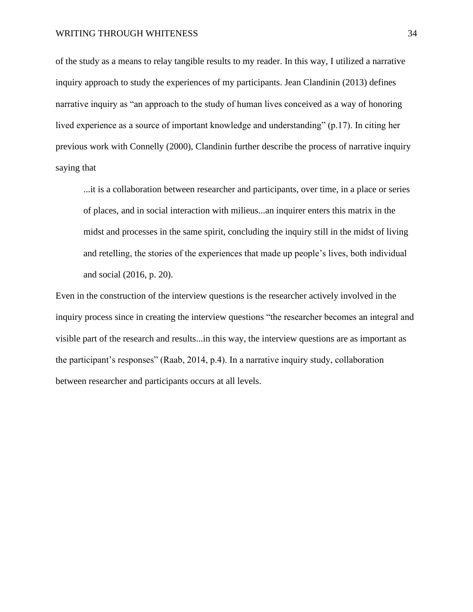of the study as a means to relay tangible results to my reader. In this way, I utilized a narrative inquiry approach to study the experiences of my participants. Jean Clandinin (2013) defines narrative inquiry as "an approach to the study of human lives conceived as a way of honoring lived experience as a source of important knowledge and understanding" (p.17). In citing her previous work with Connelly (2000), Clandinin further describe the process of narrative inquiry saying that

...it is a collaboration between researcher and participants, over time, in a place or series of places, and in social interaction with milieus...an inquirer enters this matrix in the midst and processes in the same spirit, concluding the inquiry still in the midst of living and retelling, the stories of the experiences that made up people's lives, both individual and social (2016, p. 20).

Even in the construction of the interview questions is the researcher actively involved in the inquiry process since in creating the interview questions "the researcher becomes an integral and visible part of the research and results...in this way, the interview questions are as important as the participant's responses" (Raab, 2014, p.4). In a narrative inquiry study, collaboration between researcher and participants occurs at all levels.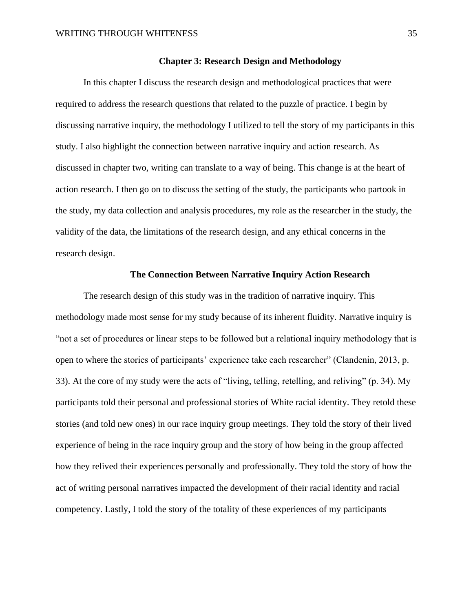## **Chapter 3: Research Design and Methodology**

In this chapter I discuss the research design and methodological practices that were required to address the research questions that related to the puzzle of practice. I begin by discussing narrative inquiry, the methodology I utilized to tell the story of my participants in this study. I also highlight the connection between narrative inquiry and action research. As discussed in chapter two, writing can translate to a way of being. This change is at the heart of action research. I then go on to discuss the setting of the study, the participants who partook in the study, my data collection and analysis procedures, my role as the researcher in the study, the validity of the data, the limitations of the research design, and any ethical concerns in the research design.

## **The Connection Between Narrative Inquiry Action Research**

The research design of this study was in the tradition of narrative inquiry. This methodology made most sense for my study because of its inherent fluidity. Narrative inquiry is "not a set of procedures or linear steps to be followed but a relational inquiry methodology that is open to where the stories of participants' experience take each researcher" (Clandenin, 2013, p. 33). At the core of my study were the acts of "living, telling, retelling, and reliving" (p. 34). My participants told their personal and professional stories of White racial identity. They retold these stories (and told new ones) in our race inquiry group meetings. They told the story of their lived experience of being in the race inquiry group and the story of how being in the group affected how they relived their experiences personally and professionally. They told the story of how the act of writing personal narratives impacted the development of their racial identity and racial competency. Lastly, I told the story of the totality of these experiences of my participants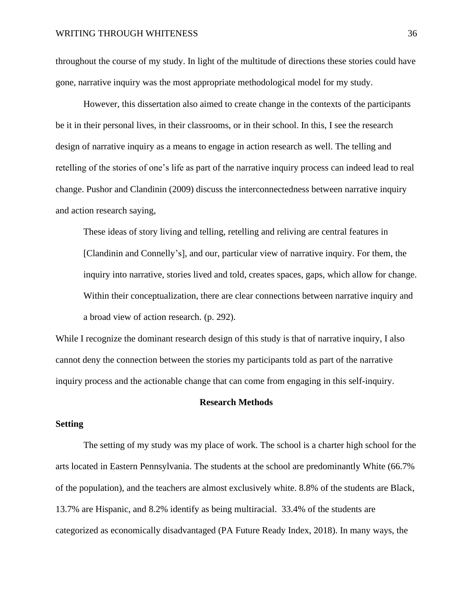throughout the course of my study. In light of the multitude of directions these stories could have gone, narrative inquiry was the most appropriate methodological model for my study.

However, this dissertation also aimed to create change in the contexts of the participants be it in their personal lives, in their classrooms, or in their school. In this, I see the research design of narrative inquiry as a means to engage in action research as well. The telling and retelling of the stories of one's life as part of the narrative inquiry process can indeed lead to real change. Pushor and Clandinin (2009) discuss the interconnectedness between narrative inquiry and action research saying,

These ideas of story living and telling, retelling and reliving are central features in [Clandinin and Connelly's], and our, particular view of narrative inquiry. For them, the inquiry into narrative, stories lived and told, creates spaces, gaps, which allow for change. Within their conceptualization, there are clear connections between narrative inquiry and a broad view of action research. (p. 292).

While I recognize the dominant research design of this study is that of narrative inquiry, I also cannot deny the connection between the stories my participants told as part of the narrative inquiry process and the actionable change that can come from engaging in this self-inquiry.

#### **Research Methods**

# **Setting**

The setting of my study was my place of work. The school is a charter high school for the arts located in Eastern Pennsylvania. The students at the school are predominantly White (66.7% of the population), and the teachers are almost exclusively white. 8.8% of the students are Black, 13.7% are Hispanic, and 8.2% identify as being multiracial. 33.4% of the students are categorized as economically disadvantaged (PA Future Ready Index, 2018). In many ways, the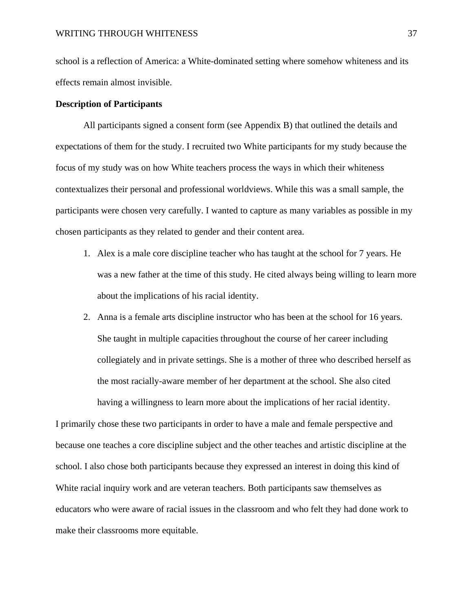school is a reflection of America: a White-dominated setting where somehow whiteness and its effects remain almost invisible.

## **Description of Participants**

All participants signed a consent form (see Appendix B) that outlined the details and expectations of them for the study. I recruited two White participants for my study because the focus of my study was on how White teachers process the ways in which their whiteness contextualizes their personal and professional worldviews. While this was a small sample, the participants were chosen very carefully. I wanted to capture as many variables as possible in my chosen participants as they related to gender and their content area.

- 1. Alex is a male core discipline teacher who has taught at the school for 7 years. He was a new father at the time of this study. He cited always being willing to learn more about the implications of his racial identity.
- 2. Anna is a female arts discipline instructor who has been at the school for 16 years. She taught in multiple capacities throughout the course of her career including collegiately and in private settings. She is a mother of three who described herself as the most racially-aware member of her department at the school. She also cited having a willingness to learn more about the implications of her racial identity.

I primarily chose these two participants in order to have a male and female perspective and because one teaches a core discipline subject and the other teaches and artistic discipline at the school. I also chose both participants because they expressed an interest in doing this kind of White racial inquiry work and are veteran teachers. Both participants saw themselves as educators who were aware of racial issues in the classroom and who felt they had done work to make their classrooms more equitable.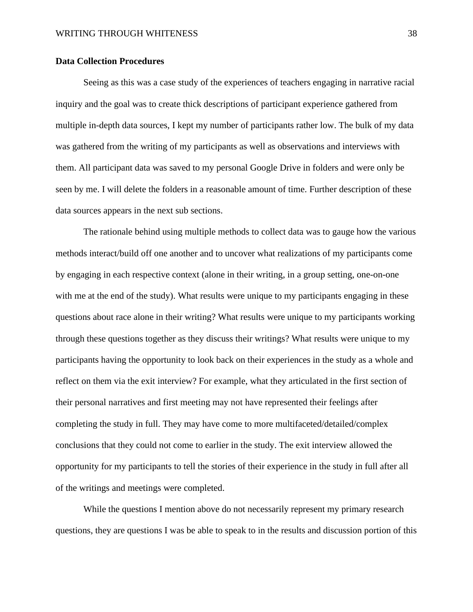## **Data Collection Procedures**

Seeing as this was a case study of the experiences of teachers engaging in narrative racial inquiry and the goal was to create thick descriptions of participant experience gathered from multiple in-depth data sources, I kept my number of participants rather low. The bulk of my data was gathered from the writing of my participants as well as observations and interviews with them. All participant data was saved to my personal Google Drive in folders and were only be seen by me. I will delete the folders in a reasonable amount of time. Further description of these data sources appears in the next sub sections.

The rationale behind using multiple methods to collect data was to gauge how the various methods interact/build off one another and to uncover what realizations of my participants come by engaging in each respective context (alone in their writing, in a group setting, one-on-one with me at the end of the study). What results were unique to my participants engaging in these questions about race alone in their writing? What results were unique to my participants working through these questions together as they discuss their writings? What results were unique to my participants having the opportunity to look back on their experiences in the study as a whole and reflect on them via the exit interview? For example, what they articulated in the first section of their personal narratives and first meeting may not have represented their feelings after completing the study in full. They may have come to more multifaceted/detailed/complex conclusions that they could not come to earlier in the study. The exit interview allowed the opportunity for my participants to tell the stories of their experience in the study in full after all of the writings and meetings were completed.

While the questions I mention above do not necessarily represent my primary research questions, they are questions I was be able to speak to in the results and discussion portion of this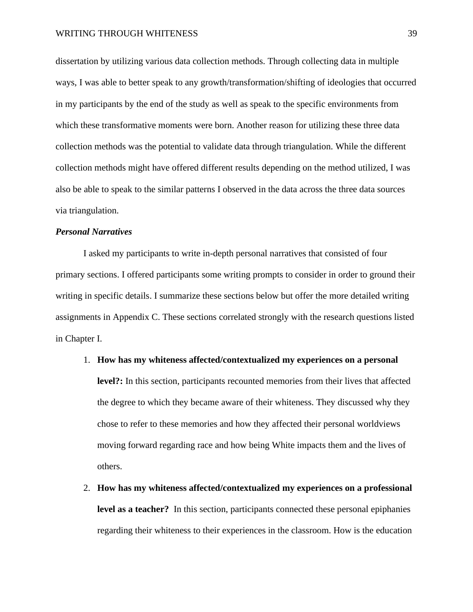dissertation by utilizing various data collection methods. Through collecting data in multiple ways, I was able to better speak to any growth/transformation/shifting of ideologies that occurred in my participants by the end of the study as well as speak to the specific environments from which these transformative moments were born. Another reason for utilizing these three data collection methods was the potential to validate data through triangulation. While the different collection methods might have offered different results depending on the method utilized, I was also be able to speak to the similar patterns I observed in the data across the three data sources via triangulation.

## *Personal Narratives*

I asked my participants to write in-depth personal narratives that consisted of four primary sections. I offered participants some writing prompts to consider in order to ground their writing in specific details. I summarize these sections below but offer the more detailed writing assignments in Appendix C. These sections correlated strongly with the research questions listed in Chapter I.

- 1. **How has my whiteness affected/contextualized my experiences on a personal level?:** In this section, participants recounted memories from their lives that affected the degree to which they became aware of their whiteness. They discussed why they chose to refer to these memories and how they affected their personal worldviews moving forward regarding race and how being White impacts them and the lives of others.
- 2. **How has my whiteness affected/contextualized my experiences on a professional level as a teacher?** In this section, participants connected these personal epiphanies regarding their whiteness to their experiences in the classroom. How is the education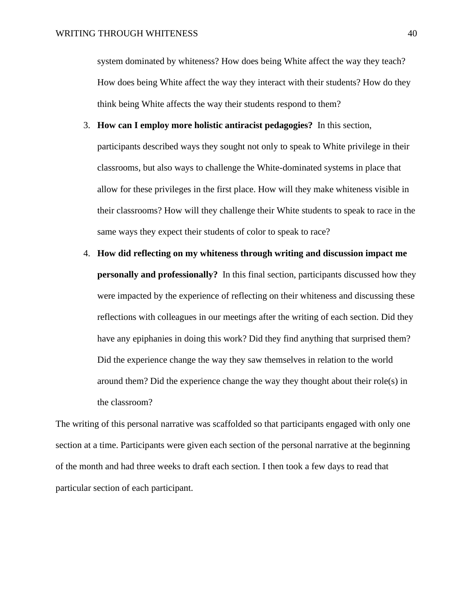system dominated by whiteness? How does being White affect the way they teach? How does being White affect the way they interact with their students? How do they think being White affects the way their students respond to them?

- 3. **How can I employ more holistic antiracist pedagogies?** In this section, participants described ways they sought not only to speak to White privilege in their classrooms, but also ways to challenge the White-dominated systems in place that allow for these privileges in the first place. How will they make whiteness visible in their classrooms? How will they challenge their White students to speak to race in the same ways they expect their students of color to speak to race?
- 4. **How did reflecting on my whiteness through writing and discussion impact me personally and professionally?** In this final section, participants discussed how they were impacted by the experience of reflecting on their whiteness and discussing these reflections with colleagues in our meetings after the writing of each section. Did they have any epiphanies in doing this work? Did they find anything that surprised them? Did the experience change the way they saw themselves in relation to the world around them? Did the experience change the way they thought about their role(s) in the classroom?

The writing of this personal narrative was scaffolded so that participants engaged with only one section at a time. Participants were given each section of the personal narrative at the beginning of the month and had three weeks to draft each section. I then took a few days to read that particular section of each participant.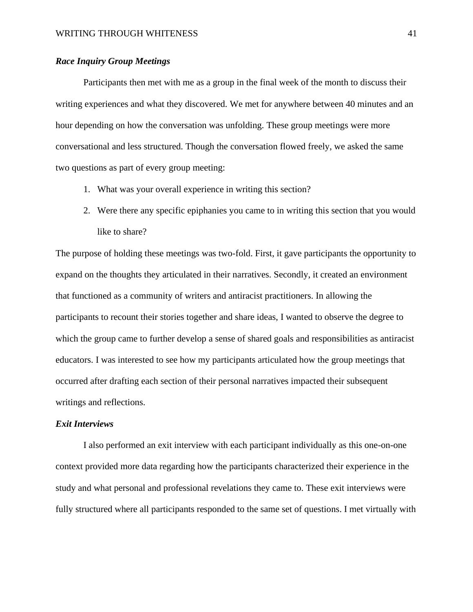# *Race Inquiry Group Meetings*

Participants then met with me as a group in the final week of the month to discuss their writing experiences and what they discovered. We met for anywhere between 40 minutes and an hour depending on how the conversation was unfolding. These group meetings were more conversational and less structured. Though the conversation flowed freely, we asked the same two questions as part of every group meeting:

- 1. What was your overall experience in writing this section?
- 2. Were there any specific epiphanies you came to in writing this section that you would like to share?

The purpose of holding these meetings was two-fold. First, it gave participants the opportunity to expand on the thoughts they articulated in their narratives. Secondly, it created an environment that functioned as a community of writers and antiracist practitioners. In allowing the participants to recount their stories together and share ideas, I wanted to observe the degree to which the group came to further develop a sense of shared goals and responsibilities as antiracist educators. I was interested to see how my participants articulated how the group meetings that occurred after drafting each section of their personal narratives impacted their subsequent writings and reflections.

#### *Exit Interviews*

I also performed an exit interview with each participant individually as this one-on-one context provided more data regarding how the participants characterized their experience in the study and what personal and professional revelations they came to. These exit interviews were fully structured where all participants responded to the same set of questions. I met virtually with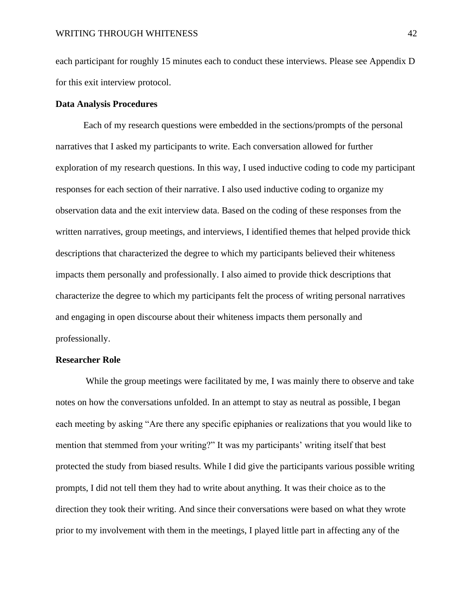each participant for roughly 15 minutes each to conduct these interviews. Please see Appendix D for this exit interview protocol.

## **Data Analysis Procedures**

Each of my research questions were embedded in the sections/prompts of the personal narratives that I asked my participants to write. Each conversation allowed for further exploration of my research questions. In this way, I used inductive coding to code my participant responses for each section of their narrative. I also used inductive coding to organize my observation data and the exit interview data. Based on the coding of these responses from the written narratives, group meetings, and interviews, I identified themes that helped provide thick descriptions that characterized the degree to which my participants believed their whiteness impacts them personally and professionally. I also aimed to provide thick descriptions that characterize the degree to which my participants felt the process of writing personal narratives and engaging in open discourse about their whiteness impacts them personally and professionally.

#### **Researcher Role**

While the group meetings were facilitated by me, I was mainly there to observe and take notes on how the conversations unfolded. In an attempt to stay as neutral as possible, I began each meeting by asking "Are there any specific epiphanies or realizations that you would like to mention that stemmed from your writing?" It was my participants' writing itself that best protected the study from biased results. While I did give the participants various possible writing prompts, I did not tell them they had to write about anything. It was their choice as to the direction they took their writing. And since their conversations were based on what they wrote prior to my involvement with them in the meetings, I played little part in affecting any of the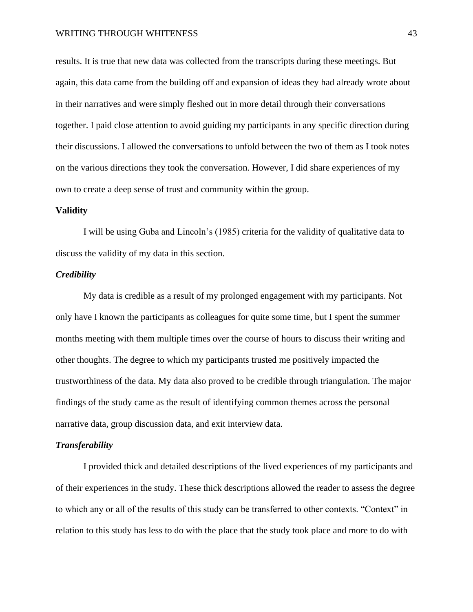results. It is true that new data was collected from the transcripts during these meetings. But again, this data came from the building off and expansion of ideas they had already wrote about in their narratives and were simply fleshed out in more detail through their conversations together. I paid close attention to avoid guiding my participants in any specific direction during their discussions. I allowed the conversations to unfold between the two of them as I took notes on the various directions they took the conversation. However, I did share experiences of my own to create a deep sense of trust and community within the group.

#### **Validity**

I will be using Guba and Lincoln's (1985) criteria for the validity of qualitative data to discuss the validity of my data in this section.

#### *Credibility*

My data is credible as a result of my prolonged engagement with my participants. Not only have I known the participants as colleagues for quite some time, but I spent the summer months meeting with them multiple times over the course of hours to discuss their writing and other thoughts. The degree to which my participants trusted me positively impacted the trustworthiness of the data. My data also proved to be credible through triangulation. The major findings of the study came as the result of identifying common themes across the personal narrative data, group discussion data, and exit interview data.

## *Transferability*

I provided thick and detailed descriptions of the lived experiences of my participants and of their experiences in the study. These thick descriptions allowed the reader to assess the degree to which any or all of the results of this study can be transferred to other contexts. "Context" in relation to this study has less to do with the place that the study took place and more to do with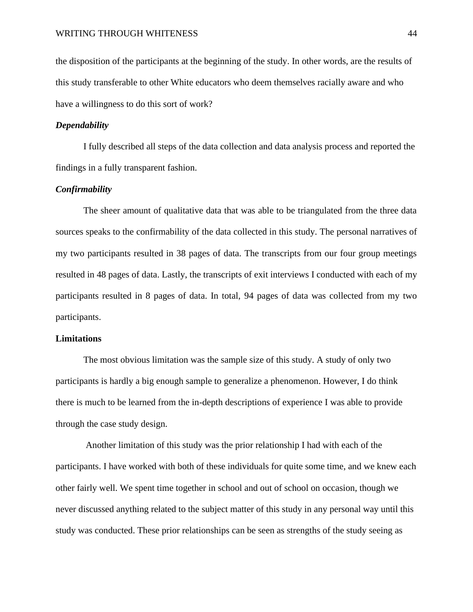the disposition of the participants at the beginning of the study. In other words, are the results of this study transferable to other White educators who deem themselves racially aware and who have a willingness to do this sort of work?

## *Dependability*

I fully described all steps of the data collection and data analysis process and reported the findings in a fully transparent fashion.

## *Confirmability*

The sheer amount of qualitative data that was able to be triangulated from the three data sources speaks to the confirmability of the data collected in this study. The personal narratives of my two participants resulted in 38 pages of data. The transcripts from our four group meetings resulted in 48 pages of data. Lastly, the transcripts of exit interviews I conducted with each of my participants resulted in 8 pages of data. In total, 94 pages of data was collected from my two participants.

#### **Limitations**

The most obvious limitation was the sample size of this study. A study of only two participants is hardly a big enough sample to generalize a phenomenon. However, I do think there is much to be learned from the in-depth descriptions of experience I was able to provide through the case study design.

Another limitation of this study was the prior relationship I had with each of the participants. I have worked with both of these individuals for quite some time, and we knew each other fairly well. We spent time together in school and out of school on occasion, though we never discussed anything related to the subject matter of this study in any personal way until this study was conducted. These prior relationships can be seen as strengths of the study seeing as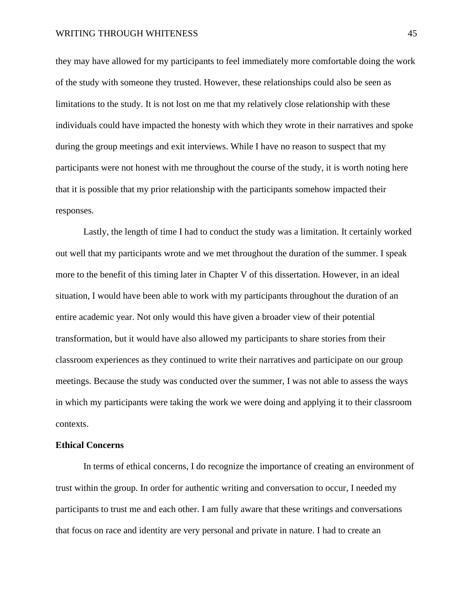they may have allowed for my participants to feel immediately more comfortable doing the work of the study with someone they trusted. However, these relationships could also be seen as limitations to the study. It is not lost on me that my relatively close relationship with these individuals could have impacted the honesty with which they wrote in their narratives and spoke during the group meetings and exit interviews. While I have no reason to suspect that my participants were not honest with me throughout the course of the study, it is worth noting here that it is possible that my prior relationship with the participants somehow impacted their responses.

Lastly, the length of time I had to conduct the study was a limitation. It certainly worked out well that my participants wrote and we met throughout the duration of the summer. I speak more to the benefit of this timing later in Chapter V of this dissertation. However, in an ideal situation, I would have been able to work with my participants throughout the duration of an entire academic year. Not only would this have given a broader view of their potential transformation, but it would have also allowed my participants to share stories from their classroom experiences as they continued to write their narratives and participate on our group meetings. Because the study was conducted over the summer, I was not able to assess the ways in which my participants were taking the work we were doing and applying it to their classroom contexts.

#### **Ethical Concerns**

In terms of ethical concerns, I do recognize the importance of creating an environment of trust within the group. In order for authentic writing and conversation to occur, I needed my participants to trust me and each other. I am fully aware that these writings and conversations that focus on race and identity are very personal and private in nature. I had to create an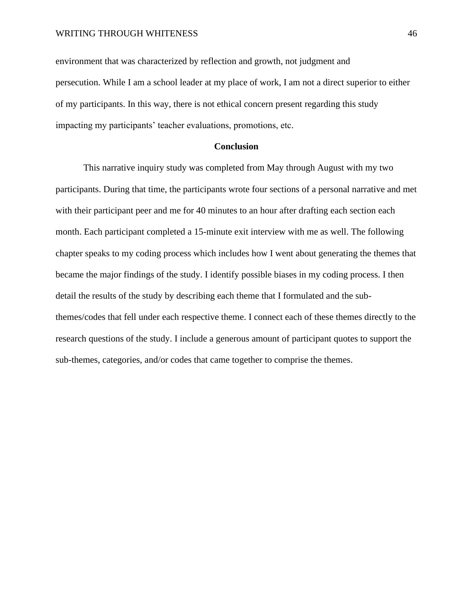environment that was characterized by reflection and growth, not judgment and persecution. While I am a school leader at my place of work, I am not a direct superior to either of my participants. In this way, there is not ethical concern present regarding this study impacting my participants' teacher evaluations, promotions, etc.

# **Conclusion**

This narrative inquiry study was completed from May through August with my two participants. During that time, the participants wrote four sections of a personal narrative and met with their participant peer and me for 40 minutes to an hour after drafting each section each month. Each participant completed a 15-minute exit interview with me as well. The following chapter speaks to my coding process which includes how I went about generating the themes that became the major findings of the study. I identify possible biases in my coding process. I then detail the results of the study by describing each theme that I formulated and the subthemes/codes that fell under each respective theme. I connect each of these themes directly to the research questions of the study. I include a generous amount of participant quotes to support the sub-themes, categories, and/or codes that came together to comprise the themes.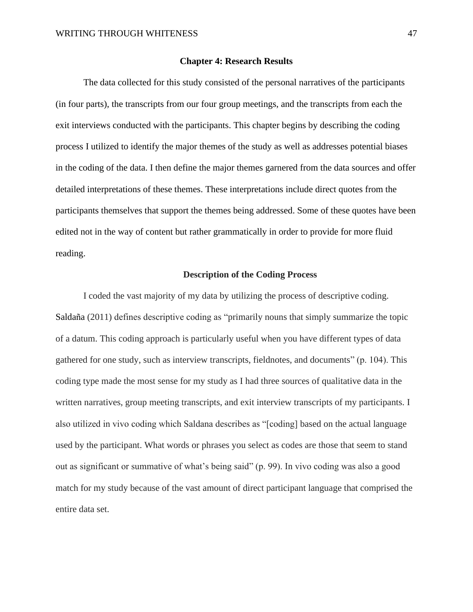#### **Chapter 4: Research Results**

The data collected for this study consisted of the personal narratives of the participants (in four parts), the transcripts from our four group meetings, and the transcripts from each the exit interviews conducted with the participants. This chapter begins by describing the coding process I utilized to identify the major themes of the study as well as addresses potential biases in the coding of the data. I then define the major themes garnered from the data sources and offer detailed interpretations of these themes. These interpretations include direct quotes from the participants themselves that support the themes being addressed. Some of these quotes have been edited not in the way of content but rather grammatically in order to provide for more fluid reading.

#### **Description of the Coding Process**

I coded the vast majority of my data by utilizing the process of descriptive coding. Saldaña (2011) defines descriptive coding as "primarily nouns that simply summarize the topic of a datum. This coding approach is particularly useful when you have different types of data gathered for one study, such as interview transcripts, fieldnotes, and documents" (p. 104). This coding type made the most sense for my study as I had three sources of qualitative data in the written narratives, group meeting transcripts, and exit interview transcripts of my participants. I also utilized in vivo coding which Saldana describes as "[coding] based on the actual language used by the participant. What words or phrases you select as codes are those that seem to stand out as significant or summative of what's being said" (p. 99). In vivo coding was also a good match for my study because of the vast amount of direct participant language that comprised the entire data set.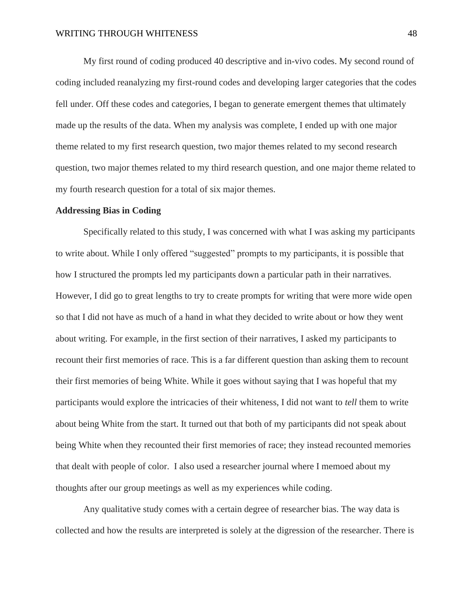My first round of coding produced 40 descriptive and in-vivo codes. My second round of coding included reanalyzing my first-round codes and developing larger categories that the codes fell under. Off these codes and categories, I began to generate emergent themes that ultimately made up the results of the data. When my analysis was complete, I ended up with one major theme related to my first research question, two major themes related to my second research question, two major themes related to my third research question, and one major theme related to my fourth research question for a total of six major themes.

#### **Addressing Bias in Coding**

Specifically related to this study, I was concerned with what I was asking my participants to write about. While I only offered "suggested" prompts to my participants, it is possible that how I structured the prompts led my participants down a particular path in their narratives. However, I did go to great lengths to try to create prompts for writing that were more wide open so that I did not have as much of a hand in what they decided to write about or how they went about writing. For example, in the first section of their narratives, I asked my participants to recount their first memories of race. This is a far different question than asking them to recount their first memories of being White. While it goes without saying that I was hopeful that my participants would explore the intricacies of their whiteness, I did not want to *tell* them to write about being White from the start. It turned out that both of my participants did not speak about being White when they recounted their first memories of race; they instead recounted memories that dealt with people of color. I also used a researcher journal where I memoed about my thoughts after our group meetings as well as my experiences while coding.

Any qualitative study comes with a certain degree of researcher bias. The way data is collected and how the results are interpreted is solely at the digression of the researcher. There is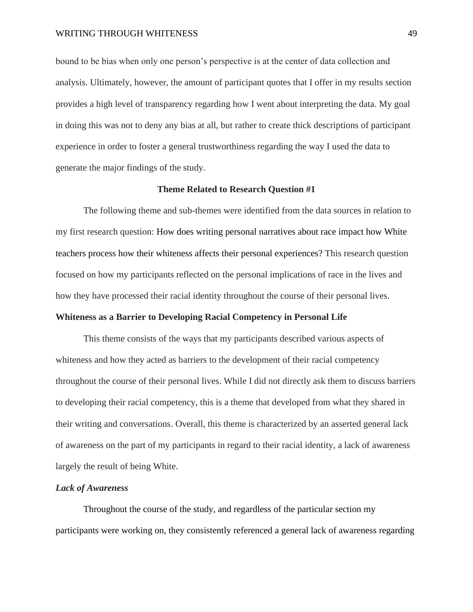bound to be bias when only one person's perspective is at the center of data collection and analysis. Ultimately, however, the amount of participant quotes that I offer in my results section provides a high level of transparency regarding how I went about interpreting the data. My goal in doing this was not to deny any bias at all, but rather to create thick descriptions of participant experience in order to foster a general trustworthiness regarding the way I used the data to generate the major findings of the study.

#### **Theme Related to Research Question #1**

The following theme and sub-themes were identified from the data sources in relation to my first research question: How does writing personal narratives about race impact how White teachers process how their whiteness affects their personal experiences? This research question focused on how my participants reflected on the personal implications of race in the lives and how they have processed their racial identity throughout the course of their personal lives.

## **Whiteness as a Barrier to Developing Racial Competency in Personal Life**

This theme consists of the ways that my participants described various aspects of whiteness and how they acted as barriers to the development of their racial competency throughout the course of their personal lives. While I did not directly ask them to discuss barriers to developing their racial competency, this is a theme that developed from what they shared in their writing and conversations. Overall, this theme is characterized by an asserted general lack of awareness on the part of my participants in regard to their racial identity, a lack of awareness largely the result of being White.

#### *Lack of Awareness*

Throughout the course of the study, and regardless of the particular section my participants were working on, they consistently referenced a general lack of awareness regarding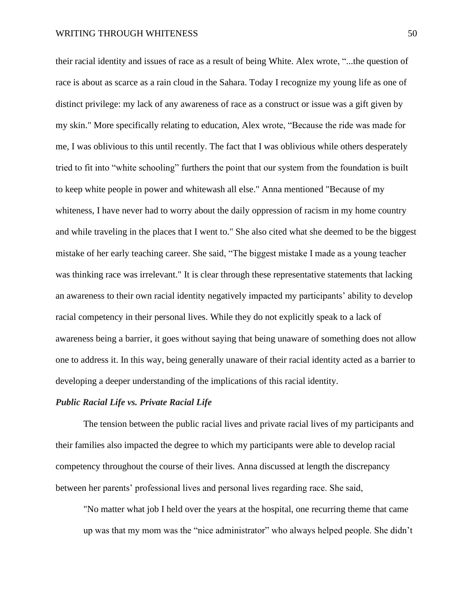their racial identity and issues of race as a result of being White. Alex wrote, "...the question of race is about as scarce as a rain cloud in the Sahara. Today I recognize my young life as one of distinct privilege: my lack of any awareness of race as a construct or issue was a gift given by my skin." More specifically relating to education, Alex wrote, "Because the ride was made for me, I was oblivious to this until recently. The fact that I was oblivious while others desperately tried to fit into "white schooling" furthers the point that our system from the foundation is built to keep white people in power and whitewash all else." Anna mentioned "Because of my whiteness, I have never had to worry about the daily oppression of racism in my home country and while traveling in the places that I went to." She also cited what she deemed to be the biggest mistake of her early teaching career. She said, "The biggest mistake I made as a young teacher was thinking race was irrelevant." It is clear through these representative statements that lacking an awareness to their own racial identity negatively impacted my participants' ability to develop racial competency in their personal lives. While they do not explicitly speak to a lack of awareness being a barrier, it goes without saying that being unaware of something does not allow one to address it. In this way, being generally unaware of their racial identity acted as a barrier to developing a deeper understanding of the implications of this racial identity.

## *Public Racial Life vs. Private Racial Life*

The tension between the public racial lives and private racial lives of my participants and their families also impacted the degree to which my participants were able to develop racial competency throughout the course of their lives. Anna discussed at length the discrepancy between her parents' professional lives and personal lives regarding race. She said,

"No matter what job I held over the years at the hospital, one recurring theme that came up was that my mom was the "nice administrator" who always helped people. She didn't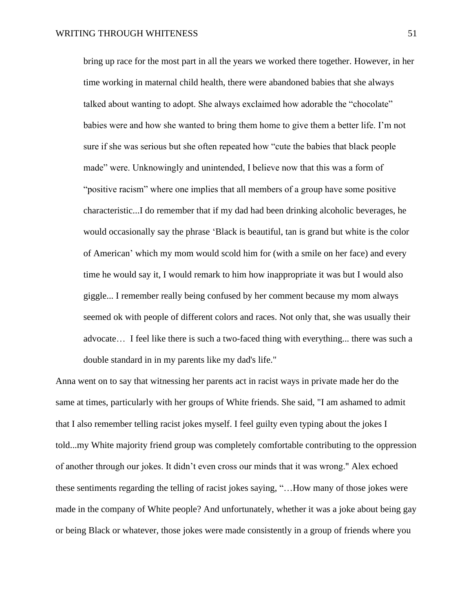bring up race for the most part in all the years we worked there together. However, in her time working in maternal child health, there were abandoned babies that she always talked about wanting to adopt. She always exclaimed how adorable the "chocolate" babies were and how she wanted to bring them home to give them a better life. I'm not sure if she was serious but she often repeated how "cute the babies that black people made" were. Unknowingly and unintended, I believe now that this was a form of "positive racism" where one implies that all members of a group have some positive characteristic...I do remember that if my dad had been drinking alcoholic beverages, he would occasionally say the phrase 'Black is beautiful, tan is grand but white is the color of American' which my mom would scold him for (with a smile on her face) and every time he would say it, I would remark to him how inappropriate it was but I would also giggle... I remember really being confused by her comment because my mom always seemed ok with people of different colors and races. Not only that, she was usually their advocate… I feel like there is such a two-faced thing with everything... there was such a double standard in in my parents like my dad's life."

Anna went on to say that witnessing her parents act in racist ways in private made her do the same at times, particularly with her groups of White friends. She said, "I am ashamed to admit that I also remember telling racist jokes myself. I feel guilty even typing about the jokes I told...my White majority friend group was completely comfortable contributing to the oppression of another through our jokes. It didn't even cross our minds that it was wrong." Alex echoed these sentiments regarding the telling of racist jokes saying, "…How many of those jokes were made in the company of White people? And unfortunately, whether it was a joke about being gay or being Black or whatever, those jokes were made consistently in a group of friends where you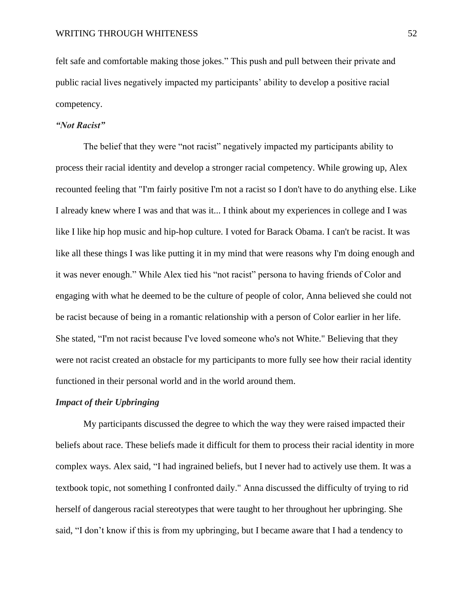felt safe and comfortable making those jokes." This push and pull between their private and public racial lives negatively impacted my participants' ability to develop a positive racial competency.

# *"Not Racist"*

The belief that they were "not racist" negatively impacted my participants ability to process their racial identity and develop a stronger racial competency. While growing up, Alex recounted feeling that "I'm fairly positive I'm not a racist so I don't have to do anything else. Like I already knew where I was and that was it... I think about my experiences in college and I was like I like hip hop music and hip-hop culture. I voted for Barack Obama. I can't be racist. It was like all these things I was like putting it in my mind that were reasons why I'm doing enough and it was never enough." While Alex tied his "not racist" persona to having friends of Color and engaging with what he deemed to be the culture of people of color, Anna believed she could not be racist because of being in a romantic relationship with a person of Color earlier in her life. She stated, "I'm not racist because I've loved someone who's not White." Believing that they were not racist created an obstacle for my participants to more fully see how their racial identity functioned in their personal world and in the world around them.

## *Impact of their Upbringing*

My participants discussed the degree to which the way they were raised impacted their beliefs about race. These beliefs made it difficult for them to process their racial identity in more complex ways. Alex said, "I had ingrained beliefs, but I never had to actively use them. It was a textbook topic, not something I confronted daily." Anna discussed the difficulty of trying to rid herself of dangerous racial stereotypes that were taught to her throughout her upbringing. She said, "I don't know if this is from my upbringing, but I became aware that I had a tendency to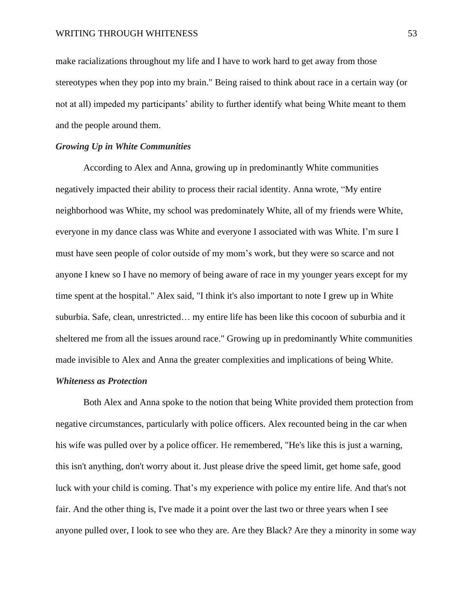make racializations throughout my life and I have to work hard to get away from those stereotypes when they pop into my brain." Being raised to think about race in a certain way (or not at all) impeded my participants' ability to further identify what being White meant to them and the people around them.

#### *Growing Up in White Communities*

According to Alex and Anna, growing up in predominantly White communities negatively impacted their ability to process their racial identity. Anna wrote, "My entire neighborhood was White, my school was predominately White, all of my friends were White, everyone in my dance class was White and everyone I associated with was White. I'm sure I must have seen people of color outside of my mom's work, but they were so scarce and not anyone I knew so I have no memory of being aware of race in my younger years except for my time spent at the hospital." Alex said, "I think it's also important to note I grew up in White suburbia. Safe, clean, unrestricted… my entire life has been like this cocoon of suburbia and it sheltered me from all the issues around race." Growing up in predominantly White communities made invisible to Alex and Anna the greater complexities and implications of being White.

## *Whiteness as Protection*

Both Alex and Anna spoke to the notion that being White provided them protection from negative circumstances, particularly with police officers. Alex recounted being in the car when his wife was pulled over by a police officer. He remembered, "He's like this is just a warning, this isn't anything, don't worry about it. Just please drive the speed limit, get home safe, good luck with your child is coming. That's my experience with police my entire life. And that's not fair. And the other thing is, I've made it a point over the last two or three years when I see anyone pulled over, I look to see who they are. Are they Black? Are they a minority in some way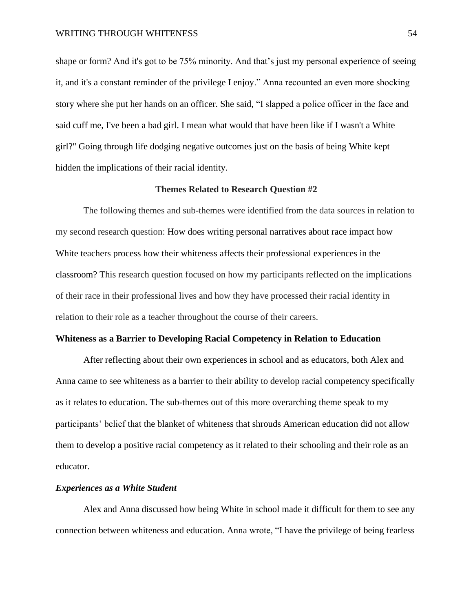shape or form? And it's got to be 75% minority. And that's just my personal experience of seeing it, and it's a constant reminder of the privilege I enjoy." Anna recounted an even more shocking story where she put her hands on an officer. She said, "I slapped a police officer in the face and said cuff me, I've been a bad girl. I mean what would that have been like if I wasn't a White girl?" Going through life dodging negative outcomes just on the basis of being White kept hidden the implications of their racial identity.

#### **Themes Related to Research Question #2**

The following themes and sub-themes were identified from the data sources in relation to my second research question: How does writing personal narratives about race impact how White teachers process how their whiteness affects their professional experiences in the classroom? This research question focused on how my participants reflected on the implications of their race in their professional lives and how they have processed their racial identity in relation to their role as a teacher throughout the course of their careers.

#### **Whiteness as a Barrier to Developing Racial Competency in Relation to Education**

After reflecting about their own experiences in school and as educators, both Alex and Anna came to see whiteness as a barrier to their ability to develop racial competency specifically as it relates to education. The sub-themes out of this more overarching theme speak to my participants' belief that the blanket of whiteness that shrouds American education did not allow them to develop a positive racial competency as it related to their schooling and their role as an educator.

#### *Experiences as a White Student*

Alex and Anna discussed how being White in school made it difficult for them to see any connection between whiteness and education. Anna wrote, "I have the privilege of being fearless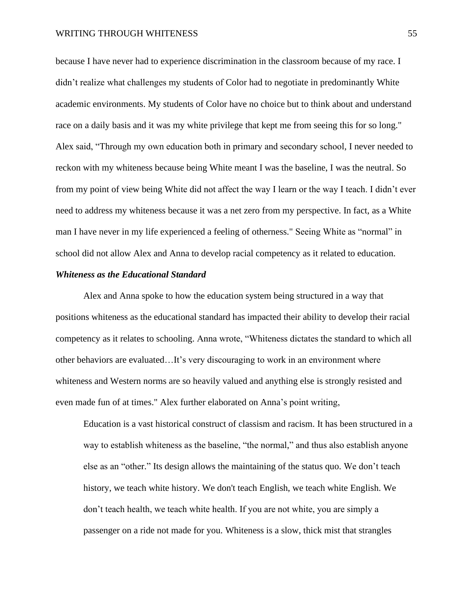because I have never had to experience discrimination in the classroom because of my race. I didn't realize what challenges my students of Color had to negotiate in predominantly White academic environments. My students of Color have no choice but to think about and understand race on a daily basis and it was my white privilege that kept me from seeing this for so long." Alex said, "Through my own education both in primary and secondary school, I never needed to reckon with my whiteness because being White meant I was the baseline, I was the neutral. So from my point of view being White did not affect the way I learn or the way I teach. I didn't ever need to address my whiteness because it was a net zero from my perspective. In fact, as a White man I have never in my life experienced a feeling of otherness." Seeing White as "normal" in school did not allow Alex and Anna to develop racial competency as it related to education.

## *Whiteness as the Educational Standard*

Alex and Anna spoke to how the education system being structured in a way that positions whiteness as the educational standard has impacted their ability to develop their racial competency as it relates to schooling. Anna wrote, "Whiteness dictates the standard to which all other behaviors are evaluated…It's very discouraging to work in an environment where whiteness and Western norms are so heavily valued and anything else is strongly resisted and even made fun of at times." Alex further elaborated on Anna's point writing,

Education is a vast historical construct of classism and racism. It has been structured in a way to establish whiteness as the baseline, "the normal," and thus also establish anyone else as an "other." Its design allows the maintaining of the status quo. We don't teach history, we teach white history. We don't teach English, we teach white English. We don't teach health, we teach white health. If you are not white, you are simply a passenger on a ride not made for you. Whiteness is a slow, thick mist that strangles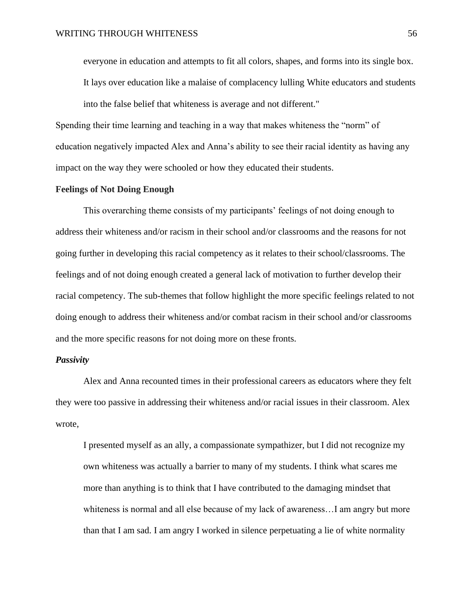everyone in education and attempts to fit all colors, shapes, and forms into its single box.

It lays over education like a malaise of complacency lulling White educators and students into the false belief that whiteness is average and not different."

Spending their time learning and teaching in a way that makes whiteness the "norm" of education negatively impacted Alex and Anna's ability to see their racial identity as having any impact on the way they were schooled or how they educated their students.

#### **Feelings of Not Doing Enough**

This overarching theme consists of my participants' feelings of not doing enough to address their whiteness and/or racism in their school and/or classrooms and the reasons for not going further in developing this racial competency as it relates to their school/classrooms. The feelings and of not doing enough created a general lack of motivation to further develop their racial competency. The sub-themes that follow highlight the more specific feelings related to not doing enough to address their whiteness and/or combat racism in their school and/or classrooms and the more specific reasons for not doing more on these fronts.

## *Passivity*

Alex and Anna recounted times in their professional careers as educators where they felt they were too passive in addressing their whiteness and/or racial issues in their classroom. Alex wrote,

I presented myself as an ally, a compassionate sympathizer, but I did not recognize my own whiteness was actually a barrier to many of my students. I think what scares me more than anything is to think that I have contributed to the damaging mindset that whiteness is normal and all else because of my lack of awareness…I am angry but more than that I am sad. I am angry I worked in silence perpetuating a lie of white normality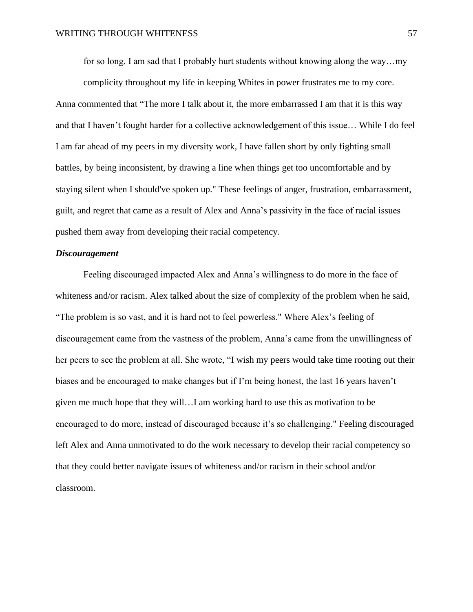for so long. I am sad that I probably hurt students without knowing along the way…my

complicity throughout my life in keeping Whites in power frustrates me to my core. Anna commented that "The more I talk about it, the more embarrassed I am that it is this way and that I haven't fought harder for a collective acknowledgement of this issue… While I do feel I am far ahead of my peers in my diversity work, I have fallen short by only fighting small battles, by being inconsistent, by drawing a line when things get too uncomfortable and by staying silent when I should've spoken up." These feelings of anger, frustration, embarrassment, guilt, and regret that came as a result of Alex and Anna's passivity in the face of racial issues pushed them away from developing their racial competency.

# *Discouragement*

Feeling discouraged impacted Alex and Anna's willingness to do more in the face of whiteness and/or racism. Alex talked about the size of complexity of the problem when he said, "The problem is so vast, and it is hard not to feel powerless." Where Alex's feeling of discouragement came from the vastness of the problem, Anna's came from the unwillingness of her peers to see the problem at all. She wrote, "I wish my peers would take time rooting out their biases and be encouraged to make changes but if I'm being honest, the last 16 years haven't given me much hope that they will…I am working hard to use this as motivation to be encouraged to do more, instead of discouraged because it's so challenging." Feeling discouraged left Alex and Anna unmotivated to do the work necessary to develop their racial competency so that they could better navigate issues of whiteness and/or racism in their school and/or classroom.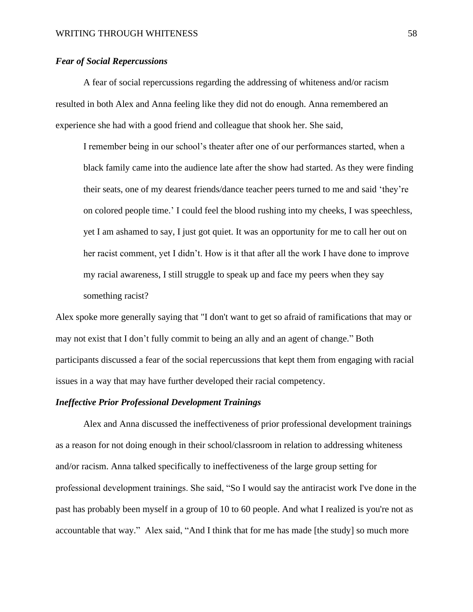# *Fear of Social Repercussions*

A fear of social repercussions regarding the addressing of whiteness and/or racism resulted in both Alex and Anna feeling like they did not do enough. Anna remembered an experience she had with a good friend and colleague that shook her. She said,

I remember being in our school's theater after one of our performances started, when a black family came into the audience late after the show had started. As they were finding their seats, one of my dearest friends/dance teacher peers turned to me and said 'they're on colored people time.' I could feel the blood rushing into my cheeks, I was speechless, yet I am ashamed to say, I just got quiet. It was an opportunity for me to call her out on her racist comment, yet I didn't. How is it that after all the work I have done to improve my racial awareness, I still struggle to speak up and face my peers when they say something racist?

Alex spoke more generally saying that "I don't want to get so afraid of ramifications that may or may not exist that I don't fully commit to being an ally and an agent of change." Both participants discussed a fear of the social repercussions that kept them from engaging with racial issues in a way that may have further developed their racial competency.

#### *Ineffective Prior Professional Development Trainings*

Alex and Anna discussed the ineffectiveness of prior professional development trainings as a reason for not doing enough in their school/classroom in relation to addressing whiteness and/or racism. Anna talked specifically to ineffectiveness of the large group setting for professional development trainings. She said, "So I would say the antiracist work I've done in the past has probably been myself in a group of 10 to 60 people. And what I realized is you're not as accountable that way." Alex said, "And I think that for me has made [the study] so much more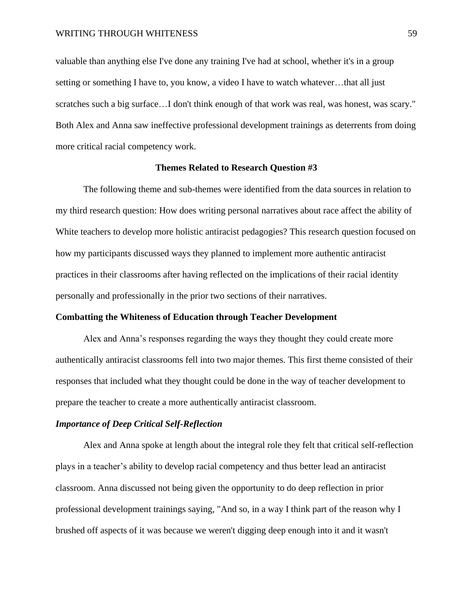valuable than anything else I've done any training I've had at school, whether it's in a group setting or something I have to, you know, a video I have to watch whatever…that all just scratches such a big surface…I don't think enough of that work was real, was honest, was scary." Both Alex and Anna saw ineffective professional development trainings as deterrents from doing more critical racial competency work.

## **Themes Related to Research Question #3**

The following theme and sub-themes were identified from the data sources in relation to my third research question: How does writing personal narratives about race affect the ability of White teachers to develop more holistic antiracist pedagogies? This research question focused on how my participants discussed ways they planned to implement more authentic antiracist practices in their classrooms after having reflected on the implications of their racial identity personally and professionally in the prior two sections of their narratives.

## **Combatting the Whiteness of Education through Teacher Development**

Alex and Anna's responses regarding the ways they thought they could create more authentically antiracist classrooms fell into two major themes. This first theme consisted of their responses that included what they thought could be done in the way of teacher development to prepare the teacher to create a more authentically antiracist classroom.

## *Importance of Deep Critical Self-Reflection*

Alex and Anna spoke at length about the integral role they felt that critical self-reflection plays in a teacher's ability to develop racial competency and thus better lead an antiracist classroom. Anna discussed not being given the opportunity to do deep reflection in prior professional development trainings saying, "And so, in a way I think part of the reason why I brushed off aspects of it was because we weren't digging deep enough into it and it wasn't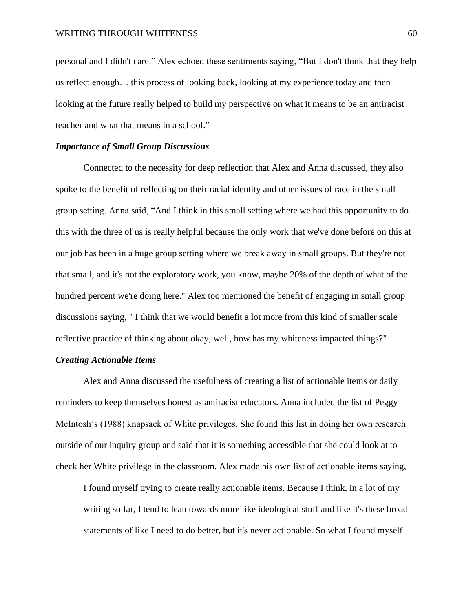personal and I didn't care." Alex echoed these sentiments saying, "But I don't think that they help us reflect enough… this process of looking back, looking at my experience today and then looking at the future really helped to build my perspective on what it means to be an antiracist teacher and what that means in a school."

## *Importance of Small Group Discussions*

Connected to the necessity for deep reflection that Alex and Anna discussed, they also spoke to the benefit of reflecting on their racial identity and other issues of race in the small group setting. Anna said, "And I think in this small setting where we had this opportunity to do this with the three of us is really helpful because the only work that we've done before on this at our job has been in a huge group setting where we break away in small groups. But they're not that small, and it's not the exploratory work, you know, maybe 20% of the depth of what of the hundred percent we're doing here." Alex too mentioned the benefit of engaging in small group discussions saying, " I think that we would benefit a lot more from this kind of smaller scale reflective practice of thinking about okay, well, how has my whiteness impacted things?"

## *Creating Actionable Items*

Alex and Anna discussed the usefulness of creating a list of actionable items or daily reminders to keep themselves honest as antiracist educators. Anna included the list of Peggy McIntosh's (1988) knapsack of White privileges. She found this list in doing her own research outside of our inquiry group and said that it is something accessible that she could look at to check her White privilege in the classroom. Alex made his own list of actionable items saying,

I found myself trying to create really actionable items. Because I think, in a lot of my writing so far, I tend to lean towards more like ideological stuff and like it's these broad statements of like I need to do better, but it's never actionable. So what I found myself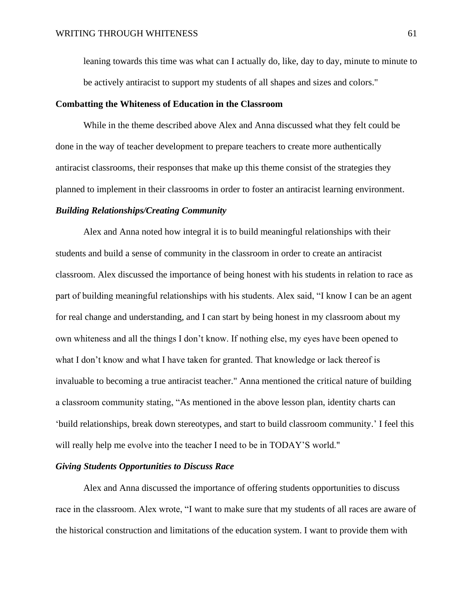leaning towards this time was what can I actually do, like, day to day, minute to minute to be actively antiracist to support my students of all shapes and sizes and colors."

## **Combatting the Whiteness of Education in the Classroom**

While in the theme described above Alex and Anna discussed what they felt could be done in the way of teacher development to prepare teachers to create more authentically antiracist classrooms, their responses that make up this theme consist of the strategies they planned to implement in their classrooms in order to foster an antiracist learning environment.

## *Building Relationships/Creating Community*

Alex and Anna noted how integral it is to build meaningful relationships with their students and build a sense of community in the classroom in order to create an antiracist classroom. Alex discussed the importance of being honest with his students in relation to race as part of building meaningful relationships with his students. Alex said, "I know I can be an agent for real change and understanding, and I can start by being honest in my classroom about my own whiteness and all the things I don't know. If nothing else, my eyes have been opened to what I don't know and what I have taken for granted. That knowledge or lack thereof is invaluable to becoming a true antiracist teacher." Anna mentioned the critical nature of building a classroom community stating, "As mentioned in the above lesson plan, identity charts can 'build relationships, break down stereotypes, and start to build classroom community.' I feel this will really help me evolve into the teacher I need to be in TODAY'S world."

# *Giving Students Opportunities to Discuss Race*

Alex and Anna discussed the importance of offering students opportunities to discuss race in the classroom. Alex wrote, "I want to make sure that my students of all races are aware of the historical construction and limitations of the education system. I want to provide them with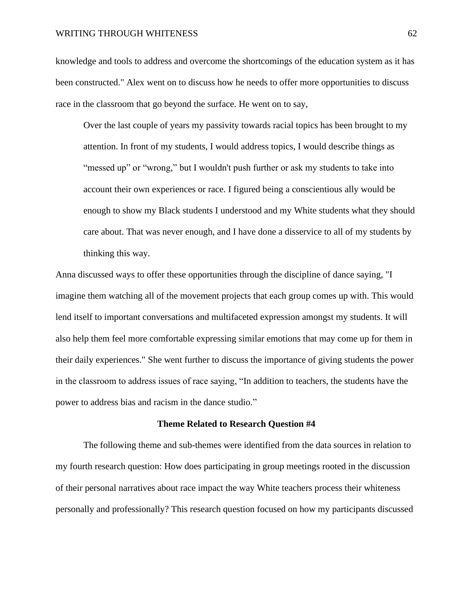knowledge and tools to address and overcome the shortcomings of the education system as it has been constructed." Alex went on to discuss how he needs to offer more opportunities to discuss race in the classroom that go beyond the surface. He went on to say,

Over the last couple of years my passivity towards racial topics has been brought to my attention. In front of my students, I would address topics, I would describe things as "messed up" or "wrong," but I wouldn't push further or ask my students to take into account their own experiences or race. I figured being a conscientious ally would be enough to show my Black students I understood and my White students what they should care about. That was never enough, and I have done a disservice to all of my students by thinking this way.

Anna discussed ways to offer these opportunities through the discipline of dance saying, "I imagine them watching all of the movement projects that each group comes up with. This would lend itself to important conversations and multifaceted expression amongst my students. It will also help them feel more comfortable expressing similar emotions that may come up for them in their daily experiences." She went further to discuss the importance of giving students the power in the classroom to address issues of race saying, "In addition to teachers, the students have the power to address bias and racism in the dance studio."

#### **Theme Related to Research Question #4**

The following theme and sub-themes were identified from the data sources in relation to my fourth research question: How does participating in group meetings rooted in the discussion of their personal narratives about race impact the way White teachers process their whiteness personally and professionally? This research question focused on how my participants discussed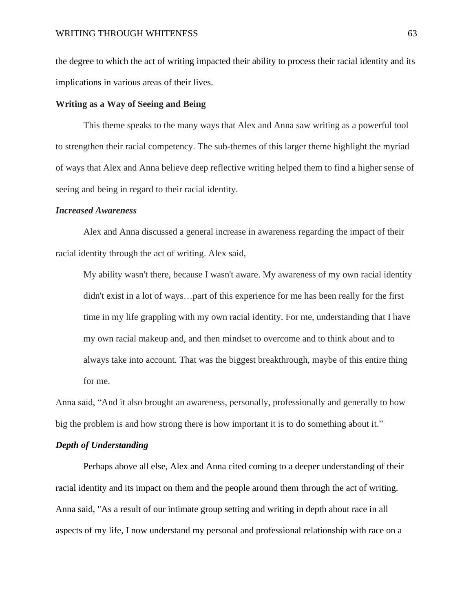the degree to which the act of writing impacted their ability to process their racial identity and its implications in various areas of their lives.

## **Writing as a Way of Seeing and Being**

This theme speaks to the many ways that Alex and Anna saw writing as a powerful tool to strengthen their racial competency. The sub-themes of this larger theme highlight the myriad of ways that Alex and Anna believe deep reflective writing helped them to find a higher sense of seeing and being in regard to their racial identity.

## *Increased Awareness*

Alex and Anna discussed a general increase in awareness regarding the impact of their racial identity through the act of writing. Alex said,

My ability wasn't there, because I wasn't aware. My awareness of my own racial identity didn't exist in a lot of ways…part of this experience for me has been really for the first time in my life grappling with my own racial identity. For me, understanding that I have my own racial makeup and, and then mindset to overcome and to think about and to always take into account. That was the biggest breakthrough, maybe of this entire thing for me.

Anna said, "And it also brought an awareness, personally, professionally and generally to how big the problem is and how strong there is how important it is to do something about it."

#### *Depth of Understanding*

Perhaps above all else, Alex and Anna cited coming to a deeper understanding of their racial identity and its impact on them and the people around them through the act of writing. Anna said, "As a result of our intimate group setting and writing in depth about race in all aspects of my life, I now understand my personal and professional relationship with race on a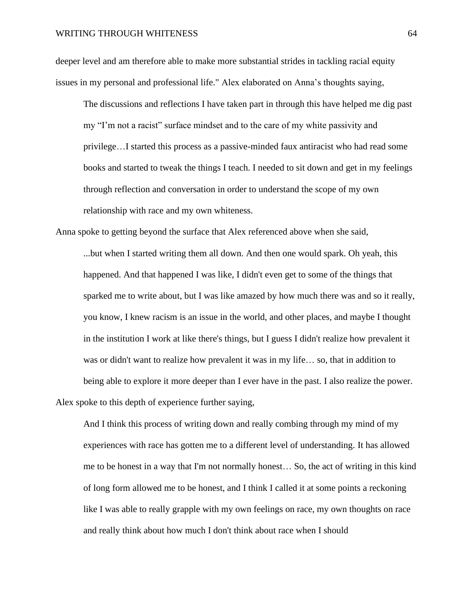deeper level and am therefore able to make more substantial strides in tackling racial equity issues in my personal and professional life." Alex elaborated on Anna's thoughts saying,

The discussions and reflections I have taken part in through this have helped me dig past my "I'm not a racist" surface mindset and to the care of my white passivity and privilege…I started this process as a passive-minded faux antiracist who had read some books and started to tweak the things I teach. I needed to sit down and get in my feelings through reflection and conversation in order to understand the scope of my own relationship with race and my own whiteness.

Anna spoke to getting beyond the surface that Alex referenced above when she said,

...but when I started writing them all down. And then one would spark. Oh yeah, this happened. And that happened I was like, I didn't even get to some of the things that sparked me to write about, but I was like amazed by how much there was and so it really, you know, I knew racism is an issue in the world, and other places, and maybe I thought in the institution I work at like there's things, but I guess I didn't realize how prevalent it was or didn't want to realize how prevalent it was in my life… so, that in addition to being able to explore it more deeper than I ever have in the past. I also realize the power. Alex spoke to this depth of experience further saying,

And I think this process of writing down and really combing through my mind of my experiences with race has gotten me to a different level of understanding. It has allowed me to be honest in a way that I'm not normally honest… So, the act of writing in this kind of long form allowed me to be honest, and I think I called it at some points a reckoning like I was able to really grapple with my own feelings on race, my own thoughts on race and really think about how much I don't think about race when I should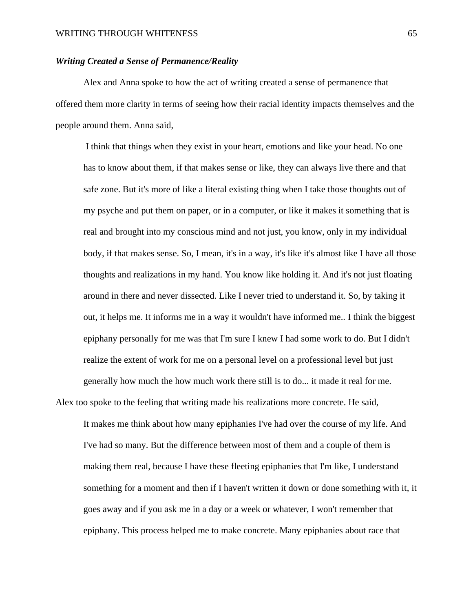## *Writing Created a Sense of Permanence/Reality*

Alex and Anna spoke to how the act of writing created a sense of permanence that offered them more clarity in terms of seeing how their racial identity impacts themselves and the people around them. Anna said,

I think that things when they exist in your heart, emotions and like your head. No one has to know about them, if that makes sense or like, they can always live there and that safe zone. But it's more of like a literal existing thing when I take those thoughts out of my psyche and put them on paper, or in a computer, or like it makes it something that is real and brought into my conscious mind and not just, you know, only in my individual body, if that makes sense. So, I mean, it's in a way, it's like it's almost like I have all those thoughts and realizations in my hand. You know like holding it. And it's not just floating around in there and never dissected. Like I never tried to understand it. So, by taking it out, it helps me. It informs me in a way it wouldn't have informed me.. I think the biggest epiphany personally for me was that I'm sure I knew I had some work to do. But I didn't realize the extent of work for me on a personal level on a professional level but just generally how much the how much work there still is to do... it made it real for me.

Alex too spoke to the feeling that writing made his realizations more concrete. He said, It makes me think about how many epiphanies I've had over the course of my life. And I've had so many. But the difference between most of them and a couple of them is making them real, because I have these fleeting epiphanies that I'm like, I understand something for a moment and then if I haven't written it down or done something with it, it goes away and if you ask me in a day or a week or whatever, I won't remember that epiphany. This process helped me to make concrete. Many epiphanies about race that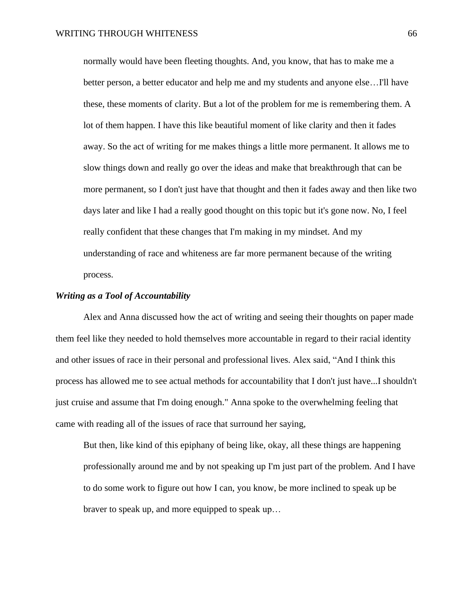normally would have been fleeting thoughts. And, you know, that has to make me a better person, a better educator and help me and my students and anyone else…I'll have these, these moments of clarity. But a lot of the problem for me is remembering them. A lot of them happen. I have this like beautiful moment of like clarity and then it fades away. So the act of writing for me makes things a little more permanent. It allows me to slow things down and really go over the ideas and make that breakthrough that can be more permanent, so I don't just have that thought and then it fades away and then like two days later and like I had a really good thought on this topic but it's gone now. No, I feel really confident that these changes that I'm making in my mindset. And my understanding of race and whiteness are far more permanent because of the writing process.

## *Writing as a Tool of Accountability*

Alex and Anna discussed how the act of writing and seeing their thoughts on paper made them feel like they needed to hold themselves more accountable in regard to their racial identity and other issues of race in their personal and professional lives. Alex said, "And I think this process has allowed me to see actual methods for accountability that I don't just have...I shouldn't just cruise and assume that I'm doing enough." Anna spoke to the overwhelming feeling that came with reading all of the issues of race that surround her saying,

But then, like kind of this epiphany of being like, okay, all these things are happening professionally around me and by not speaking up I'm just part of the problem. And I have to do some work to figure out how I can, you know, be more inclined to speak up be braver to speak up, and more equipped to speak up…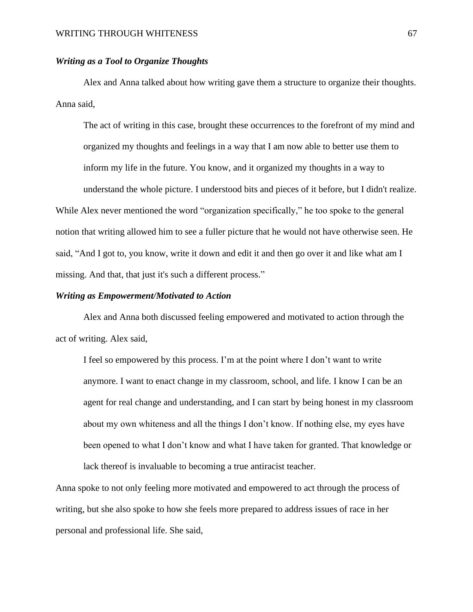# *Writing as a Tool to Organize Thoughts*

Alex and Anna talked about how writing gave them a structure to organize their thoughts. Anna said,

The act of writing in this case, brought these occurrences to the forefront of my mind and organized my thoughts and feelings in a way that I am now able to better use them to inform my life in the future. You know, and it organized my thoughts in a way to understand the whole picture. I understood bits and pieces of it before, but I didn't realize. While Alex never mentioned the word "organization specifically," he too spoke to the general

notion that writing allowed him to see a fuller picture that he would not have otherwise seen. He said, "And I got to, you know, write it down and edit it and then go over it and like what am I missing. And that, that just it's such a different process."

## *Writing as Empowerment/Motivated to Action*

Alex and Anna both discussed feeling empowered and motivated to action through the act of writing. Alex said,

I feel so empowered by this process. I'm at the point where I don't want to write anymore. I want to enact change in my classroom, school, and life. I know I can be an agent for real change and understanding, and I can start by being honest in my classroom about my own whiteness and all the things I don't know. If nothing else, my eyes have been opened to what I don't know and what I have taken for granted. That knowledge or lack thereof is invaluable to becoming a true antiracist teacher.

Anna spoke to not only feeling more motivated and empowered to act through the process of writing, but she also spoke to how she feels more prepared to address issues of race in her personal and professional life. She said,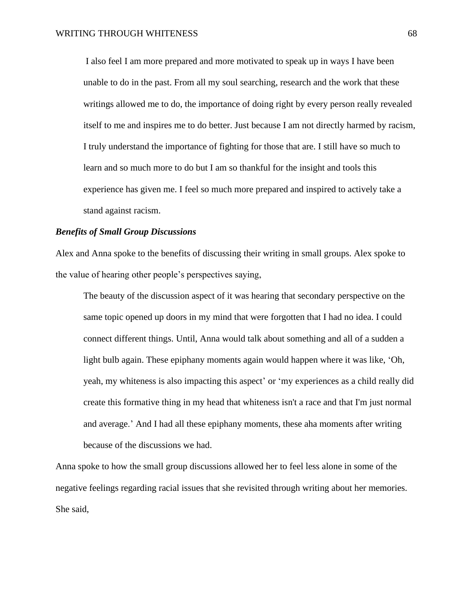I also feel I am more prepared and more motivated to speak up in ways I have been unable to do in the past. From all my soul searching, research and the work that these writings allowed me to do, the importance of doing right by every person really revealed itself to me and inspires me to do better. Just because I am not directly harmed by racism, I truly understand the importance of fighting for those that are. I still have so much to learn and so much more to do but I am so thankful for the insight and tools this experience has given me. I feel so much more prepared and inspired to actively take a stand against racism.

## *Benefits of Small Group Discussions*

Alex and Anna spoke to the benefits of discussing their writing in small groups. Alex spoke to the value of hearing other people's perspectives saying,

The beauty of the discussion aspect of it was hearing that secondary perspective on the same topic opened up doors in my mind that were forgotten that I had no idea. I could connect different things. Until, Anna would talk about something and all of a sudden a light bulb again. These epiphany moments again would happen where it was like, 'Oh, yeah, my whiteness is also impacting this aspect' or 'my experiences as a child really did create this formative thing in my head that whiteness isn't a race and that I'm just normal and average.' And I had all these epiphany moments, these aha moments after writing because of the discussions we had.

Anna spoke to how the small group discussions allowed her to feel less alone in some of the negative feelings regarding racial issues that she revisited through writing about her memories. She said,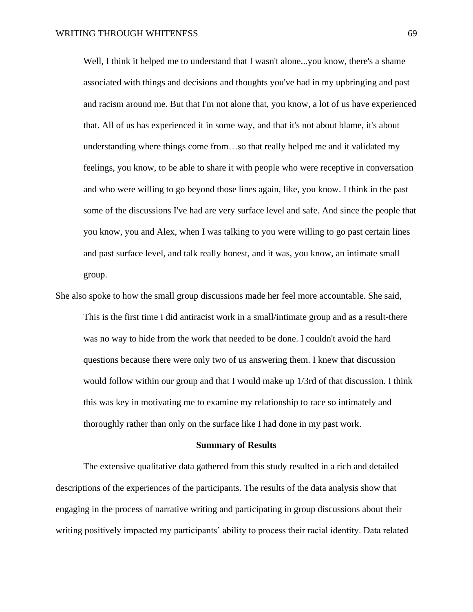Well, I think it helped me to understand that I wasn't alone...you know, there's a shame associated with things and decisions and thoughts you've had in my upbringing and past and racism around me. But that I'm not alone that, you know, a lot of us have experienced that. All of us has experienced it in some way, and that it's not about blame, it's about understanding where things come from…so that really helped me and it validated my feelings, you know, to be able to share it with people who were receptive in conversation and who were willing to go beyond those lines again, like, you know. I think in the past some of the discussions I've had are very surface level and safe. And since the people that you know, you and Alex, when I was talking to you were willing to go past certain lines and past surface level, and talk really honest, and it was, you know, an intimate small group.

She also spoke to how the small group discussions made her feel more accountable. She said, This is the first time I did antiracist work in a small/intimate group and as a result-there was no way to hide from the work that needed to be done. I couldn't avoid the hard questions because there were only two of us answering them. I knew that discussion would follow within our group and that I would make up 1/3rd of that discussion. I think this was key in motivating me to examine my relationship to race so intimately and thoroughly rather than only on the surface like I had done in my past work.

#### **Summary of Results**

The extensive qualitative data gathered from this study resulted in a rich and detailed descriptions of the experiences of the participants. The results of the data analysis show that engaging in the process of narrative writing and participating in group discussions about their writing positively impacted my participants' ability to process their racial identity. Data related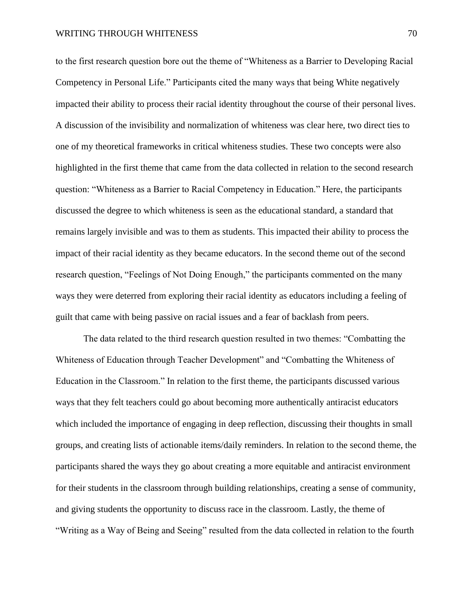to the first research question bore out the theme of "Whiteness as a Barrier to Developing Racial Competency in Personal Life." Participants cited the many ways that being White negatively impacted their ability to process their racial identity throughout the course of their personal lives. A discussion of the invisibility and normalization of whiteness was clear here, two direct ties to one of my theoretical frameworks in critical whiteness studies. These two concepts were also highlighted in the first theme that came from the data collected in relation to the second research question: "Whiteness as a Barrier to Racial Competency in Education." Here, the participants discussed the degree to which whiteness is seen as the educational standard, a standard that remains largely invisible and was to them as students. This impacted their ability to process the impact of their racial identity as they became educators. In the second theme out of the second research question, "Feelings of Not Doing Enough," the participants commented on the many ways they were deterred from exploring their racial identity as educators including a feeling of guilt that came with being passive on racial issues and a fear of backlash from peers.

The data related to the third research question resulted in two themes: "Combatting the Whiteness of Education through Teacher Development" and "Combatting the Whiteness of Education in the Classroom." In relation to the first theme, the participants discussed various ways that they felt teachers could go about becoming more authentically antiracist educators which included the importance of engaging in deep reflection, discussing their thoughts in small groups, and creating lists of actionable items/daily reminders. In relation to the second theme, the participants shared the ways they go about creating a more equitable and antiracist environment for their students in the classroom through building relationships, creating a sense of community, and giving students the opportunity to discuss race in the classroom. Lastly, the theme of "Writing as a Way of Being and Seeing" resulted from the data collected in relation to the fourth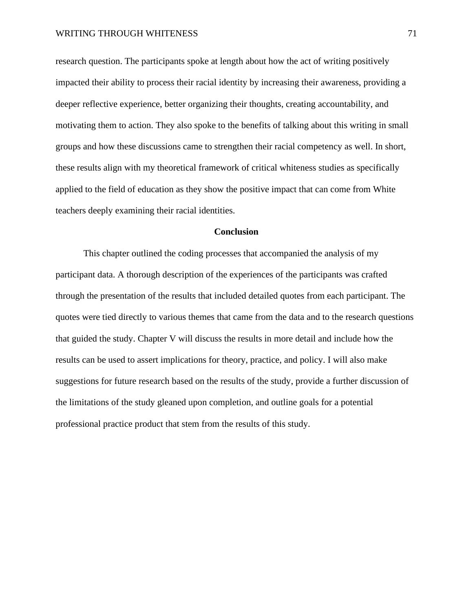research question. The participants spoke at length about how the act of writing positively impacted their ability to process their racial identity by increasing their awareness, providing a deeper reflective experience, better organizing their thoughts, creating accountability, and motivating them to action. They also spoke to the benefits of talking about this writing in small groups and how these discussions came to strengthen their racial competency as well. In short, these results align with my theoretical framework of critical whiteness studies as specifically applied to the field of education as they show the positive impact that can come from White teachers deeply examining their racial identities.

## **Conclusion**

This chapter outlined the coding processes that accompanied the analysis of my participant data. A thorough description of the experiences of the participants was crafted through the presentation of the results that included detailed quotes from each participant. The quotes were tied directly to various themes that came from the data and to the research questions that guided the study. Chapter V will discuss the results in more detail and include how the results can be used to assert implications for theory, practice, and policy. I will also make suggestions for future research based on the results of the study, provide a further discussion of the limitations of the study gleaned upon completion, and outline goals for a potential professional practice product that stem from the results of this study.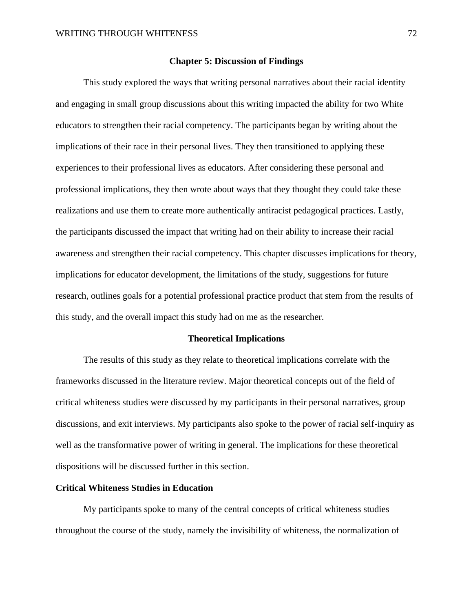## **Chapter 5: Discussion of Findings**

This study explored the ways that writing personal narratives about their racial identity and engaging in small group discussions about this writing impacted the ability for two White educators to strengthen their racial competency. The participants began by writing about the implications of their race in their personal lives. They then transitioned to applying these experiences to their professional lives as educators. After considering these personal and professional implications, they then wrote about ways that they thought they could take these realizations and use them to create more authentically antiracist pedagogical practices. Lastly, the participants discussed the impact that writing had on their ability to increase their racial awareness and strengthen their racial competency. This chapter discusses implications for theory, implications for educator development, the limitations of the study, suggestions for future research, outlines goals for a potential professional practice product that stem from the results of this study, and the overall impact this study had on me as the researcher.

## **Theoretical Implications**

The results of this study as they relate to theoretical implications correlate with the frameworks discussed in the literature review. Major theoretical concepts out of the field of critical whiteness studies were discussed by my participants in their personal narratives, group discussions, and exit interviews. My participants also spoke to the power of racial self-inquiry as well as the transformative power of writing in general. The implications for these theoretical dispositions will be discussed further in this section.

## **Critical Whiteness Studies in Education**

My participants spoke to many of the central concepts of critical whiteness studies throughout the course of the study, namely the invisibility of whiteness, the normalization of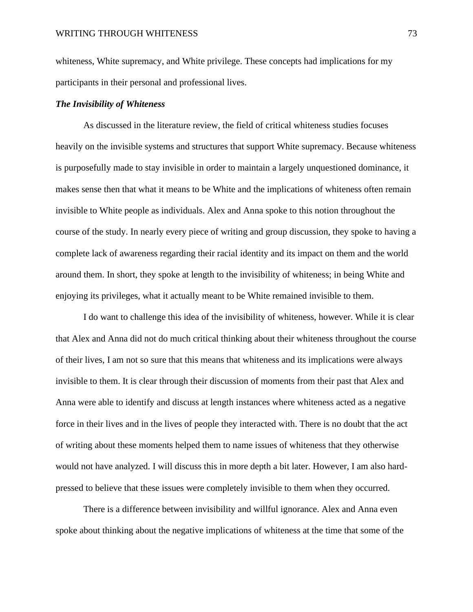whiteness, White supremacy, and White privilege. These concepts had implications for my participants in their personal and professional lives.

## *The Invisibility of Whiteness*

As discussed in the literature review, the field of critical whiteness studies focuses heavily on the invisible systems and structures that support White supremacy. Because whiteness is purposefully made to stay invisible in order to maintain a largely unquestioned dominance, it makes sense then that what it means to be White and the implications of whiteness often remain invisible to White people as individuals. Alex and Anna spoke to this notion throughout the course of the study. In nearly every piece of writing and group discussion, they spoke to having a complete lack of awareness regarding their racial identity and its impact on them and the world around them. In short, they spoke at length to the invisibility of whiteness; in being White and enjoying its privileges, what it actually meant to be White remained invisible to them.

I do want to challenge this idea of the invisibility of whiteness, however. While it is clear that Alex and Anna did not do much critical thinking about their whiteness throughout the course of their lives, I am not so sure that this means that whiteness and its implications were always invisible to them. It is clear through their discussion of moments from their past that Alex and Anna were able to identify and discuss at length instances where whiteness acted as a negative force in their lives and in the lives of people they interacted with. There is no doubt that the act of writing about these moments helped them to name issues of whiteness that they otherwise would not have analyzed. I will discuss this in more depth a bit later. However, I am also hardpressed to believe that these issues were completely invisible to them when they occurred.

There is a difference between invisibility and willful ignorance. Alex and Anna even spoke about thinking about the negative implications of whiteness at the time that some of the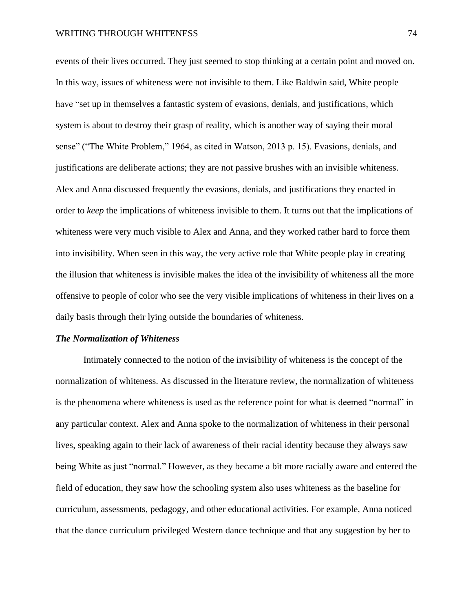events of their lives occurred. They just seemed to stop thinking at a certain point and moved on. In this way, issues of whiteness were not invisible to them. Like Baldwin said, White people have "set up in themselves a fantastic system of evasions, denials, and justifications, which system is about to destroy their grasp of reality, which is another way of saying their moral sense" ("The White Problem," 1964, as cited in Watson, 2013 p. 15). Evasions, denials, and justifications are deliberate actions; they are not passive brushes with an invisible whiteness. Alex and Anna discussed frequently the evasions, denials, and justifications they enacted in order to *keep* the implications of whiteness invisible to them. It turns out that the implications of whiteness were very much visible to Alex and Anna, and they worked rather hard to force them into invisibility. When seen in this way, the very active role that White people play in creating the illusion that whiteness is invisible makes the idea of the invisibility of whiteness all the more offensive to people of color who see the very visible implications of whiteness in their lives on a daily basis through their lying outside the boundaries of whiteness.

#### *The Normalization of Whiteness*

Intimately connected to the notion of the invisibility of whiteness is the concept of the normalization of whiteness. As discussed in the literature review, the normalization of whiteness is the phenomena where whiteness is used as the reference point for what is deemed "normal" in any particular context. Alex and Anna spoke to the normalization of whiteness in their personal lives, speaking again to their lack of awareness of their racial identity because they always saw being White as just "normal." However, as they became a bit more racially aware and entered the field of education, they saw how the schooling system also uses whiteness as the baseline for curriculum, assessments, pedagogy, and other educational activities. For example, Anna noticed that the dance curriculum privileged Western dance technique and that any suggestion by her to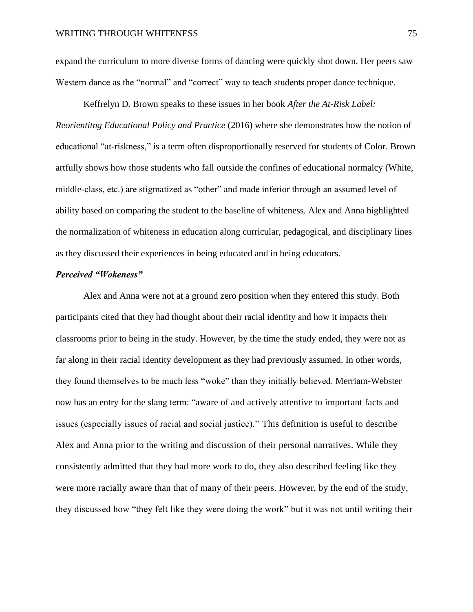expand the curriculum to more diverse forms of dancing were quickly shot down. Her peers saw Western dance as the "normal" and "correct" way to teach students proper dance technique.

Keffrelyn D. Brown speaks to these issues in her book *After the At-Risk Label: Reorientitng Educational Policy and Practice* (2016) where she demonstrates how the notion of educational "at-riskness," is a term often disproportionally reserved for students of Color. Brown artfully shows how those students who fall outside the confines of educational normalcy (White, middle-class, etc.) are stigmatized as "other" and made inferior through an assumed level of ability based on comparing the student to the baseline of whiteness. Alex and Anna highlighted the normalization of whiteness in education along curricular, pedagogical, and disciplinary lines as they discussed their experiences in being educated and in being educators.

## *Perceived "Wokeness"*

Alex and Anna were not at a ground zero position when they entered this study. Both participants cited that they had thought about their racial identity and how it impacts their classrooms prior to being in the study. However, by the time the study ended, they were not as far along in their racial identity development as they had previously assumed. In other words, they found themselves to be much less "woke" than they initially believed. Merriam-Webster now has an entry for the slang term: "aware of and actively attentive to important facts and issues (especially issues of racial and social justice)." This definition is useful to describe Alex and Anna prior to the writing and discussion of their personal narratives. While they consistently admitted that they had more work to do, they also described feeling like they were more racially aware than that of many of their peers. However, by the end of the study, they discussed how "they felt like they were doing the work" but it was not until writing their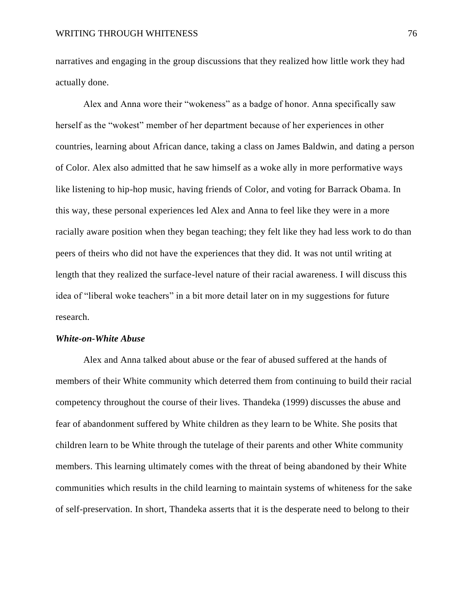narratives and engaging in the group discussions that they realized how little work they had actually done.

Alex and Anna wore their "wokeness" as a badge of honor. Anna specifically saw herself as the "wokest" member of her department because of her experiences in other countries, learning about African dance, taking a class on James Baldwin, and dating a person of Color. Alex also admitted that he saw himself as a woke ally in more performative ways like listening to hip-hop music, having friends of Color, and voting for Barrack Obama. In this way, these personal experiences led Alex and Anna to feel like they were in a more racially aware position when they began teaching; they felt like they had less work to do than peers of theirs who did not have the experiences that they did. It was not until writing at length that they realized the surface-level nature of their racial awareness. I will discuss this idea of "liberal woke teachers" in a bit more detail later on in my suggestions for future research.

## *White-on-White Abuse*

Alex and Anna talked about abuse or the fear of abused suffered at the hands of members of their White community which deterred them from continuing to build their racial competency throughout the course of their lives. Thandeka (1999) discusses the abuse and fear of abandonment suffered by White children as they learn to be White. She posits that children learn to be White through the tutelage of their parents and other White community members. This learning ultimately comes with the threat of being abandoned by their White communities which results in the child learning to maintain systems of whiteness for the sake of self-preservation. In short, Thandeka asserts that it is the desperate need to belong to their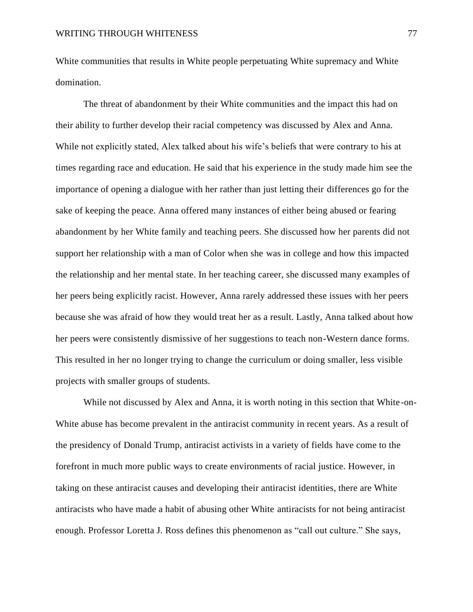White communities that results in White people perpetuating White supremacy and White domination.

The threat of abandonment by their White communities and the impact this had on their ability to further develop their racial competency was discussed by Alex and Anna. While not explicitly stated, Alex talked about his wife's beliefs that were contrary to his at times regarding race and education. He said that his experience in the study made him see the importance of opening a dialogue with her rather than just letting their differences go for the sake of keeping the peace. Anna offered many instances of either being abused or fearing abandonment by her White family and teaching peers. She discussed how her parents did not support her relationship with a man of Color when she was in college and how this impacted the relationship and her mental state. In her teaching career, she discussed many examples of her peers being explicitly racist. However, Anna rarely addressed these issues with her peers because she was afraid of how they would treat her as a result. Lastly, Anna talked about how her peers were consistently dismissive of her suggestions to teach non-Western dance forms. This resulted in her no longer trying to change the curriculum or doing smaller, less visible projects with smaller groups of students.

While not discussed by Alex and Anna, it is worth noting in this section that White-on-White abuse has become prevalent in the antiracist community in recent years. As a result of the presidency of Donald Trump, antiracist activists in a variety of fields have come to the forefront in much more public ways to create environments of racial justice. However, in taking on these antiracist causes and developing their antiracist identities, there are White antiracists who have made a habit of abusing other White antiracists for not being antiracist enough. Professor Loretta J. Ross defines this phenomenon as "call out culture." She says,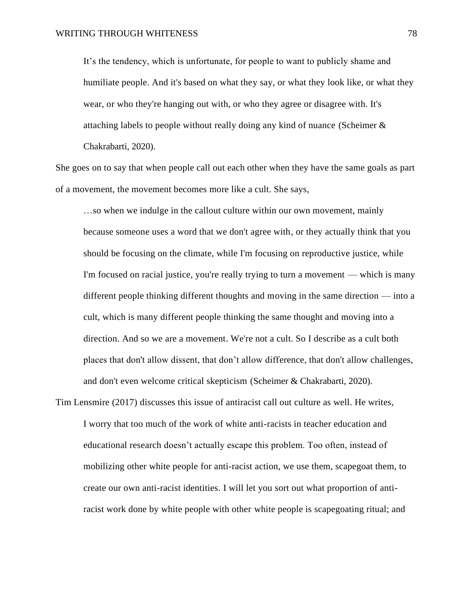It's the tendency, which is unfortunate, for people to want to publicly shame and humiliate people. And it's based on what they say, or what they look like, or what they wear, or who they're hanging out with, or who they agree or disagree with. It's attaching labels to people without really doing any kind of nuance (Scheimer & Chakrabarti, 2020).

She goes on to say that when people call out each other when they have the same goals as part of a movement, the movement becomes more like a cult. She says,

…so when we indulge in the callout culture within our own movement, mainly because someone uses a word that we don't agree with, or they actually think that you should be focusing on the climate, while I'm focusing on reproductive justice, while I'm focused on racial justice, you're really trying to turn a movement — which is many different people thinking different thoughts and moving in the same direction — into a cult, which is many different people thinking the same thought and moving into a direction. And so we are a movement. We're not a cult. So I describe as a cult both places that don't allow dissent, that don't allow difference, that don't allow challenges, and don't even welcome critical skepticism (Scheimer & Chakrabarti, 2020).

Tim Lensmire (2017) discusses this issue of antiracist call out culture as well. He writes, I worry that too much of the work of white anti-racists in teacher education and educational research doesn't actually escape this problem. Too often, instead of mobilizing other white people for anti-racist action, we use them, scapegoat them, to create our own anti-racist identities. I will let you sort out what proportion of antiracist work done by white people with other white people is scapegoating ritual; and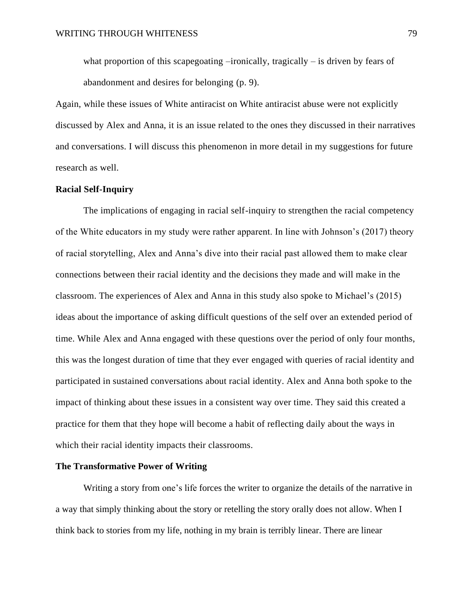what proportion of this scapegoating –ironically, tragically – is driven by fears of abandonment and desires for belonging (p. 9).

Again, while these issues of White antiracist on White antiracist abuse were not explicitly discussed by Alex and Anna, it is an issue related to the ones they discussed in their narratives and conversations. I will discuss this phenomenon in more detail in my suggestions for future research as well.

## **Racial Self-Inquiry**

The implications of engaging in racial self-inquiry to strengthen the racial competency of the White educators in my study were rather apparent. In line with Johnson's (2017) theory of racial storytelling, Alex and Anna's dive into their racial past allowed them to make clear connections between their racial identity and the decisions they made and will make in the classroom. The experiences of Alex and Anna in this study also spoke to Michael's (2015) ideas about the importance of asking difficult questions of the self over an extended period of time. While Alex and Anna engaged with these questions over the period of only four months, this was the longest duration of time that they ever engaged with queries of racial identity and participated in sustained conversations about racial identity. Alex and Anna both spoke to the impact of thinking about these issues in a consistent way over time. They said this created a practice for them that they hope will become a habit of reflecting daily about the ways in which their racial identity impacts their classrooms.

## **The Transformative Power of Writing**

Writing a story from one's life forces the writer to organize the details of the narrative in a way that simply thinking about the story or retelling the story orally does not allow. When I think back to stories from my life, nothing in my brain is terribly linear. There are linear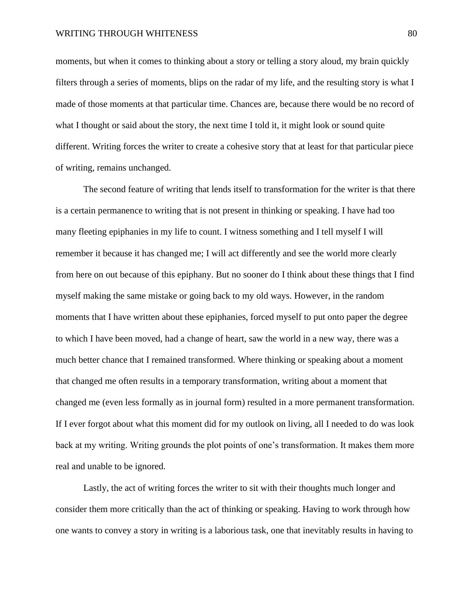moments, but when it comes to thinking about a story or telling a story aloud, my brain quickly filters through a series of moments, blips on the radar of my life, and the resulting story is what I made of those moments at that particular time. Chances are, because there would be no record of what I thought or said about the story, the next time I told it, it might look or sound quite different. Writing forces the writer to create a cohesive story that at least for that particular piece of writing, remains unchanged.

The second feature of writing that lends itself to transformation for the writer is that there is a certain permanence to writing that is not present in thinking or speaking. I have had too many fleeting epiphanies in my life to count. I witness something and I tell myself I will remember it because it has changed me; I will act differently and see the world more clearly from here on out because of this epiphany. But no sooner do I think about these things that I find myself making the same mistake or going back to my old ways. However, in the random moments that I have written about these epiphanies, forced myself to put onto paper the degree to which I have been moved, had a change of heart, saw the world in a new way, there was a much better chance that I remained transformed. Where thinking or speaking about a moment that changed me often results in a temporary transformation, writing about a moment that changed me (even less formally as in journal form) resulted in a more permanent transformation. If I ever forgot about what this moment did for my outlook on living, all I needed to do was look back at my writing. Writing grounds the plot points of one's transformation. It makes them more real and unable to be ignored.

Lastly, the act of writing forces the writer to sit with their thoughts much longer and consider them more critically than the act of thinking or speaking. Having to work through how one wants to convey a story in writing is a laborious task, one that inevitably results in having to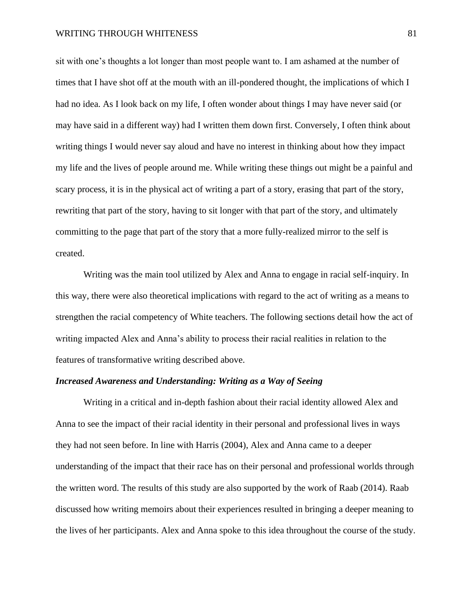sit with one's thoughts a lot longer than most people want to. I am ashamed at the number of times that I have shot off at the mouth with an ill-pondered thought, the implications of which I had no idea. As I look back on my life, I often wonder about things I may have never said (or may have said in a different way) had I written them down first. Conversely, I often think about writing things I would never say aloud and have no interest in thinking about how they impact my life and the lives of people around me. While writing these things out might be a painful and scary process, it is in the physical act of writing a part of a story, erasing that part of the story, rewriting that part of the story, having to sit longer with that part of the story, and ultimately committing to the page that part of the story that a more fully-realized mirror to the self is created.

Writing was the main tool utilized by Alex and Anna to engage in racial self-inquiry. In this way, there were also theoretical implications with regard to the act of writing as a means to strengthen the racial competency of White teachers. The following sections detail how the act of writing impacted Alex and Anna's ability to process their racial realities in relation to the features of transformative writing described above.

## *Increased Awareness and Understanding: Writing as a Way of Seeing*

Writing in a critical and in-depth fashion about their racial identity allowed Alex and Anna to see the impact of their racial identity in their personal and professional lives in ways they had not seen before. In line with Harris (2004), Alex and Anna came to a deeper understanding of the impact that their race has on their personal and professional worlds through the written word. The results of this study are also supported by the work of Raab (2014). Raab discussed how writing memoirs about their experiences resulted in bringing a deeper meaning to the lives of her participants. Alex and Anna spoke to this idea throughout the course of the study.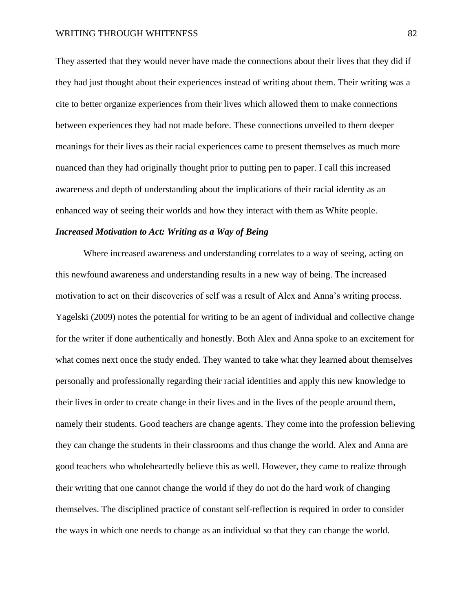They asserted that they would never have made the connections about their lives that they did if they had just thought about their experiences instead of writing about them. Their writing was a cite to better organize experiences from their lives which allowed them to make connections between experiences they had not made before. These connections unveiled to them deeper meanings for their lives as their racial experiences came to present themselves as much more nuanced than they had originally thought prior to putting pen to paper. I call this increased awareness and depth of understanding about the implications of their racial identity as an enhanced way of seeing their worlds and how they interact with them as White people.

#### *Increased Motivation to Act: Writing as a Way of Being*

Where increased awareness and understanding correlates to a way of seeing, acting on this newfound awareness and understanding results in a new way of being. The increased motivation to act on their discoveries of self was a result of Alex and Anna's writing process. Yagelski (2009) notes the potential for writing to be an agent of individual and collective change for the writer if done authentically and honestly. Both Alex and Anna spoke to an excitement for what comes next once the study ended. They wanted to take what they learned about themselves personally and professionally regarding their racial identities and apply this new knowledge to their lives in order to create change in their lives and in the lives of the people around them, namely their students. Good teachers are change agents. They come into the profession believing they can change the students in their classrooms and thus change the world. Alex and Anna are good teachers who wholeheartedly believe this as well. However, they came to realize through their writing that one cannot change the world if they do not do the hard work of changing themselves. The disciplined practice of constant self-reflection is required in order to consider the ways in which one needs to change as an individual so that they can change the world.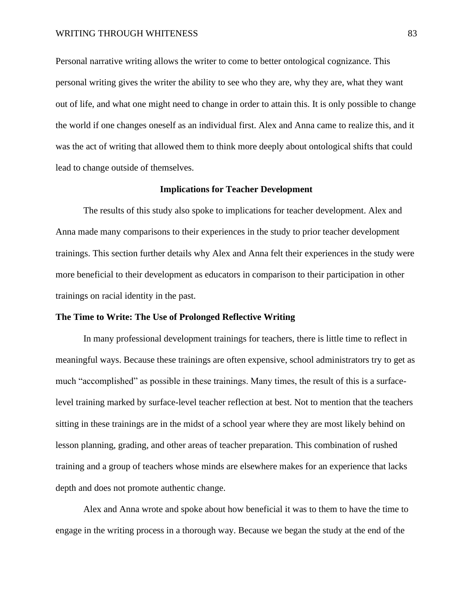Personal narrative writing allows the writer to come to better ontological cognizance. This personal writing gives the writer the ability to see who they are, why they are, what they want out of life, and what one might need to change in order to attain this. It is only possible to change the world if one changes oneself as an individual first. Alex and Anna came to realize this, and it was the act of writing that allowed them to think more deeply about ontological shifts that could lead to change outside of themselves.

## **Implications for Teacher Development**

The results of this study also spoke to implications for teacher development. Alex and Anna made many comparisons to their experiences in the study to prior teacher development trainings. This section further details why Alex and Anna felt their experiences in the study were more beneficial to their development as educators in comparison to their participation in other trainings on racial identity in the past.

## **The Time to Write: The Use of Prolonged Reflective Writing**

In many professional development trainings for teachers, there is little time to reflect in meaningful ways. Because these trainings are often expensive, school administrators try to get as much "accomplished" as possible in these trainings. Many times, the result of this is a surfacelevel training marked by surface-level teacher reflection at best. Not to mention that the teachers sitting in these trainings are in the midst of a school year where they are most likely behind on lesson planning, grading, and other areas of teacher preparation. This combination of rushed training and a group of teachers whose minds are elsewhere makes for an experience that lacks depth and does not promote authentic change.

Alex and Anna wrote and spoke about how beneficial it was to them to have the time to engage in the writing process in a thorough way. Because we began the study at the end of the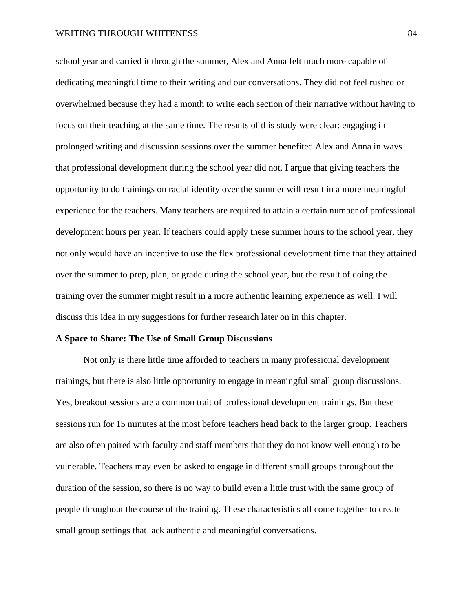school year and carried it through the summer, Alex and Anna felt much more capable of dedicating meaningful time to their writing and our conversations. They did not feel rushed or overwhelmed because they had a month to write each section of their narrative without having to focus on their teaching at the same time. The results of this study were clear: engaging in prolonged writing and discussion sessions over the summer benefited Alex and Anna in ways that professional development during the school year did not. I argue that giving teachers the opportunity to do trainings on racial identity over the summer will result in a more meaningful experience for the teachers. Many teachers are required to attain a certain number of professional development hours per year. If teachers could apply these summer hours to the school year, they not only would have an incentive to use the flex professional development time that they attained over the summer to prep, plan, or grade during the school year, but the result of doing the training over the summer might result in a more authentic learning experience as well. I will discuss this idea in my suggestions for further research later on in this chapter.

## **A Space to Share: The Use of Small Group Discussions**

Not only is there little time afforded to teachers in many professional development trainings, but there is also little opportunity to engage in meaningful small group discussions. Yes, breakout sessions are a common trait of professional development trainings. But these sessions run for 15 minutes at the most before teachers head back to the larger group. Teachers are also often paired with faculty and staff members that they do not know well enough to be vulnerable. Teachers may even be asked to engage in different small groups throughout the duration of the session, so there is no way to build even a little trust with the same group of people throughout the course of the training. These characteristics all come together to create small group settings that lack authentic and meaningful conversations.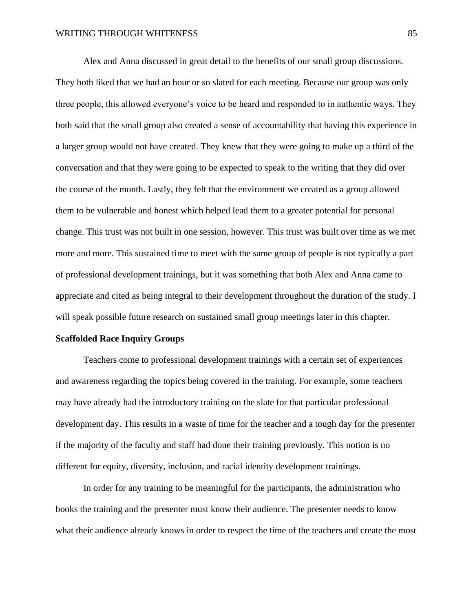Alex and Anna discussed in great detail to the benefits of our small group discussions. They both liked that we had an hour or so slated for each meeting. Because our group was only three people, this allowed everyone's voice to be heard and responded to in authentic ways. They both said that the small group also created a sense of accountability that having this experience in a larger group would not have created. They knew that they were going to make up a third of the conversation and that they were going to be expected to speak to the writing that they did over the course of the month. Lastly, they felt that the environment we created as a group allowed them to be vulnerable and honest which helped lead them to a greater potential for personal change. This trust was not built in one session, however. This trust was built over time as we met more and more. This sustained time to meet with the same group of people is not typically a part of professional development trainings, but it was something that both Alex and Anna came to appreciate and cited as being integral to their development throughout the duration of the study. I will speak possible future research on sustained small group meetings later in this chapter.

#### **Scaffolded Race Inquiry Groups**

Teachers come to professional development trainings with a certain set of experiences and awareness regarding the topics being covered in the training. For example, some teachers may have already had the introductory training on the slate for that particular professional development day. This results in a waste of time for the teacher and a tough day for the presenter if the majority of the faculty and staff had done their training previously. This notion is no different for equity, diversity, inclusion, and racial identity development trainings.

In order for any training to be meaningful for the participants, the administration who books the training and the presenter must know their audience. The presenter needs to know what their audience already knows in order to respect the time of the teachers and create the most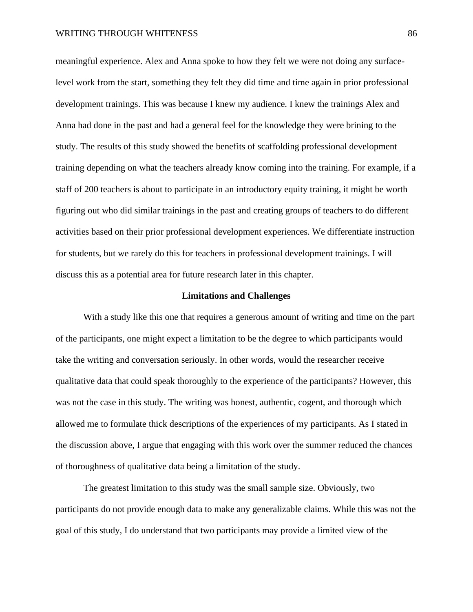meaningful experience. Alex and Anna spoke to how they felt we were not doing any surfacelevel work from the start, something they felt they did time and time again in prior professional development trainings. This was because I knew my audience. I knew the trainings Alex and Anna had done in the past and had a general feel for the knowledge they were brining to the study. The results of this study showed the benefits of scaffolding professional development training depending on what the teachers already know coming into the training. For example, if a staff of 200 teachers is about to participate in an introductory equity training, it might be worth figuring out who did similar trainings in the past and creating groups of teachers to do different activities based on their prior professional development experiences. We differentiate instruction for students, but we rarely do this for teachers in professional development trainings. I will discuss this as a potential area for future research later in this chapter.

## **Limitations and Challenges**

With a study like this one that requires a generous amount of writing and time on the part of the participants, one might expect a limitation to be the degree to which participants would take the writing and conversation seriously. In other words, would the researcher receive qualitative data that could speak thoroughly to the experience of the participants? However, this was not the case in this study. The writing was honest, authentic, cogent, and thorough which allowed me to formulate thick descriptions of the experiences of my participants. As I stated in the discussion above, I argue that engaging with this work over the summer reduced the chances of thoroughness of qualitative data being a limitation of the study.

The greatest limitation to this study was the small sample size. Obviously, two participants do not provide enough data to make any generalizable claims. While this was not the goal of this study, I do understand that two participants may provide a limited view of the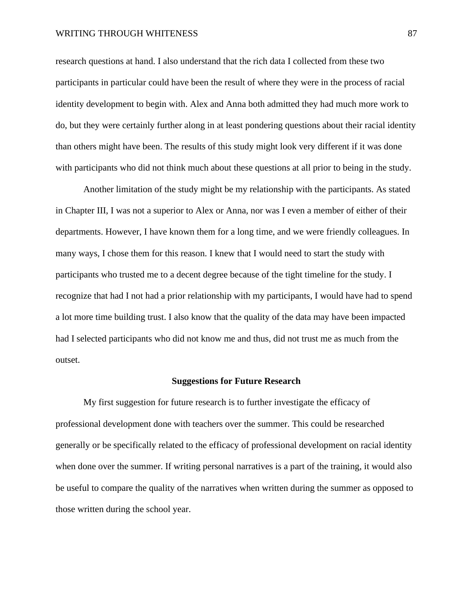research questions at hand. I also understand that the rich data I collected from these two participants in particular could have been the result of where they were in the process of racial identity development to begin with. Alex and Anna both admitted they had much more work to do, but they were certainly further along in at least pondering questions about their racial identity than others might have been. The results of this study might look very different if it was done with participants who did not think much about these questions at all prior to being in the study.

Another limitation of the study might be my relationship with the participants. As stated in Chapter III, I was not a superior to Alex or Anna, nor was I even a member of either of their departments. However, I have known them for a long time, and we were friendly colleagues. In many ways, I chose them for this reason. I knew that I would need to start the study with participants who trusted me to a decent degree because of the tight timeline for the study. I recognize that had I not had a prior relationship with my participants, I would have had to spend a lot more time building trust. I also know that the quality of the data may have been impacted had I selected participants who did not know me and thus, did not trust me as much from the outset.

#### **Suggestions for Future Research**

My first suggestion for future research is to further investigate the efficacy of professional development done with teachers over the summer. This could be researched generally or be specifically related to the efficacy of professional development on racial identity when done over the summer. If writing personal narratives is a part of the training, it would also be useful to compare the quality of the narratives when written during the summer as opposed to those written during the school year.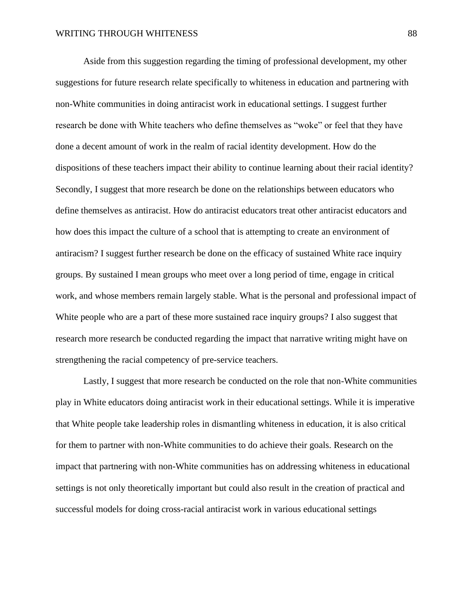Aside from this suggestion regarding the timing of professional development, my other suggestions for future research relate specifically to whiteness in education and partnering with non-White communities in doing antiracist work in educational settings. I suggest further research be done with White teachers who define themselves as "woke" or feel that they have done a decent amount of work in the realm of racial identity development. How do the dispositions of these teachers impact their ability to continue learning about their racial identity? Secondly, I suggest that more research be done on the relationships between educators who define themselves as antiracist. How do antiracist educators treat other antiracist educators and how does this impact the culture of a school that is attempting to create an environment of antiracism? I suggest further research be done on the efficacy of sustained White race inquiry groups. By sustained I mean groups who meet over a long period of time, engage in critical work, and whose members remain largely stable. What is the personal and professional impact of White people who are a part of these more sustained race inquiry groups? I also suggest that research more research be conducted regarding the impact that narrative writing might have on strengthening the racial competency of pre-service teachers.

Lastly, I suggest that more research be conducted on the role that non-White communities play in White educators doing antiracist work in their educational settings. While it is imperative that White people take leadership roles in dismantling whiteness in education, it is also critical for them to partner with non-White communities to do achieve their goals. Research on the impact that partnering with non-White communities has on addressing whiteness in educational settings is not only theoretically important but could also result in the creation of practical and successful models for doing cross-racial antiracist work in various educational settings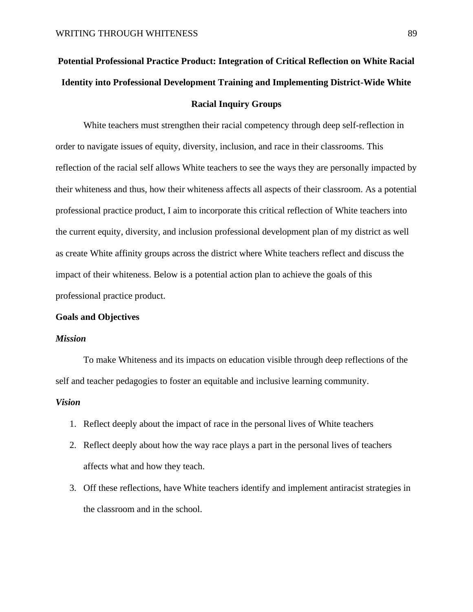# **Potential Professional Practice Product: Integration of Critical Reflection on White Racial Identity into Professional Development Training and Implementing District-Wide White Racial Inquiry Groups**

White teachers must strengthen their racial competency through deep self-reflection in order to navigate issues of equity, diversity, inclusion, and race in their classrooms. This reflection of the racial self allows White teachers to see the ways they are personally impacted by their whiteness and thus, how their whiteness affects all aspects of their classroom. As a potential professional practice product, I aim to incorporate this critical reflection of White teachers into the current equity, diversity, and inclusion professional development plan of my district as well as create White affinity groups across the district where White teachers reflect and discuss the impact of their whiteness. Below is a potential action plan to achieve the goals of this professional practice product.

#### **Goals and Objectives**

## *Mission*

To make Whiteness and its impacts on education visible through deep reflections of the self and teacher pedagogies to foster an equitable and inclusive learning community.

## *Vision*

- 1. Reflect deeply about the impact of race in the personal lives of White teachers
- 2. Reflect deeply about how the way race plays a part in the personal lives of teachers affects what and how they teach.
- 3. Off these reflections, have White teachers identify and implement antiracist strategies in the classroom and in the school.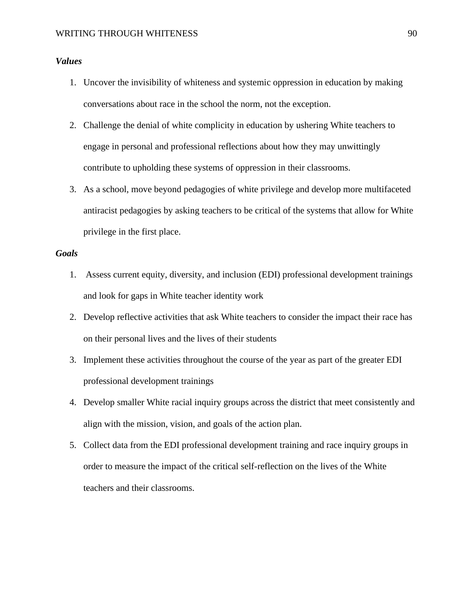# *Values*

- 1. Uncover the invisibility of whiteness and systemic oppression in education by making conversations about race in the school the norm, not the exception.
- 2. Challenge the denial of white complicity in education by ushering White teachers to engage in personal and professional reflections about how they may unwittingly contribute to upholding these systems of oppression in their classrooms.
- 3. As a school, move beyond pedagogies of white privilege and develop more multifaceted antiracist pedagogies by asking teachers to be critical of the systems that allow for White privilege in the first place.

# *Goals*

- 1. Assess current equity, diversity, and inclusion (EDI) professional development trainings and look for gaps in White teacher identity work
- 2. Develop reflective activities that ask White teachers to consider the impact their race has on their personal lives and the lives of their students
- 3. Implement these activities throughout the course of the year as part of the greater EDI professional development trainings
- 4. Develop smaller White racial inquiry groups across the district that meet consistently and align with the mission, vision, and goals of the action plan.
- 5. Collect data from the EDI professional development training and race inquiry groups in order to measure the impact of the critical self-reflection on the lives of the White teachers and their classrooms.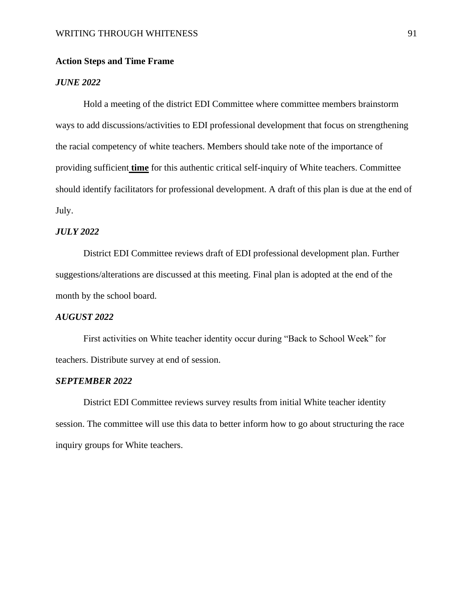## **Action Steps and Time Frame**

## *JUNE 2022*

Hold a meeting of the district EDI Committee where committee members brainstorm ways to add discussions/activities to EDI professional development that focus on strengthening the racial competency of white teachers. Members should take note of the importance of providing sufficient **time** for this authentic critical self-inquiry of White teachers. Committee should identify facilitators for professional development. A draft of this plan is due at the end of July.

## *JULY 2022*

District EDI Committee reviews draft of EDI professional development plan. Further suggestions/alterations are discussed at this meeting. Final plan is adopted at the end of the month by the school board.

## *AUGUST 2022*

First activities on White teacher identity occur during "Back to School Week" for teachers. Distribute survey at end of session.

## *SEPTEMBER 2022*

District EDI Committee reviews survey results from initial White teacher identity session. The committee will use this data to better inform how to go about structuring the race inquiry groups for White teachers.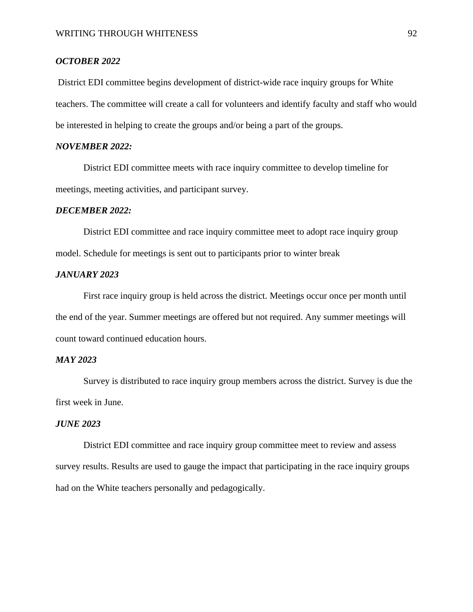## *OCTOBER 2022*

District EDI committee begins development of district-wide race inquiry groups for White teachers. The committee will create a call for volunteers and identify faculty and staff who would be interested in helping to create the groups and/or being a part of the groups.

# *NOVEMBER 2022:*

District EDI committee meets with race inquiry committee to develop timeline for meetings, meeting activities, and participant survey.

#### *DECEMBER 2022:*

District EDI committee and race inquiry committee meet to adopt race inquiry group model. Schedule for meetings is sent out to participants prior to winter break

## *JANUARY 2023*

First race inquiry group is held across the district. Meetings occur once per month until the end of the year. Summer meetings are offered but not required. Any summer meetings will count toward continued education hours.

## *MAY 2023*

Survey is distributed to race inquiry group members across the district. Survey is due the first week in June.

## *JUNE 2023*

District EDI committee and race inquiry group committee meet to review and assess survey results. Results are used to gauge the impact that participating in the race inquiry groups had on the White teachers personally and pedagogically.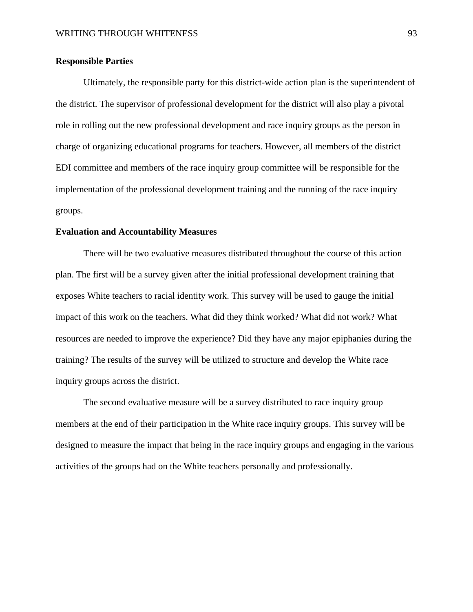## **Responsible Parties**

Ultimately, the responsible party for this district-wide action plan is the superintendent of the district. The supervisor of professional development for the district will also play a pivotal role in rolling out the new professional development and race inquiry groups as the person in charge of organizing educational programs for teachers. However, all members of the district EDI committee and members of the race inquiry group committee will be responsible for the implementation of the professional development training and the running of the race inquiry groups.

## **Evaluation and Accountability Measures**

There will be two evaluative measures distributed throughout the course of this action plan. The first will be a survey given after the initial professional development training that exposes White teachers to racial identity work. This survey will be used to gauge the initial impact of this work on the teachers. What did they think worked? What did not work? What resources are needed to improve the experience? Did they have any major epiphanies during the training? The results of the survey will be utilized to structure and develop the White race inquiry groups across the district.

The second evaluative measure will be a survey distributed to race inquiry group members at the end of their participation in the White race inquiry groups. This survey will be designed to measure the impact that being in the race inquiry groups and engaging in the various activities of the groups had on the White teachers personally and professionally.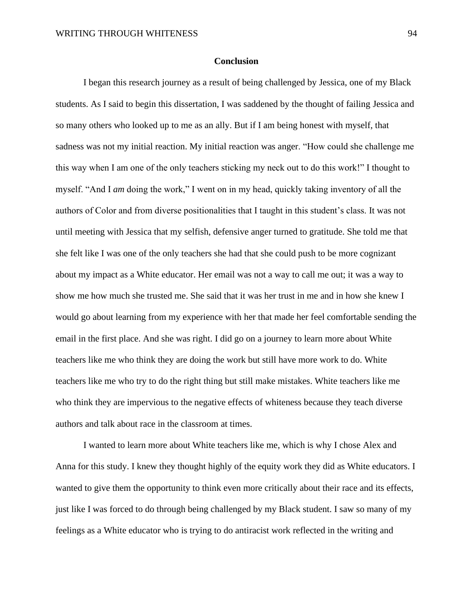#### **Conclusion**

I began this research journey as a result of being challenged by Jessica, one of my Black students. As I said to begin this dissertation, I was saddened by the thought of failing Jessica and so many others who looked up to me as an ally. But if I am being honest with myself, that sadness was not my initial reaction. My initial reaction was anger. "How could she challenge me this way when I am one of the only teachers sticking my neck out to do this work!" I thought to myself. "And I *am* doing the work," I went on in my head, quickly taking inventory of all the authors of Color and from diverse positionalities that I taught in this student's class. It was not until meeting with Jessica that my selfish, defensive anger turned to gratitude. She told me that she felt like I was one of the only teachers she had that she could push to be more cognizant about my impact as a White educator. Her email was not a way to call me out; it was a way to show me how much she trusted me. She said that it was her trust in me and in how she knew I would go about learning from my experience with her that made her feel comfortable sending the email in the first place. And she was right. I did go on a journey to learn more about White teachers like me who think they are doing the work but still have more work to do. White teachers like me who try to do the right thing but still make mistakes. White teachers like me who think they are impervious to the negative effects of whiteness because they teach diverse authors and talk about race in the classroom at times.

I wanted to learn more about White teachers like me, which is why I chose Alex and Anna for this study. I knew they thought highly of the equity work they did as White educators. I wanted to give them the opportunity to think even more critically about their race and its effects, just like I was forced to do through being challenged by my Black student. I saw so many of my feelings as a White educator who is trying to do antiracist work reflected in the writing and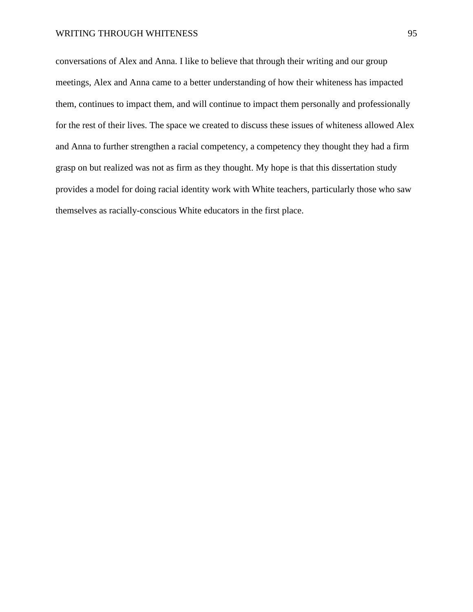### WRITING THROUGH WHITENESS 95

conversations of Alex and Anna. I like to believe that through their writing and our group meetings, Alex and Anna came to a better understanding of how their whiteness has impacted them, continues to impact them, and will continue to impact them personally and professionally for the rest of their lives. The space we created to discuss these issues of whiteness allowed Alex and Anna to further strengthen a racial competency, a competency they thought they had a firm grasp on but realized was not as firm as they thought. My hope is that this dissertation study provides a model for doing racial identity work with White teachers, particularly those who saw themselves as racially-conscious White educators in the first place.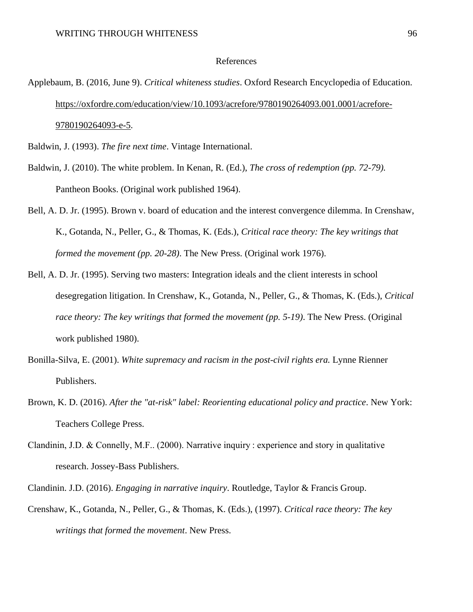#### References

- Applebaum, B. (2016, June 9). *Critical whiteness studies*. Oxford Research Encyclopedia of Education. [https://oxfordre.com/education/view/10.1093/acrefore/9780190264093.001.0001/acrefore-](https://oxfordre.com/education/view/10.1093/acrefore/9780190264093.001.0001/acrefore-9780190264093-e-5)[9780190264093-e-5.](https://oxfordre.com/education/view/10.1093/acrefore/9780190264093.001.0001/acrefore-9780190264093-e-5)
- Baldwin, J. (1993). *The fire next time*. Vintage International.
- Baldwin, J. (2010). The white problem. In Kenan, R. (Ed.), *The cross of redemption (pp. 72-79).*  Pantheon Books. (Original work published 1964).
- Bell, A. D. Jr. (1995). Brown v. board of education and the interest convergence dilemma. In Crenshaw, K., Gotanda, N., Peller, G., & Thomas, K. (Eds.), *Critical race theory: The key writings that formed the movement (pp. 20-28)*. The New Press. (Original work 1976).
- Bell, A. D. Jr. (1995). Serving two masters: Integration ideals and the client interests in school desegregation litigation. In Crenshaw, K., Gotanda, N., Peller, G., & Thomas, K. (Eds.), *Critical race theory: The key writings that formed the movement (pp. 5-19)*. The New Press. (Original work published 1980).
- Bonilla-Silva, E. (2001). *White supremacy and racism in the post-civil rights era.* Lynne Rienner Publishers.
- Brown, K. D. (2016). *After the "at-risk" label: Reorienting educational policy and practice*. New York: Teachers College Press.
- Clandinin, J.D. & Connelly, M.F.. (2000). Narrative inquiry : experience and story in qualitative research. Jossey-Bass Publishers.
- Clandinin. J.D. (2016). *Engaging in narrative inquiry*. Routledge, Taylor & Francis Group.
- Crenshaw, K., Gotanda, N., Peller, G., & Thomas, K. (Eds.), (1997). *Critical race theory: The key writings that formed the movement*. New Press.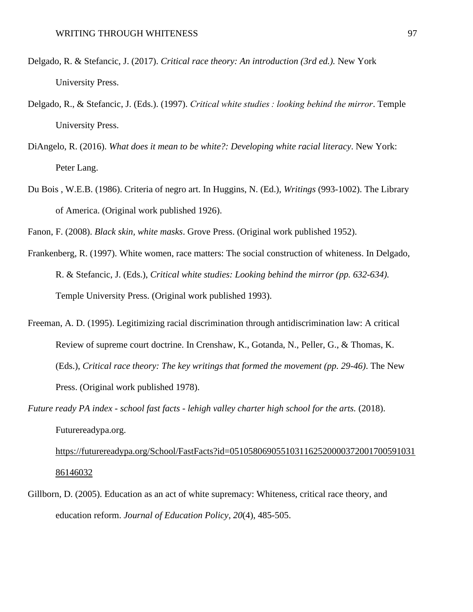- Delgado, R. & Stefancic, J. (2017). *Critical race theory: An introduction (3rd ed.).* New York University Press.
- Delgado, R., & Stefancic, J. (Eds.). (1997). *Critical white studies : looking behind the mirror*. Temple University Press.
- DiAngelo, R. (2016). *What does it mean to be white?: Developing white racial literacy*. New York: Peter Lang.
- Du Bois , W.E.B. (1986). Criteria of negro art. In Huggins, N. (Ed.), *Writings* (993-1002). The Library of America. (Original work published 1926).
- Fanon, F. (2008). *Black skin, white masks*. Grove Press. (Original work published 1952).
- Frankenberg, R. (1997). White women, race matters: The social construction of whiteness. In Delgado, R. & Stefancic, J. (Eds.), *Critical white studies: Looking behind the mirror (pp. 632-634).*  Temple University Press. (Original work published 1993).
- Freeman, A. D. (1995). Legitimizing racial discrimination through antidiscrimination law: A critical Review of supreme court doctrine. In Crenshaw, K., Gotanda, N., Peller, G., & Thomas, K. (Eds.), *Critical race theory: The key writings that formed the movement (pp. 29-46)*. The New Press. (Original work published 1978).
- *Future ready PA index - school fast facts - lehigh valley charter high school for the arts.* (2018). Futurereadypa.org.

[https://futurereadypa.org/School/FastFacts?id=0510580690551031162520000372001700591031](https://futurereadypa.org/School/FastFacts?id=051058069055103116252000037200170059103186146032) [86146032](https://futurereadypa.org/School/FastFacts?id=051058069055103116252000037200170059103186146032)

Gillborn, D. (2005). Education as an act of white supremacy: Whiteness, critical race theory, and education reform. *Journal of Education Policy*, *20*(4), 485-505.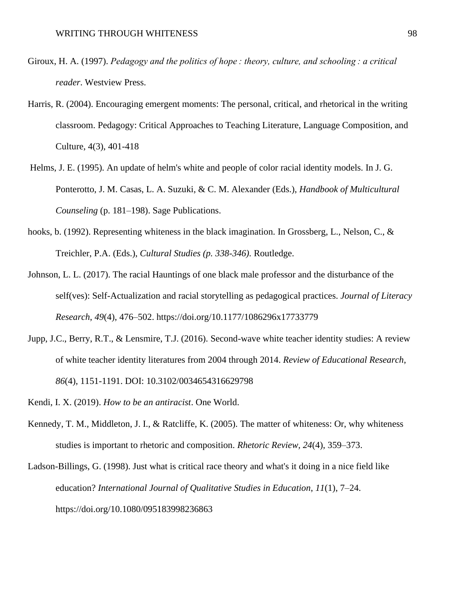- Giroux, H. A. (1997). *Pedagogy and the politics of hope : theory, culture, and schooling : a critical reader*. Westview Press.
- Harris, R. (2004). Encouraging emergent moments: The personal, critical, and rhetorical in the writing classroom. Pedagogy: Critical Approaches to Teaching Literature, Language Composition, and Culture, 4(3), 401-418
- Helms, J. E. (1995). An update of helm's white and people of color racial identity models. In J. G. Ponterotto, J. M. Casas, L. A. Suzuki, & C. M. Alexander (Eds.), *Handbook of Multicultural Counseling* (p. 181–198). Sage Publications.
- hooks, b. (1992). Representing whiteness in the black imagination. In Grossberg, L., Nelson, C., & Treichler, P.A. (Eds.), *Cultural Studies (p. 338-346).* Routledge.
- Johnson, L. L. (2017). The racial Hauntings of one black male professor and the disturbance of the self(ves): Self-Actualization and racial storytelling as pedagogical practices. *Journal of Literacy Research*, *49*(4), 476–502. https://doi.org/10.1177/1086296x17733779
- Jupp, J.C., Berry, R.T., & Lensmire, T.J. (2016). Second-wave white teacher identity studies: A review of white teacher identity literatures from 2004 through 2014. *Review of Educational Research*, *86*(4), 1151-1191. DOI: 10.3102/0034654316629798
- Kendi, I. X. (2019). *How to be an antiracist*. One World.
- Kennedy, T. M., Middleton, J. I., & Ratcliffe, K. (2005). The matter of whiteness: Or, why whiteness studies is important to rhetoric and composition. *Rhetoric Review, 24*(4), 359–373.

Ladson-Billings, G. (1998). Just what is critical race theory and what's it doing in a nice field like education? *International Journal of Qualitative Studies in Education*, *11*(1), 7–24. https://doi.org/10.1080/095183998236863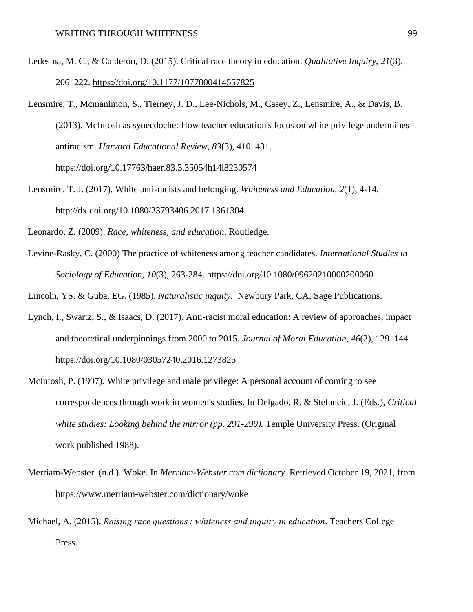- Ledesma, M. C., & Calderón, D. (2015). Critical race theory in education. *Qualitative Inquiry*, *21*(3), 206–222.<https://doi.org/10.1177/1077800414557825>
- Lensmire, T., Mcmanimon, S., Tierney, J. D., Lee-Nichols, M., Casey, Z., Lensmire, A., & Davis, B. (2013). McIntosh as synecdoche: How teacher education's focus on white privilege undermines antiracism. *Harvard Educational Review*, *83*(3), 410–431. <https://doi.org/10.17763/haer.83.3.35054h14l8230574>
- Lensmire, T. J. (2017). White anti-racists and belonging. *Whiteness and Education, 2*(1), 4-14. http://dx.doi.org/10.1080/23793406.2017.1361304

Leonardo, Z. (2009). *Race, whiteness, and education*. Routledge.

Levine-Rasky, C. (2000) The practice of whiteness among teacher candidates. *International Studies in Sociology of Education, 10*(3), 263-284.<https://doi.org/10.1080/09620210000200060>

Lincoln, YS. & Guba, EG. (1985). *Naturalistic inquity.* Newbury Park, CA: Sage Publications.

- Lynch, I., Swartz, S., & Isaacs, D. (2017). Anti-racist moral education: A review of approaches, impact and theoretical underpinnings from 2000 to 2015. *Journal of Moral Education*, *46*(2), 129–144. https://doi.org/10.1080/03057240.2016.1273825
- McIntosh, P. (1997). White privilege and male privilege: A personal account of coming to see correspondences through work in women's studies. In Delgado, R. & Stefancic, J. (Eds.), *Critical white studies: Looking behind the mirror (pp. 291-299).* Temple University Press. (Original work published 1988).
- Merriam-Webster. (n.d.). Woke. In *Merriam-Webster.com dictionary*. Retrieved October 19, 2021, from https://www.merriam-webster.com/dictionary/woke
- Michael, A. (2015). *Raising race questions : whiteness and inquiry in education*. Teachers College Press.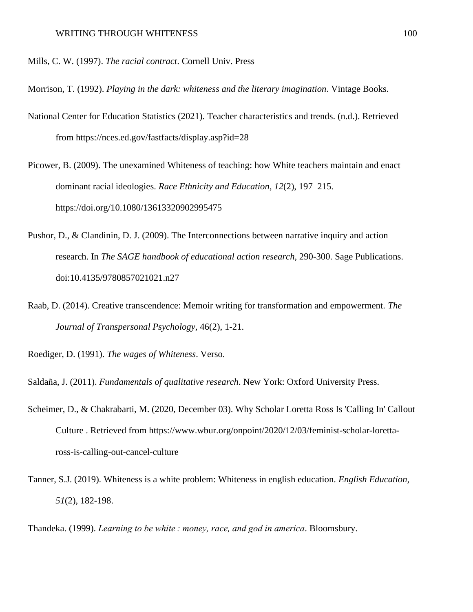- Mills, C. W. (1997). *The racial contract*. Cornell Univ. Press
- Morrison, T. (1992). *Playing in the dark: whiteness and the literary imagination*. Vintage Books.
- National Center for Education Statistics (2021). Teacher characteristics and trends. (n.d.). Retrieved from https://nces.ed.gov/fastfacts/display.asp?id=28
- Picower, B. (2009). The unexamined Whiteness of teaching: how White teachers maintain and enact dominant racial ideologies. *Race Ethnicity and Education*, *12*(2), 197–215. <https://doi.org/10.1080/13613320902995475>
- Pushor, D., & Clandinin, D. J. (2009). The Interconnections between narrative inquiry and action research. In *The SAGE handbook of educational action research,* 290-300. Sage Publications. doi:10.4135/9780857021021.n27
- Raab, D. (2014). Creative transcendence: Memoir writing for transformation and empowerment. *The Journal of Transpersonal Psychology*, 46(2), 1-21.
- Roediger, D. (1991). *The wages of Whiteness*. Verso.
- Saldaña, J. (2011). *Fundamentals of qualitative research*. New York: Oxford University Press.
- Scheimer, D., & Chakrabarti, M. (2020, December 03). Why Scholar Loretta Ross Is 'Calling In' Callout Culture . Retrieved from https://www.wbur.org/onpoint/2020/12/03/feminist-scholar-lorettaross-is-calling-out-cancel-culture
- Tanner, S.J. (2019). Whiteness is a white problem: Whiteness in english education. *English Education, 51*(2), 182-198.

Thandeka. (1999). *Learning to be white : money, race, and god in america*. Bloomsbury.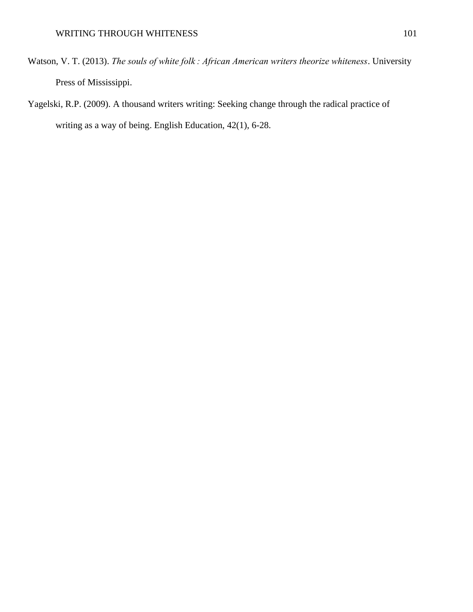- Watson, V. T. (2013). *The souls of white folk : African American writers theorize whiteness*. University Press of Mississippi.
- Yagelski, R.P. (2009). A thousand writers writing: Seeking change through the radical practice of writing as a way of being. English Education, 42(1), 6-28.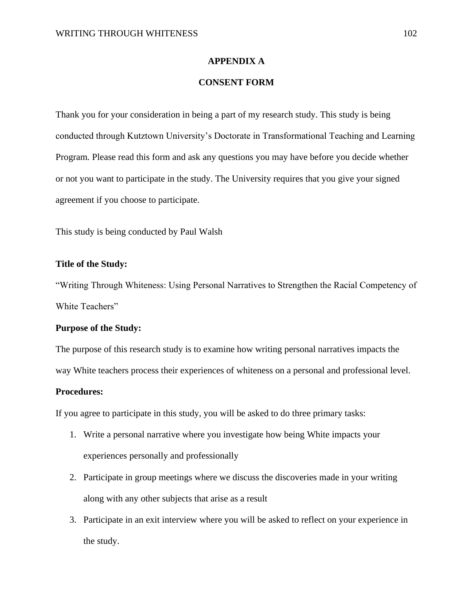#### **APPENDIX A**

## **CONSENT FORM**

Thank you for your consideration in being a part of my research study. This study is being conducted through Kutztown University's Doctorate in Transformational Teaching and Learning Program*.* Please read this form and ask any questions you may have before you decide whether or not you want to participate in the study. The University requires that you give your signed agreement if you choose to participate.

This study is being conducted by Paul Walsh

#### **Title of the Study:**

"Writing Through Whiteness: Using Personal Narratives to Strengthen the Racial Competency of White Teachers"

#### **Purpose of the Study:**

The purpose of this research study is to examine how writing personal narratives impacts the

way White teachers process their experiences of whiteness on a personal and professional level.

#### **Procedures:**

If you agree to participate in this study, you will be asked to do three primary tasks:

- 1. Write a personal narrative where you investigate how being White impacts your experiences personally and professionally
- 2. Participate in group meetings where we discuss the discoveries made in your writing along with any other subjects that arise as a result
- 3. Participate in an exit interview where you will be asked to reflect on your experience in the study.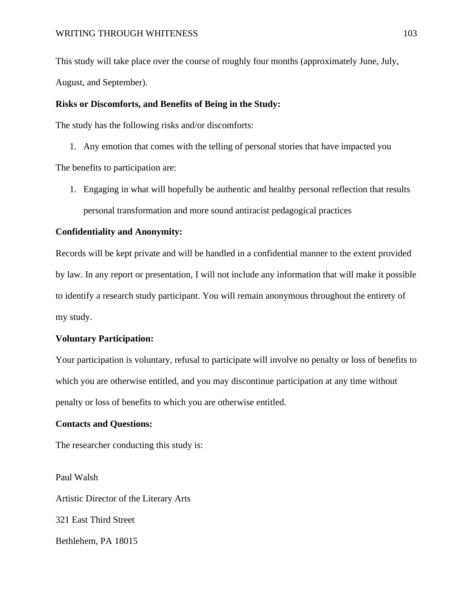This study will take place over the course of roughly four months (approximately June, July, August, and September).

## **Risks or Discomforts, and Benefits of Being in the Study:**

The study has the following risks and/or discomforts:

- 1. Any emotion that comes with the telling of personal stories that have impacted you The benefits to participation are:
	- 1. Engaging in what will hopefully be authentic and healthy personal reflection that results personal transformation and more sound antiracist pedagogical practices

### **Confidentiality and Anonymity:**

Records will be kept private and will be handled in a confidential manner to the extent provided by law. In any report or presentation, I will not include any information that will make it possible to identify a research study participant. You will remain anonymous throughout the entirety of my study.

#### **Voluntary Participation:**

Your participation is voluntary, refusal to participate will involve no penalty or loss of benefits to which you are otherwise entitled, and you may discontinue participation at any time without penalty or loss of benefits to which you are otherwise entitled.

#### **Contacts and Questions:**

The researcher conducting this study is:

Paul Walsh Artistic Director of the Literary Arts 321 East Third Street Bethlehem, PA 18015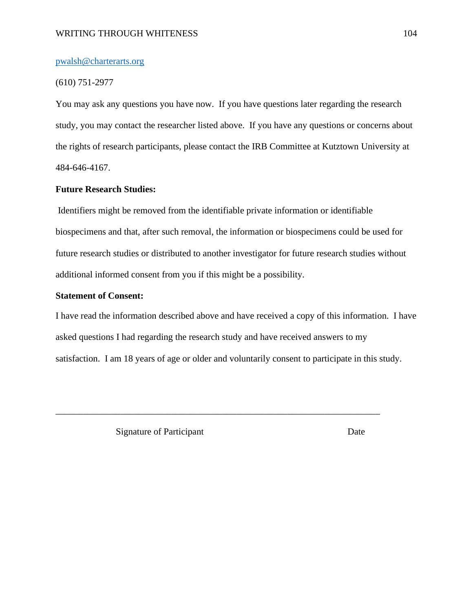## WRITING THROUGH WHITENESS 104

#### [pwalsh@charterarts.org](mailto:pwalsh@charterarts.org)

#### (610) 751-2977

You may ask any questions you have now. If you have questions later regarding the research study, you may contact the researcher listed above. If you have any questions or concerns about the rights of research participants, please contact the IRB Committee at Kutztown University at 484-646-4167.

#### **Future Research Studies:**

Identifiers might be removed from the identifiable private information or identifiable biospecimens and that, after such removal, the information or biospecimens could be used for future research studies or distributed to another investigator for future research studies without additional informed consent from you if this might be a possibility.

#### **Statement of Consent:**

I have read the information described above and have received a copy of this information. I have asked questions I had regarding the research study and have received answers to my satisfaction. I am 18 years of age or older and voluntarily consent to participate in this study.

\_\_\_\_\_\_\_\_\_\_\_\_\_\_\_\_\_\_\_\_\_\_\_\_\_\_\_\_\_\_\_\_\_\_\_\_\_\_\_\_\_\_\_\_\_\_\_\_\_\_\_\_\_\_\_\_\_\_\_\_\_\_\_\_\_\_\_\_\_\_

Signature of Participant Date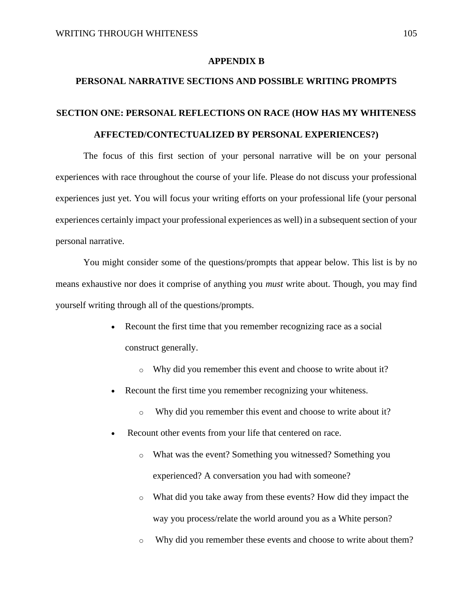#### **APPENDIX B**

## **PERSONAL NARRATIVE SECTIONS AND POSSIBLE WRITING PROMPTS**

## **SECTION ONE: PERSONAL REFLECTIONS ON RACE (HOW HAS MY WHITENESS AFFECTED/CONTECTUALIZED BY PERSONAL EXPERIENCES?)**

The focus of this first section of your personal narrative will be on your personal experiences with race throughout the course of your life. Please do not discuss your professional experiences just yet. You will focus your writing efforts on your professional life (your personal experiences certainly impact your professional experiences as well) in a subsequent section of your personal narrative.

You might consider some of the questions/prompts that appear below. This list is by no means exhaustive nor does it comprise of anything you *must* write about. Though, you may find yourself writing through all of the questions/prompts.

- Recount the first time that you remember recognizing race as a social construct generally.
	- o Why did you remember this event and choose to write about it?
- Recount the first time you remember recognizing your whiteness.
	- o Why did you remember this event and choose to write about it?
- Recount other events from your life that centered on race.
	- o What was the event? Something you witnessed? Something you experienced? A conversation you had with someone?
	- o What did you take away from these events? How did they impact the way you process/relate the world around you as a White person?
	- o Why did you remember these events and choose to write about them?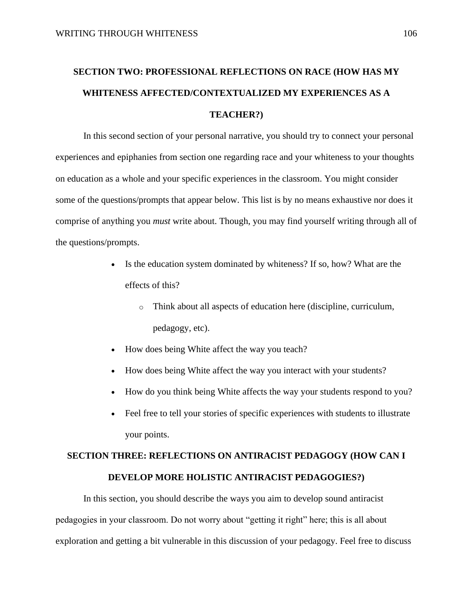## **SECTION TWO: PROFESSIONAL REFLECTIONS ON RACE (HOW HAS MY WHITENESS AFFECTED/CONTEXTUALIZED MY EXPERIENCES AS A TEACHER?)**

In this second section of your personal narrative, you should try to connect your personal experiences and epiphanies from section one regarding race and your whiteness to your thoughts on education as a whole and your specific experiences in the classroom. You might consider some of the questions/prompts that appear below. This list is by no means exhaustive nor does it comprise of anything you *must* write about. Though, you may find yourself writing through all of the questions/prompts.

- Is the education system dominated by whiteness? If so, how? What are the effects of this?
	- o Think about all aspects of education here (discipline, curriculum, pedagogy, etc).
- How does being White affect the way you teach?
- How does being White affect the way you interact with your students?
- How do you think being White affects the way your students respond to you?
- Feel free to tell your stories of specific experiences with students to illustrate your points.

## **SECTION THREE: REFLECTIONS ON ANTIRACIST PEDAGOGY (HOW CAN I DEVELOP MORE HOLISTIC ANTIRACIST PEDAGOGIES?)**

In this section, you should describe the ways you aim to develop sound antiracist pedagogies in your classroom. Do not worry about "getting it right" here; this is all about exploration and getting a bit vulnerable in this discussion of your pedagogy. Feel free to discuss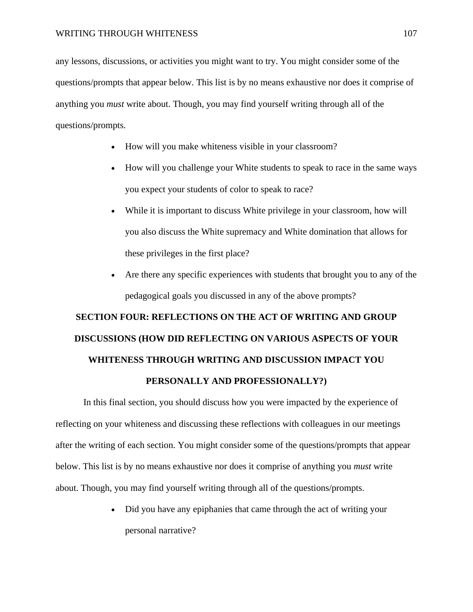any lessons, discussions, or activities you might want to try. You might consider some of the questions/prompts that appear below. This list is by no means exhaustive nor does it comprise of anything you *must* write about. Though, you may find yourself writing through all of the questions/prompts.

- How will you make whiteness visible in your classroom?
- How will you challenge your White students to speak to race in the same ways you expect your students of color to speak to race?
- While it is important to discuss White privilege in your classroom, how will you also discuss the White supremacy and White domination that allows for these privileges in the first place?
- Are there any specific experiences with students that brought you to any of the pedagogical goals you discussed in any of the above prompts?

# **SECTION FOUR: REFLECTIONS ON THE ACT OF WRITING AND GROUP DISCUSSIONS (HOW DID REFLECTING ON VARIOUS ASPECTS OF YOUR WHITENESS THROUGH WRITING AND DISCUSSION IMPACT YOU PERSONALLY AND PROFESSIONALLY?)**

In this final section, you should discuss how you were impacted by the experience of reflecting on your whiteness and discussing these reflections with colleagues in our meetings after the writing of each section. You might consider some of the questions/prompts that appear below. This list is by no means exhaustive nor does it comprise of anything you *must* write about. Though, you may find yourself writing through all of the questions/prompts.

> • Did you have any epiphanies that came through the act of writing your personal narrative?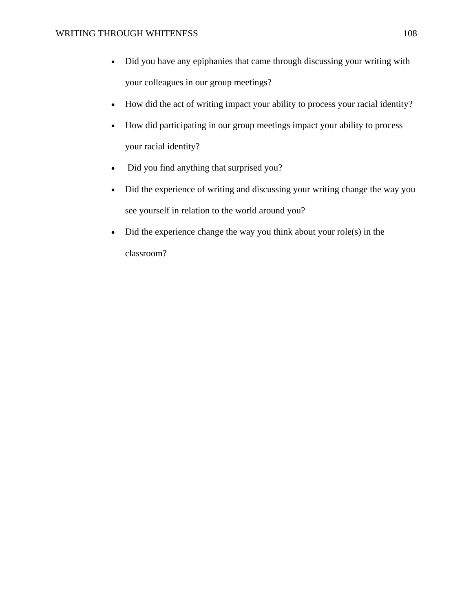- Did you have any epiphanies that came through discussing your writing with your colleagues in our group meetings?
- How did the act of writing impact your ability to process your racial identity?
- How did participating in our group meetings impact your ability to process your racial identity?
- Did you find anything that surprised you?
- Did the experience of writing and discussing your writing change the way you see yourself in relation to the world around you?
- Did the experience change the way you think about your role(s) in the classroom?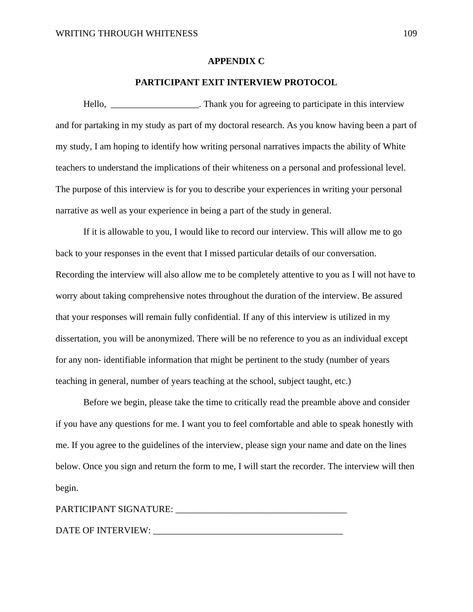#### **APPENDIX C**

### **PARTICIPANT EXIT INTERVIEW PROTOCOL**

Hello, **EXECUTE:** Thank you for agreeing to participate in this interview and for partaking in my study as part of my doctoral research. As you know having been a part of my study, I am hoping to identify how writing personal narratives impacts the ability of White teachers to understand the implications of their whiteness on a personal and professional level. The purpose of this interview is for you to describe your experiences in writing your personal narrative as well as your experience in being a part of the study in general.

If it is allowable to you, I would like to record our interview. This will allow me to go back to your responses in the event that I missed particular details of our conversation. Recording the interview will also allow me to be completely attentive to you as I will not have to worry about taking comprehensive notes throughout the duration of the interview. Be assured that your responses will remain fully confidential. If any of this interview is utilized in my dissertation, you will be anonymized. There will be no reference to you as an individual except for any non- identifiable information that might be pertinent to the study (number of years teaching in general, number of years teaching at the school, subject taught, etc.)

Before we begin, please take the time to critically read the preamble above and consider if you have any questions for me. I want you to feel comfortable and able to speak honestly with me. If you agree to the guidelines of the interview, please sign your name and date on the lines below. Once you sign and return the form to me, I will start the recorder. The interview will then begin.

| PARTICIPANT SIGNATURE: |  |  |
|------------------------|--|--|
|                        |  |  |
| DATE OF INTERVIEW:     |  |  |